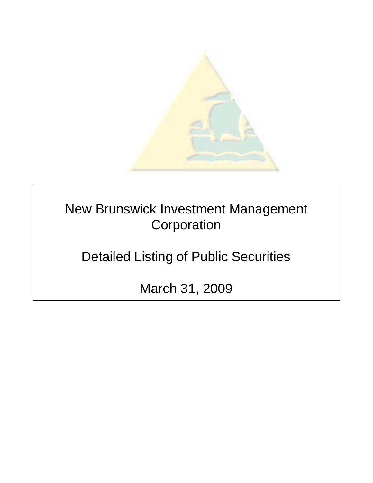

New Brunswick Investment Management **Corporation** 

Detailed Listing of Public Securities

March 31, 2009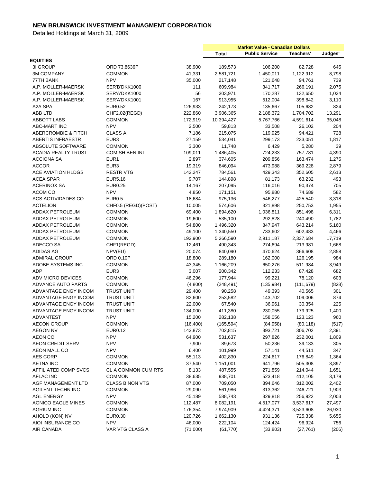|                                |                     |           | <b>Market Value - Canadian Dollars</b> |                       |            |         |
|--------------------------------|---------------------|-----------|----------------------------------------|-----------------------|------------|---------|
|                                |                     |           | Total                                  | <b>Public Service</b> | Teachers'  | Judges' |
| <b>EQUITIES</b>                |                     |           |                                        |                       |            |         |
| 3I GROUP                       | ORD 73.8636P        | 38,900    | 189,573                                | 106,200               | 82,728     | 645     |
| <b>3M COMPANY</b>              | <b>COMMON</b>       | 41,331    | 2,581,721                              | 1,450,011             | 1,122,912  | 8,798   |
| 77TH BANK                      | <b>NPV</b>          | 35,000    | 217,148                                | 121,648               | 94,761     | 739     |
| A.P. MOLLER-MAERSK             | SER'B'DKK1000       | 111       | 609,984                                | 341,717               | 266,191    | 2,075   |
| A.P. MOLLER-MAERSK             | SER'A'DKK1000       | 56        | 303,971                                | 170,287               | 132,650    | 1,034   |
| A.P. MOLLER-MAERSK             | SER'A'DKK1001       | 167       | 913,955                                | 512,004               | 398,842    | 3,110   |
| A2A SPA                        | EUR0.52             | 126,933   | 242,173                                | 135,667               | 105,682    | 824     |
| ABB LTD                        | CHF2.02(REGD)       | 222,860   | 3,906,365                              | 2,188,372             | 1,704,702  | 13,291  |
| <b>ABBOTT LABS</b>             | <b>COMMON</b>       | 172,919   | 10,394,427                             | 5,767,766             | 4,591,614  | 35,048  |
| <b>ABC-MART INC</b>            | <b>NPV</b>          | 2,500     | 59,813                                 | 33,508                | 26,102     | 204     |
| <b>ABERCROMBIE &amp; FITCH</b> | <b>CLASS A</b>      | 7,186     | 215,075                                | 119,925               | 94,421     | 728     |
| ABERTIS INFRAESTR              | EUR <sub>3</sub>    | 27,159    | 534,041                                | 299,173               | 233,051    | 1,817   |
| ABSOLUTE SOFTWARE              | <b>COMMON</b>       | 3,300     | 11,748                                 | 6,429                 | 5,280      | 39      |
| ACADIA REALTY TRUST            | COM SH BEN INT      | 109,011   | 1,486,405                              | 724,233               | 757,781    | 4,390   |
| <b>ACCIONA SA</b>              | EUR1                | 2,897     | 374,605                                | 209,856               | 163,474    | 1,275   |
| <b>ACCOR</b>                   | EUR <sub>3</sub>    | 19,319    | 846,094                                | 473,988               | 369,228    | 2,879   |
| <b>ACE AVIATION HLDGS</b>      | <b>RESTR VTG</b>    | 142,247   | 784,561                                | 429,343               | 352,605    | 2,613   |
| ACEA SPAR                      | <b>EUR5.16</b>      | 9,707     | 144,898                                | 81,173                | 63,232     | 493     |
| <b>ACERINOX SA</b>             | <b>EUR0.25</b>      | 14,167    | 207,095                                | 116,016               | 90,374     | 705     |
| ACOM CO                        | <b>NPV</b>          | 4,850     | 171,151                                | 95,880                | 74,689     | 582     |
| ACS ACTIVIDADES CO             | <b>EUR0.5</b>       | 18,684    | 975,136                                | 546,277               | 425,540    | 3,318   |
| <b>ACTELION</b>                | CHF0.5 (REGD)(POST) | 10,005    | 574,606                                | 321,898               | 250,753    | 1,955   |
| ADDAX PETROLEUM                | <b>COMMON</b>       | 69,400    | 1,894,620                              | 1,036,811             | 851,498    | 6,311   |
| ADDAX PETROLEUM                | <b>COMMON</b>       | 19,600    | 535,100                                | 292,828               | 240,490    | 1,782   |
| ADDAX PETROLEUM                | <b>COMMON</b>       | 54,800    | 1,496,320                              | 847,947               | 643,214    | 5,160   |
| <b>ADDAX PETROLEUM</b>         | <b>COMMON</b>       | 49,100    | 1,340,550                              | 733,602               | 602,483    | 4,466   |
| <b>ADDAX PETROLEUM</b>         | <b>COMMON</b>       | 192,900   | 5,266,590                              | 2,911,187             | 2,337,684  | 17,719  |
| ADECCO SA                      | CHF1(REGD)          | 12,461    | 490,343                                | 274,694               | 213,981    | 1,668   |
| ADIDAS AG                      | NPV(EU)             | 20,074    | 840,090                                | 470,624               | 366,608    | 2,858   |
| <b>ADMIRAL GROUP</b>           | ORD 0.10P           | 18,800    | 289,180                                | 162,000               | 126,195    | 984     |
| ADOBE SYSTEMS INC              | <b>COMMON</b>       | 43,345    | 1,166,209                              | 650,276               | 511,984    | 3,949   |
| ADP                            | EUR <sub>3</sub>    | 3,007     | 200,342                                | 112,233               | 87,428     | 682     |
| ADV MICRO DEVICES              | <b>COMMON</b>       | 46,296    | 177,944                                | 99,221                | 78,120     | 603     |
| <b>ADVANCE AUTO PARTS</b>      | <b>COMMON</b>       | (4,800)   | (248, 491)                             | (135, 984)            | (111, 679) | (828)   |
| ADVANTAGE ENGY INCOM           | <b>TRUST UNIT</b>   | 29,400    | 90,258                                 | 49,393                | 40,565     | 301     |
| ADVANTAGE ENGY INCOM           | <b>TRUST UNIT</b>   | 82,600    | 253,582                                | 143,702               | 109,006    | 874     |
| ADVANTAGE ENGY INCOM           | <b>TRUST UNIT</b>   | 22,000    | 67,540                                 | 36,961                | 30,354     | 225     |
| ADVANTAGE ENGY INCOM           | <b>TRUST UNIT</b>   | 134,000   | 411,380                                | 230,055               | 179,925    | 1,400   |
| ADVANTEST                      | <b>NPV</b>          | 15,200    | 282,138                                | 158,056               | 123,123    | 960     |
| <b>AECON GROUP</b>             | <b>COMMON</b>       | (16, 400) | (165, 594)                             | (84,958)              | (80, 118)  | (517)   |
| <b>AEGON NV</b>                | <b>EUR0.12</b>      | 143,873   | 702,815                                | 393,721               | 306,702    | 2,391   |
| <b>AEON CO</b>                 | <b>NPV</b>          | 64,900    | 531,637                                | 297,826               | 232,001    | 1,809   |
| <b>AEON CREDIT SERV</b>        | <b>NPV</b>          | 7,900     | 89,673                                 | 50,236                | 39,133     | 305     |
| AEON MALL CO                   | <b>NPV</b>          | 6,400     | 101,999                                | 57,141                | 44,511     | 347     |
| <b>AES CORP</b>                | <b>COMMON</b>       | 55,113    | 402,830                                | 224,617               | 176,849    | 1,364   |
| <b>AETNA INC</b>               | <b>COMMON</b>       | 37,540    | 1,151,001                              | 641,796               | 505,308    | 3,897   |
| AFFILIATED COMP SVCS           | CL A COMMON CUM RTS | 8,133     | 487,555                                | 271,859               | 214,044    | 1,651   |
| AFLAC INC                      | <b>COMMON</b>       | 38,635    | 938,701                                | 523,418               | 412,105    | 3,179   |
| AGF MANAGEMENT LTD             | CLASS B NON VTG     | 87,000    | 709,050                                | 394,646               | 312,002    | 2,402   |
| <b>AGILENT TECHN INC</b>       | <b>COMMON</b>       | 29,090    | 561,986                                | 313,362               | 246,721    | 1,903   |
| <b>AGL ENERGY</b>              | <b>NPV</b>          | 45,189    | 588,743                                | 329,818               | 256,922    | 2,003   |
| <b>AGNICO EAGLE MINES</b>      | <b>COMMON</b>       | 112,487   | 8,082,191                              | 4,517,077             | 3,537,617  | 27,497  |
| <b>AGRIUM INC</b>              | <b>COMMON</b>       | 176,354   | 7,974,909                              | 4,424,371             | 3,523,608  | 26,930  |
| AHOLD (KON) NV                 | EUR0.30             | 120,726   | 1,662,130                              | 931,136               | 725,338    | 5,655   |
| AIOI INSURANCE CO              | <b>NPV</b>          | 46,000    | 222,104                                | 124,424               | 96,924     | 756     |
| AIR CANADA                     | VAR VTG CLASS A     | (71,000)  | (61, 770)                              | (33, 803)             | (27, 761)  | (206)   |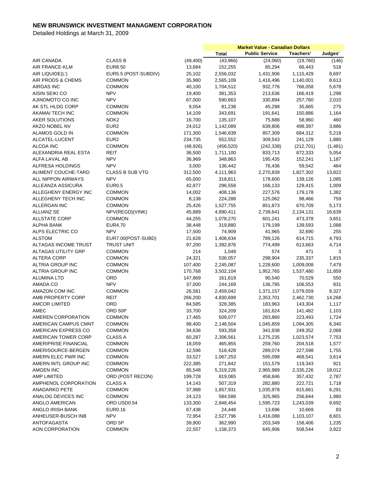|                            |                        |           | <b>Market Value - Canadian Dollars</b> |                       |            |         |
|----------------------------|------------------------|-----------|----------------------------------------|-----------------------|------------|---------|
|                            |                        |           | <b>Total</b>                           | <b>Public Service</b> | Teachers'  | Judges' |
| AIR CANADA                 | <b>CLASS B</b>         | (49, 400) | (43,966)                               | (24,060)              | (19,760)   | (146)   |
| AIR FRANCE-KLM             | <b>EUR8.50</b>         | 13,684    | 152,255                                | 85,294                | 66,443     | 518     |
| AIR LIQUIDE(L')            | EUR5.5 (POST-SUBDIV)   | 25,102    | 2,556,032                              | 1,431,906             | 1,115,429  | 8,697   |
| AIR PRODS & CHEMS          | <b>COMMON</b>          | 35,980    | 2,565,109                              | 1,416,496             | 1,140,001  | 8,613   |
| <b>AIRGAS INC</b>          | <b>COMMON</b>          | 40,100    | 1,704,512                              | 932,776               | 766,058    | 5,678   |
| AISIN SEIKI CO             | <b>NPV</b>             | 19,400    | 381,353                                | 213,636               | 166,419    | 1,298   |
| AJINOMOTO CO INC           | <b>NPV</b>             | 67,000    | 590,663                                | 330,894               | 257,760    | 2,010   |
| AK STL HLDG CORP           | <b>COMMON</b>          | 9,054     | 81,238                                 | 45,298                | 35,665     | 275     |
| AKAMAI TECH INC            | <b>COMMON</b>          | 14,109    | 343,691                                | 191,641               | 150,886    | 1,164   |
| AKER SOLUTIONS             | NOK <sub>2</sub>       | 16,700    | 135,107                                | 75,688                | 58,960     | 460     |
| AKZO NOBEL NV              | EUR <sub>2</sub>       | 24,012    | 1,142,089                              | 639,806               | 498,397    | 3,886   |
| ALAMOS GOLD IN             | <b>COMMON</b>          | 171,300   | 1,546,839                              | 857,309               | 684,312    | 5,218   |
| ALCATEL-LUCENT             | EUR <sub>2</sub>       | 234,735   | 552,552                                | 309,543               | 241,129    | 1,880   |
|                            | <b>COMMON</b>          |           | (456, 520)                             |                       |            |         |
| ALCOA INC                  |                        | (48, 926) |                                        | (242, 338)            | (212, 701) | (1,481) |
| ALEXANDRIA REAL ESTA       | REIT                   | 36,500    | 1,711,100                              | 833,713               | 872,333    | 5,054   |
| ALFA LAVAL AB              | <b>NPV</b>             | 36,969    | 348,863                                | 195,435               | 152,241    | 1,187   |
| <b>ALFRESA HOLDINGS</b>    | <b>NPV</b>             | 3,000     | 136,442                                | 76,436                | 59,542     | 464     |
| ALIMENT COUCHE-TARD        | <b>CLASS B SUB VTG</b> | 312,500   | 4,111,963                              | 2,270,839             | 1,827,302  | 13,822  |
| ALL NIPPON AIRWAYS         | <b>NPV</b>             | 65,000    | 318,811                                | 178,600               | 139,126    | 1,085   |
| ALLEANZA ASSICURA          | <b>EUR0.5</b>          | 42,877    | 296,558                                | 166,133               | 129,415    | 1,009   |
| ALLEGHENY ENERGY INC       | COMMON                 | 14,002    | 408,136                                | 227,576               | 179,178    | 1,382   |
| ALLEGHENY TECH INC         | <b>COMMON</b>          | 8,138     | 224,288                                | 125,062               | 98,466     | 759     |
| ALLERGAN INC               | <b>COMMON</b>          | 25,426    | 1,527,755                              | 851,873               | 670,709    | 5,173   |
| ALLIANZ SE                 | NPV(REGD)(VINK)        | 45,889    | 4,890,411                              | 2,739,641             | 2,134,131  | 16,639  |
| <b>ALLSTATE CORP</b>       | <b>COMMON</b>          | 44,255    | 1,078,270                              | 601,241               | 473,378    | 3,651   |
| <b>ALPHA BANK</b>          | <b>EUR4.70</b>         | 38,448    | 319,880                                | 179,199               | 139,593    | 1,088   |
| ALPS ELECTRIC CO           | <b>NPV</b>             | 17,500    | 74,909                                 | 41,965                | 32,690     | 255     |
| <b>ALSTOM</b>              | EUR7.00(POST-SUBD)     | 21,628    | 1,408,634                              | 789,126               | 614,715    | 4,793   |
| ALTAGAS INCOME TRUST       | <b>TRUST UNIT</b>      | 97,200    | 1,392,876                              | 774,499               | 613,663    | 4,714   |
| <b>ALTAGAS UTILITY GRP</b> | <b>COMMON</b>          | 214       | 1,049                                  | 574                   | 471        | 3       |
| <b>ALTERA CORP</b>         | <b>COMMON</b>          | 24,321    | 536,057                                | 298,904               | 235,337    | 1,815   |
| ALTRIA GROUP INC           | <b>COMMON</b>          | 107,400   | 2,245,087                              | 1,228,600             | 1,009,008  | 7,479   |
| <b>ALTRIA GROUP INC</b>    | <b>COMMON</b>          | 170,768   | 3,502,104                              | 1,952,765             | 1,537,480  | 11,859  |
| ALUMINA LTD                | <b>ORD</b>             | 147,869   | 161,619                                | 90,540                | 70,529     | 550     |
| AMADA CO                   | <b>NPV</b>             | 37,000    | 244,169                                | 136,785               | 106,553    | 831     |
| AMAZON COM INC             | <b>COMMON</b>          | 26,581    | 2,459,042                              | 1,371,157             | 1,079,559  | 8,327   |
| AMB PROPERTY CORP          | REIT                   | 266,200   | 4,830,699                              | 2,353,701             | 2,462,730  | 14,268  |
| <b>AMCOR LIMITED</b>       | ORD                    | 84,585    | 328,385                                | 183,963               | 143,304    | 1,117   |
| AMEC                       | ORD 50P                | 33,700    | 324,209                                | 181,624               | 141,482    | 1,103   |
| AMEREN CORPORATION         | <b>COMMON</b>          | 17,465    | 509,077                                | 283,860               | 223,493    | 1,724   |
| AMERICAN CAMPUS CMNT       | <b>COMMON</b>          | 98,400    | 2,146,504                              | 1,045,859             | 1,094,305  | 6,340   |
| AMERICAN EXPRESS CO        | <b>COMMON</b>          | 34,636    | 593,358                                | 341,938               | 249,352    | 2,068   |
| AMERICAN TOWER CORP        | <b>CLASS A</b>         | 60,287    | 2,306,561                              | 1,275,235             | 1,023,574  | 7,753   |
| AMERIPRISE FINANCIAL       | <b>COMMON</b>          | 18,059    | 465,855                                | 259,760               | 204,518    | 1,577   |
| AMERISOURCE-BERGEN         | <b>COMMON</b>          | 12,596    | 518,428                                | 289,074               | 227,598    | 1,755   |
| AMERN ELEC PWR INC         | <b>COMMON</b>          | 33,527    | 1,067,253                              | 595,098               | 468,541    | 3,614   |
| AMERN INTL GROUP INC       | <b>COMMON</b>          | 222,385   | 271,842                                | 151,579               | 119,343    | 921     |
| AMGEN INC                  | <b>COMMON</b>          | 85,548    | 5,319,226                              | 2,965,989             | 2,335,226  | 18,012  |
| AMP LIMITED                | ORD (POST RECON)       | 199,728   | 819,065                                | 458,846               | 357,432    | 2,787   |
| AMPHENOL CORPORATION       | CLASS A                | 14,143    | 507,319                                | 282,880               | 222,721    | 1,718   |
| <b>ANADARKO PETE</b>       | COMMON                 | 37,988    | 1,857,931                              | 1,035,978             | 815,661    | 6,291   |
| ANALOG DEVICES INC         | <b>COMMON</b>          | 24,123    | 584,588                                | 325,965               | 256,644    | 1,980   |
| ANGLO AMERICAN             | ORD USD0.54            | 133,300   | 2,848,454                              | 1,595,723             | 1,243,039  | 9,692   |
| ANGLO IRISH BANK           | EUR0.16                | 67,438    | 24,448                                 | 13,696                | 10,669     | 83      |
| ANHEUSER-BUSCH INB         | <b>NPV</b>             | 72,954    | 2,527,796                              | 1,416,088             | 1,103,107  | 8,601   |
| ANTOFAGASTA                | ORD 5P                 | 39,900    | 362,990                                | 203,349               | 158,406    | 1,235   |
| AON CORPORATION            | <b>COMMON</b>          | 22,557    | 1,158,373                              | 645,906               | 508,544    | 3,922   |
|                            |                        |           |                                        |                       |            |         |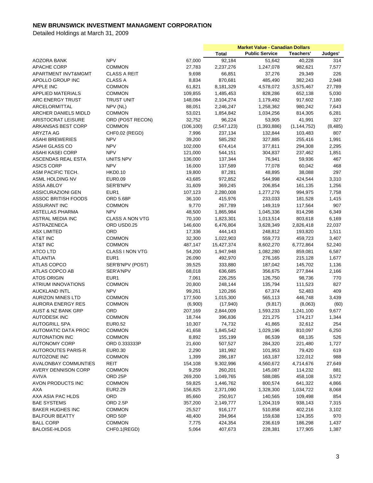|                                            |                                |                   | <b>Market Value - Canadian Dollars</b> |                       |               |          |
|--------------------------------------------|--------------------------------|-------------------|----------------------------------------|-----------------------|---------------|----------|
|                                            |                                |                   | <b>Total</b>                           | <b>Public Service</b> | Teachers'     | Judges'  |
| AOZORA BANK                                | <b>NPV</b>                     | 67,000            | 92,184                                 | 51,642                | 40,228        | 314      |
| APACHE CORP                                | <b>COMMON</b>                  | 27,783            | 2,237,276                              | 1,247,078             | 982,621       | 7,577    |
| APARTMENT INVT&MGMT                        | <b>CLASS A REIT</b>            | 9,698             | 66,851                                 | 37,276                | 29,349        | 226      |
| APOLLO GROUP INC                           | <b>CLASS A</b>                 | 8,834             | 870,681                                | 485,490               | 382,243       | 2,948    |
| <b>APPLE INC</b>                           | <b>COMMON</b>                  | 61,821            | 8,181,329                              | 4,578,072             | 3,575,467     | 27,789   |
| APPLIED MATERIALS                          | <b>COMMON</b>                  | 109,855           | 1,485,453                              | 828,286               | 652,138       | 5,030    |
| ARC ENERGY TRUST                           | <b>TRUST UNIT</b>              | 148,084           | 2,104,274                              | 1,179,492             | 917,602       | 7,180    |
| ARCELORMITTAL                              | NPV (NL)                       | 88,051            | 2,246,247                              | 1,258,362             | 980,242       | 7,643    |
| ARCHER DANIELS MIDLD                       | <b>COMMON</b>                  | 53,021            | 1,854,842                              | 1,034,256             | 814,305       | 6,281    |
| ARISTOCRAT LEISURE                         | ORD (POST RECON)               | 32,752            | 96,224                                 | 53,905                | 41,991        | 327      |
| ARKANSAS BEST CORP                         | <b>COMMON</b>                  | (106, 100)        | (2,547,123)                            | (1,393,886)           | (1, 144, 752) | (8, 485) |
| ARYZTA AG                                  | CHF0.02 (REGD)                 | 7,996             | 237,134                                | 132,844               | 103,483       | 807      |
| <b>ASAHI BREWERIES</b>                     | <b>NPV</b>                     | 39,200            | 585,292                                | 327,885               | 255,416       | 1,991    |
| ASAHI GLASS CO                             | <b>NPV</b>                     | 102,000           | 674,414                                | 377,811               | 294,308       | 2,295    |
| ASAHI KASEI CORP                           | <b>NPV</b>                     | 121,000           | 544,151                                | 304,837               | 237,462       | 1,851    |
| ASCENDAS REAL ESTA                         | UNITS NPV                      | 136,000           | 137,344                                | 76,941                | 59,936        | 467      |
| <b>ASICS CORP</b>                          | <b>NPV</b>                     | 16,000            | 137,589                                | 77,078                | 60,042        | 468      |
| ASM PACIFIC TECH.                          | <b>HKD0.10</b>                 | 19,800            | 87,281                                 | 48,895                | 38,088        | 297      |
| ASML HOLDING NV                            | <b>EUR0.09</b>                 | 43,685            | 972,852                                | 544,998               | 424,544       | 3,310    |
| <b>ASSA ABLOY</b>                          | SER'B'NPV                      | 31,609            | 369,245                                | 206,854               | 161,135       | 1,256    |
| <b>ASSICURAZIONI GEN</b>                   | EUR <sub>1</sub>               | 107,123           | 2,280,008                              | 1,277,276             | 994,975       | 7,758    |
| <b>ASSOC BRITISH FOODS</b>                 | <b>ORD 5.68P</b>               | 36,100            | 415,976                                | 233,033               | 181,528       | 1,415    |
| <b>ASSURANT INC</b>                        | <b>COMMON</b>                  | 9,770             | 267,789                                | 149,319               | 117,564       | 907      |
| <b>ASTELLAS PHARMA</b>                     | <b>NPV</b>                     | 48,500            | 1,865,984                              | 1,045,336             | 814,298       | 6,349    |
| ASTRAL MEDIA INC                           | <b>CLASS A NON VTG</b>         | 70,100            | 1,823,301                              | 1,013,514             | 803,618       | 6,169    |
|                                            | ORD USD0.25                    | 146,600           | 6,476,804                              | 3,628,349             | 2,826,418     | 22,037   |
| ASTRAZENECA                                |                                |                   |                                        |                       |               |          |
| <b>ASX LIMITED</b>                         | ORD                            | 17,336            | 444,143                                | 248,812               | 193,820       | 1,511    |
| <b>AT&amp;T INC</b><br><b>AT&amp;T INC</b> | <b>COMMON</b><br><b>COMMON</b> | 32,300<br>487,147 | 1,022,903                              | 559,773               | 459,723       | 3,407    |
|                                            |                                |                   | 15,427,374                             | 8,602,270             | 6,772,864     | 52,240   |
| ATCO LTD                                   | CLASS I NON VTG                | 54,200            | 1,947,948                              | 1,082,280             | 859,081       | 6,587    |
| <b>ATLANTIA</b>                            | EUR <sub>1</sub>               | 26,090            | 492,970                                | 276,165               | 215,128       | 1,677    |
| ATLAS COPCO                                | SER'B'NPV (POST)               | 39,525            | 333,880                                | 187,042               | 145,702       | 1,136    |
| ATLAS COPCO AB                             | SER'A'NPV                      | 68,018            | 636,685                                | 356,675               | 277,844       | 2,166    |
| <b>ATOS ORIGIN</b>                         | EUR <sub>1</sub>               | 7,061             | 226,255                                | 126,750               | 98,736        | 770      |
| <b>ATRIUM INNOVATIONS</b>                  | <b>COMMON</b>                  | 20,800            | 248,144                                | 135,794               | 111,523       | 827      |
| <b>AUCKLAND INTL</b>                       | <b>NPV</b>                     | 99,261            | 120,266                                | 67,374                | 52,483        | 409      |
| <b>AURIZON MINES LTD</b>                   | COMMON                         | 177,500           | 1,015,300                              | 565,113               | 446,748       | 3,439    |
| <b>AURORA ENERGY RES</b>                   | <b>COMMON</b>                  | (6,900)           | (17, 940)                              | (9, 817)              | (8,063)       | (60)     |
| <b>AUST &amp; NZ BANK GRP</b>              | ORD                            | 207,169           | 2,844,009                              | 1,593,233             | 1,241,100     | 9,677    |
| <b>AUTODESK INC</b>                        | COMMON                         | 18,744            | 396,836                                | 221,275               | 174,217       | 1,344    |
| <b>AUTOGRILL SPA</b>                       | EUR0.52                        | 10,307            | 74,732                                 | 41,865                | 32,612        | 254      |
| <b>AUTOMATIC DATA PROC</b>                 | COMMON                         | 41,658            | 1,845,542                              | 1,029,196             | 810,097       | 6,250    |
| <b>AUTONATION INC</b>                      | COMMON                         | 8,892             | 155,199                                | 86,539                | 68,135        | 526      |
| <b>AUTONOMY CORP</b>                       | ORD 0.333333P                  | 21,600            | 507,527                                | 284,320               | 221,480       | 1,727    |
| <b>AUTOROUTES PARIS-R</b>                  | EUR0.30                        | 2,290             | 181,992                                | 101,953               | 79,420        | 619      |
| <b>AUTOZONE INC</b>                        | <b>COMMON</b>                  | 1,399             | 286,187                                | 163,187               | 122,012       | 988      |
| <b>AVALONBAY COMMUNTIES</b>                | REIT                           | 154,108           | 9,302,996                              | 4,560,672             | 4,714,676     | 27,649   |
| <b>AVERY DENNISON CORP</b>                 | <b>COMMON</b>                  | 9,259             | 260,201                                | 145,087               | 114,232       | 881      |
| <b>AVIVA</b>                               | ORD <sub>25P</sub>             | 269,200           | 1,049,765                              | 588,085               | 458,108       | 3,572    |
| AVON PRODUCTS INC                          | <b>COMMON</b>                  | 59,825            | 1,446,762                              | 800,574               | 641,322       | 4,866    |
| AXA                                        | <b>EUR2.29</b>                 | 156,825           | 2,371,090                              | 1,328,300             | 1,034,722     | 8,068    |
| AXA ASIA PAC HLDS                          | ORD                            | 85,660            | 250,917                                | 140,565               | 109,498       | 854      |
| <b>BAE SYSTEMS</b>                         | ORD 2.5P                       | 357,200           | 2,149,777                              | 1,204,319             | 938,143       | 7,315    |
| <b>BAKER HUGHES INC</b>                    | <b>COMMON</b>                  | 25,527            | 916,177                                | 510,858               | 402,216       | 3,102    |
| <b>BALFOUR BEATTY</b>                      | ORD 50P                        | 48,400            | 284,964                                | 159,638               | 124,355       | 970      |
| <b>BALL CORP</b>                           | <b>COMMON</b>                  | 7,775             | 424,354                                | 236,619               | 186,298       | 1,437    |
| <b>BALOISE-HLDGS</b>                       | CHF0.1(REGD)                   | 5,064             | 407,673                                | 228,381               | 177,905       | 1,387    |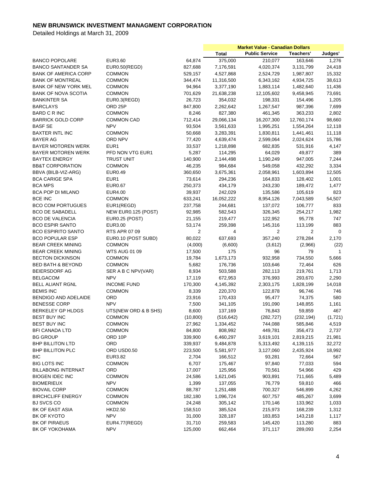|                              |                       |                | <b>Market Value - Canadian Dollars</b> |                       |            |              |
|------------------------------|-----------------------|----------------|----------------------------------------|-----------------------|------------|--------------|
|                              |                       |                | <b>Total</b>                           | <b>Public Service</b> | Teachers'  | Judges'      |
| <b>BANCO POPOLARE</b>        | EUR3.60               | 64,874         | 375,000                                | 210,077               | 163,646    | 1,276        |
| <b>BANCO SANTANDER SA</b>    | EUR0.50(REGD)         | 827,688        | 7,176,591                              | 4,020,374             | 3,131,799  | 24,418       |
| <b>BANK OF AMERICA CORP</b>  | <b>COMMON</b>         | 529,157        | 4,527,868                              | 2,524,729             | 1,987,807  | 15,332       |
| <b>BANK OF MONTREAL</b>      | <b>COMMON</b>         | 344,474        | 11,316,500                             | 6,343,162             | 4,934,725  | 38,613       |
| <b>BANK OF NEW YORK MEL</b>  | <b>COMMON</b>         | 94,964         | 3,377,190                              | 1,883,114             | 1,482,640  | 11,436       |
| <b>BANK OF NOVA SCOTIA</b>   | <b>COMMON</b>         | 701,629        | 21,638,238                             | 12,105,602            | 9,458,945  | 73,691       |
| <b>BANKINTER SA</b>          | EUR0.3(REGD)          | 26,723         | 354,032                                | 198,331               | 154,496    | 1,205        |
| <b>BARCLAYS</b>              | ORD <sub>25P</sub>    | 847,800        | 2,262,642                              | 1,267,547             | 987,396    | 7,699        |
| <b>BARD C R INC</b>          | <b>COMMON</b>         | 8,246          | 827,380                                | 461,345               | 363,233    | 2,802        |
| <b>BARRICK GOLD CORP</b>     | <b>COMMON CAD</b>     | 712,414        | 29,066,134                             | 16,207,300            | 12,760,174 | 98,660       |
|                              | <b>NPV</b>            |                |                                        | 1,995,251             |            |              |
| <b>BASF SE</b>               |                       | 93,504         | 3,561,633                              |                       | 1,554,264  | 12,118       |
| <b>BAXTER INTL INC</b>       | <b>COMMON</b>         | 50,668         | 3,283,391                              | 1,830,811             | 1,441,461  | 11,118       |
| <b>BAYER AG</b>              | ORD NPV               | 77,420         | 4,639,474                              | 2,599,064             | 2,024,624  | 15,786       |
| <b>BAYER MOTOREN WERK</b>    | EUR <sub>1</sub>      | 33,537         | 1,218,898                              | 682,835               | 531,916    | 4,147        |
| <b>BAYER MOTOREN WERK</b>    | PFD NON VTG EUR1      | 5,287          | 114,295                                | 64,029                | 49,877     | 389          |
| <b>BAYTEX ENERGY</b>         | <b>TRUST UNIT</b>     | 140,900        | 2,144,498                              | 1,190,249             | 947,005    | 7,244        |
| <b>BB&amp;T CORPORATION</b>  | <b>COMMON</b>         | 46,235         | 984,684                                | 549,058               | 432,292    | 3,334        |
| BBVA (BILB-VIZ-ARG)          | <b>EUR0.49</b>        | 360,650        | 3,675,361                              | 2,058,961             | 1,603,894  | 12,505       |
| <b>BCA CARIGE SPA</b>        | EUR <sub>1</sub>      | 73,614         | 294,236                                | 164,833               | 128,402    | 1,001        |
| <b>BCA MPS</b>               | <b>EUR0.67</b>        | 250,373        | 434,179                                | 243,230               | 189,472    | 1,477        |
| <b>BCA POP DI MILANO</b>     | <b>EUR4.00</b>        | 39,937         | 242,029                                | 135,586               | 105,619    | 823          |
| <b>BCE INC</b>               | <b>COMMON</b>         | 633,241        | 16,052,222                             | 8,954,126             | 7,043,589  | 54,507       |
| <b>BCO COM PORTUGUES</b>     | EUR1(REGD)            | 237,758        | 244,681                                | 137,072               | 106,777    | 833          |
| <b>BCO DE SABADELL</b>       | NEW EUR0.125 (POST)   | 92,985         | 582,543                                | 326,345               | 254,217    | 1,982        |
| <b>BCO DE VALENCIA</b>       | <b>EUR0.25 (POST)</b> | 21,155         | 219,477                                | 122,952               | 95,778     | 747          |
| <b>BCO ESPIR SANTO</b>       | EUR3.00               | 53,174         | 259,398                                | 145,316               | 113,199    | 883          |
| <b>BCO ESPIRITO SANTO</b>    | RTS APR 07 09         | $\overline{2}$ | 4                                      | 2                     | 2          | 0            |
| <b>BCO POPULAR ESP</b>       | EUR0.10 (POST SUBD)   | 80,022         | 637,693                                | 357,240               | 278,284    | 2,170        |
| <b>BEAR CREEK MINING</b>     | <b>COMMON</b>         | (4,000)        | (6,600)                                | (3,612)               | (2,966)    | (22)         |
| <b>BEAR CREEK MINING</b>     | <b>WTS AUG 01 09</b>  | 17,500         | 175                                    | 96                    | 79         | $\mathbf{1}$ |
| <b>BECTON DICKINSON</b>      | <b>COMMON</b>         | 19,784         | 1,673,173                              | 932,958               | 734,550    | 5,666        |
| <b>BED BATH &amp; BEYOND</b> | <b>COMMON</b>         | 5,682          | 176,736                                | 103,646               | 72,464     | 626          |
| <b>BEIERSDORF AG</b>         | SER A B C NPV(VAR)    | 8,934          | 503,588                                | 282,113               | 219,761    | 1,713        |
| <b>BELGACOM</b>              | <b>NPV</b>            | 17,119         | 672,953                                | 376,993               | 293,670    | 2,290        |
| <b>BELL ALIANT RGNL</b>      | <b>INCOME FUND</b>    | 170,300        | 4,145,392                              | 2,303,175             | 1,828,199  | 14,018       |
| <b>BEMIS INC</b>             | <b>COMMON</b>         | 8,339          | 220,370                                |                       | 96,746     |              |
|                              |                       |                |                                        | 122,878               |            | 746          |
| BENDIGO AND ADELAIDE         | ORD                   | 23,916         | 170,433                                | 95,477                | 74,375     | 580          |
| <b>BENESSE CORP</b>          | <b>NPV</b>            | 7,500          | 341,105                                | 191,090               | 148,855    | 1,161        |
| BERKELEY GP HLDGS            | UTS(NEW ORD & B SHS)  | 8,600          | 137,169                                | 76,843                | 59,859     | 467          |
| BEST BUY INC                 | <b>COMMON</b>         | (10, 800)      | (516, 642)                             | (282, 727)            | (232, 194) | (1,721)      |
| <b>BEST BUY INC</b>          | <b>COMMON</b>         | 27,962         | 1,334,452                              | 744,088               | 585,846    | 4,519        |
| <b>BFI CANADA LTD</b>        | <b>COMMON</b>         | 84,800         | 808,992                                | 449,781               | 356,473    | 2,737        |
| <b>BG GROUP</b>              | ORD 10P               | 339,900        | 6,460,297                              | 3,619,101             | 2,819,215  | 21,981       |
| <b>BHP BILLITON LTD</b>      | ORD                   | 339,937        | 9,484,878                              | 5,313,492             | 4,139,115  | 32,272       |
| <b>BHP BILLITON PLC</b>      | ORD USD0.50           | 223,500        | 5,581,977                              | 3,127,060             | 2,435,924  | 18,992       |
| <b>BIC</b>                   | EUR3.82               | 2,704          | 166,512                                | 93,281                | 72,664     | 567          |
| <b>BIG LOTS INC</b>          | <b>COMMON</b>         | 6,707          | 175,467                                | 97,840                | 77,033     | 594          |
| <b>BILLABONG INTERNAT</b>    | ORD                   | 17,007         | 125,956                                | 70,561                | 54,966     | 429          |
| <b>BIOGEN IDEC INC</b>       | <b>COMMON</b>         | 24,586         | 1,621,045                              | 903,891               | 711,665    | 5,489        |
| <b>BIOMERIEUX</b>            | <b>NPV</b>            | 1,399          | 137,055                                | 76,779                | 59,810     | 466          |
| <b>BIOVAIL CORP</b>          | <b>COMMON</b>         | 88,787         | 1,251,488                              | 700,327               | 546,899    | 4,262        |
| <b>BIRCHCLIFF ENERGY</b>     | <b>COMMON</b>         | 182,180        | 1,096,724                              | 607,757               | 485,267    | 3,699        |
| <b>BJ SVCS CO</b>            | <b>COMMON</b>         | 24,248         | 305,142                                | 170,146               | 133,962    | 1,033        |
| BK OF EAST ASIA              | HKD2.50               | 158,510        | 385,524                                | 215,973               | 168,239    | 1,312        |
| BK OF KYOTO                  | <b>NPV</b>            | 31,000         | 328,187                                | 183,853               | 143,218    | 1,117        |
| <b>BK OF PIRAEUS</b>         | EUR4.77(REGD)         | 31,710         | 259,583                                | 145,420               | 113,280    | 883          |
| BK OF YOKOHAMA               | <b>NPV</b>            | 125,000        | 662,464                                | 371,117               | 289,093    | 2,254        |
|                              |                       |                |                                        |                       |            |              |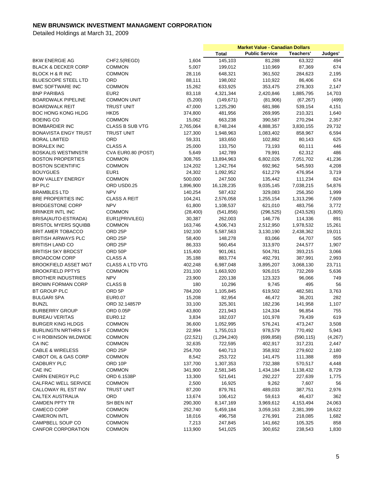|                                                |                        |           | <b>Market Value - Canadian Dollars</b> |                       |            |         |
|------------------------------------------------|------------------------|-----------|----------------------------------------|-----------------------|------------|---------|
|                                                |                        |           | <b>Total</b>                           | <b>Public Service</b> | Teachers'  | Judges' |
| <b>BKW ENERGIE AG</b>                          | CHF2.5(REGD)           | 1,604     | 145,103                                | 81,288                | 63,322     | 494     |
| <b>BLACK &amp; DECKER CORP</b>                 | <b>COMMON</b>          | 5,007     | 199,012                                | 110,969               | 87,369     | 674     |
| BLOCK H & R INC                                | <b>COMMON</b>          | 28,116    | 648,321                                | 361,502               | 284,623    | 2,195   |
| <b>BLUESCOPE STEEL LTD</b>                     | ORD                    | 88,111    | 198,002                                | 110,922               | 86,406     | 674     |
| <b>BMC SOFTWARE INC</b>                        | <b>COMMON</b>          | 15,262    | 633,925                                | 353,475               | 278,303    | 2,147   |
| <b>BNP PARIBAS</b>                             | EUR <sub>2</sub>       | 83,118    | 4,321,344                              | 2,420,846             | 1,885,795  | 14,703  |
| <b>BOARDWALK PIPELINE</b>                      | <b>COMMON UNIT</b>     | (5,200)   | (149, 671)                             | (81,906)              | (67, 267)  | (499)   |
| <b>BOARDWALK REIT</b>                          | <b>TRUST UNIT</b>      | 47,000    | 1,225,290                              | 681,986               | 539,154    | 4,151   |
| <b>BOC HONG KONG HLDG</b>                      | HKD <sub>5</sub>       | 374,800   | 481,956                                | 269,995               | 210,321    | 1,640   |
| <b>BOEING CO</b>                               | <b>COMMON</b>          | 15,062    | 663,238                                | 390,587               | 270,294    | 2,357   |
| <b>BOMBARDIER INC</b>                          | <b>CLASS B SUB VTG</b> | 2,765,064 | 8,748,244                              | 4,888,357             | 3,830,155  | 29,732  |
| <b>BONAVISTA ENGY TRUST</b>                    | <b>TRUST UNIT</b>      | 127,300   | 1,948,963                              | 1,083,402             | 858,967    | 6,594   |
| <b>BORAL LIMITED</b>                           | ORD                    | 59,331    | 183,650                                | 102,882               | 80,143     | 625     |
| <b>BORALEX INC</b>                             | CLASS A                | 25,000    | 133,750                                | 73,193                | 60,111     | 446     |
| <b>BOSKALIS WESTMNSTR</b>                      | CVA EUR0.80 (POST)     | 5,649     | 142,789                                | 79,991                | 62,312     | 486     |
| <b>BOSTON PROPERTIES</b>                       | <b>COMMON</b>          | 308,765   | 13,894,963                             | 6,802,026             | 7,051,702  | 41,236  |
| <b>BOSTON SCIENTIFIC</b>                       | <b>COMMON</b>          | 124,202   | 1,242,764                              | 692,962               | 545,593    | 4,208   |
| <b>BOUYGUES</b>                                | EUR <sub>1</sub>       | 24,302    | 1,092,952                              | 612,279               | 476,954    | 3,719   |
| <b>BOW VALLEY ENERGY</b>                       | <b>COMMON</b>          | 500,000   | 247,500                                | 135,442               | 111,234    | 824     |
| BP PLC                                         | ORD USD0.25            | 1,896,900 | 16,128,235                             | 9,035,145             | 7,038,215  | 54,876  |
| <b>BRAMBLES LTD</b>                            | <b>NPV</b>             | 140,254   | 587,432                                | 329,083               | 256,350    | 1,999   |
| BRE PROPERTIES INC                             | <b>CLASS A REIT</b>    | 104,241   | 2,576,058                              | 1,255,154             | 1,313,296  | 7,609   |
| <b>BRIDGESTONE CORP</b>                        | <b>NPV</b>             | 61,800    | 1,108,537                              | 621,010               | 483,756    | 3,772   |
| <b>BRINKER INTL INC</b>                        | <b>COMMON</b>          | (28, 400) | (541, 856)                             | (296, 525)            | (243, 526) | (1,805) |
| BRISA(AUTO-ESTRADA)                            | EUR1(PRIVILEG)         | 30,387    | 262,003                                | 146,776               | 114,336    | 891     |
| <b>BRISTOL MYERS SQUIBB</b>                    | <b>COMMON</b>          | 163,746   | 4,506,743                              | 2,512,950             | 1,978,532  | 15,261  |
| <b>BRIT AMER TOBACCO</b>                       | ORD 25P                | 192,100   | 5,587,563                              | 3,130,190             | 2,438,362  | 19,011  |
| <b>BRITISH AIRWAYS PLC</b>                     | ORD 25P                | 58,400    | 148,278                                | 83,066                | 64,707     | 505     |
| <b>BRITISH LAND CO</b>                         | ORD <sub>25P</sub>     | 86,333    | 560,454                                | 313,970               | 244,577    | 1,907   |
| <b>BRITISH SKY BRDCST</b>                      | ORD 50P                | 115,400   | 901,061                                | 504,781               | 393,215    | 3,066   |
| <b>BROADCOM CORP</b>                           | <b>CLASS A</b>         |           | 883,774                                | 492,791               | 387,991    | 2,993   |
| <b>BROOKFIELD ASSET MGT</b>                    | <b>CLASS A LTD VTG</b> | 35,188    |                                        |                       |            | 23,711  |
|                                                |                        | 402,248   | 6,987,048                              | 3,895,207             | 3,068,130  |         |
| <b>BROOKFIELD PPTYS</b>                        | <b>COMMON</b>          | 231,100   | 1,663,920                              | 926,015               | 732,269    | 5,636   |
| <b>BROTHER INDUSTRIES</b><br>BROWN FORMAN CORP | <b>NPV</b>             | 23,900    | 220,138                                | 123,323               | 96,066     | 749     |
|                                                | <b>CLASS B</b>         | 180       | 10,296                                 | 9,745                 | 495        | 56      |
| BT GROUP PLC                                   | ORD 5P                 | 784,200   | 1,105,845                              | 619,502               | 482,581    | 3,763   |
| <b>BULGARI SPA</b>                             | <b>EUR0.07</b>         | 15,208    | 82,954                                 | 46,472                | 36,201     | 282     |
| <b>BUNZL</b>                                   | ORD 32.14857P          | 33,100    | 325,301                                | 182,236               | 141,958    | 1,107   |
| <b>BURBERRY GROUP</b>                          | <b>ORD 0.05P</b>       | 43,800    | 221,943                                | 124,334               | 96,854     | 755     |
| <b>BUREAU VERITAS</b>                          | EUR0.12                | 3,834     | 182,037                                | 101,978               | 79,439     | 619     |
| <b>BURGER KING HLDGS</b>                       | COMMON                 | 36,600    | 1,052,995                              | 576,241               | 473,247    | 3,508   |
| BURLINGTN NRTHRN S F                           | <b>COMMON</b>          | 22,994    | 1,755,013                              | 978,579               | 770,492    | 5,943   |
| C H ROBINSON WLDWIDE                           | <b>COMMON</b>          | (22, 521) | (1,294,240)                            | (699, 858)            | (590, 115) | (4,267) |
| CA INC                                         | <b>COMMON</b>          | 32,635    | 722,595                                | 402,917               | 317,231    | 2,447   |
| <b>CABLE &amp; WIRELESS</b>                    | ORD <sub>25P</sub>     | 254,700   | 640,713                                | 358,932               | 279,602    | 2,180   |
| CABOT OIL & GAS CORP                           | <b>COMMON</b>          | 8,542     | 253,722                                | 141,475               | 111,388    | 859     |
| CADBURY PLC                                    | ORD 10P                | 137,700   | 1,307,353                              | 732,388               | 570,517    | 4,448   |
| CAE INC                                        | <b>COMMON</b>          | 341,900   | 2,581,345                              | 1,434,184             | 1,138,432  | 8,729   |
| <b>CAIRN ENERGY PLC</b>                        | ORD 6.1538P            | 13,300    | 521,641                                | 292,227               | 227,639    | 1,775   |
| CALFRAC WELL SERVICE                           | <b>COMMON</b>          | 2,500     | 16,925                                 | 9,262                 | 7,607      | 56      |
| CALLOWAY RL EST INV                            | <b>TRUST UNIT</b>      | 87,200    | 879,761                                | 489,033               | 387,751    | 2,976   |
| CALTEX AUSTRALIA                               | ORD                    | 13,674    | 106,412                                | 59,613                | 46,437     | 362     |
| <b>CAMDEN PPTY TR</b>                          | SH BEN INT             | 290,300   | 8,147,169                              | 3,969,612             | 4,153,494  | 24,063  |
| CAMECO CORP                                    | <b>COMMON</b>          | 252,740   | 5,459,184                              | 3,059,163             | 2,381,399  | 18,622  |
| <b>CAMERON INTL</b>                            | <b>COMMON</b>          | 18,016    | 496,758                                | 276,991               | 218,085    | 1,682   |
| CAMPBELL SOUP CO                               | <b>COMMON</b>          | 7,213     | 247,845                                | 141,662               | 105,325    | 858     |
| <b>CANFOR CORPORATION</b>                      | <b>COMMON</b>          | 113,900   | 541,025                                | 300,652               | 238,543    | 1,830   |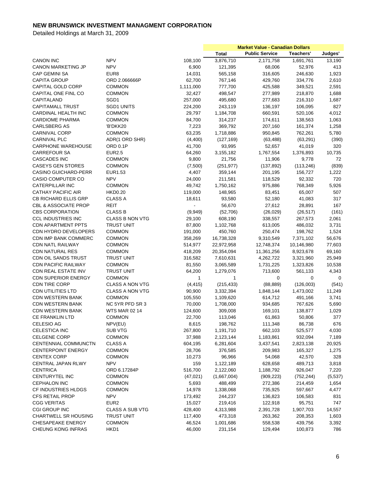|                                 |                        |                          | <b>Market Value - Canadian Dollars</b> |                       |             |         |
|---------------------------------|------------------------|--------------------------|----------------------------------------|-----------------------|-------------|---------|
|                                 |                        |                          | <b>Total</b>                           | <b>Public Service</b> | Teachers'   | Judges' |
| <b>CANON INC</b>                | <b>NPV</b>             | 108,100                  | 3,876,710                              | 2,171,758             | 1,691,761   | 13,190  |
| <b>CANON MARKETING JP</b>       | <b>NPV</b>             | 6,900                    | 121,395                                | 68,006                | 52,976      | 413     |
| <b>CAP GEMINI SA</b>            | EUR8                   | 14,031                   | 565,158                                | 316,605               | 246,630     | 1,923   |
| <b>CAPITA GROUP</b>             | ORD 2.066666P          | 62,700                   | 767,146                                | 429,760               | 334,776     | 2,610   |
| CAPITAL GOLD CORP               | <b>COMMON</b>          | 1,111,000                | 777,700                                | 425,588               | 349,521     | 2,591   |
| CAPITAL ONE FINL CO             | <b>COMMON</b>          | 32,427                   | 498,547                                | 277,989               | 218,870     | 1,688   |
| CAPITALAND                      | SGD1                   | 257,000                  | 495,680                                | 277,683               | 216,310     | 1,687   |
| <b>CAPITAMALL TRUST</b>         | <b>SGD1 UNITS</b>      | 224,200                  | 243,119                                | 136,197               | 106,095     | 827     |
| CARDINAL HEALTH INC             | <b>COMMON</b>          | 29,797                   |                                        | 660,591               |             | 4,012   |
|                                 |                        |                          | 1,184,708<br>314,237                   |                       | 520,106     |         |
| <b>CARDIOME PHARMA</b>          | <b>COMMON</b>          | 84,700                   |                                        | 174,611               | 138,563     | 1,063   |
| <b>CARLSBERG AS</b>             | 'B'DKK20               | 7,223                    | 369,792                                | 207,160               | 161,374     | 1,258   |
| <b>CARNIVAL CORP</b>            | <b>COMMON</b>          | 63,235                   | 1,718,886                              | 950,845               | 762,261     | 5,780   |
| <b>CARNIVAL PLC</b>             | ADR(1 ORD SHR)         | (4,400)                  | (127, 169)                             | (63, 488)             | (63, 291)   | (390)   |
| CARPHONE WAREHOUSE              | <b>ORD 0.1P</b>        | 41,700                   | 93,995                                 | 52,657                | 41,019      | 320     |
| <b>CARREFOUR SA</b>             | <b>EUR2.5</b>          | 64,260                   | 3,155,182                              | 1,767,554             | 1,376,893   | 10,735  |
| <b>CASCADES INC</b>             | <b>COMMON</b>          | 9,800                    | 21,756                                 | 11,906                | 9,778       | 72      |
| <b>CASEYS GEN STORES</b>        | <b>COMMON</b>          | (7,500)                  | (251, 977)                             | (137, 892)            | (113, 246)  | (839)   |
| <b>CASINO GUICHARD-PERR</b>     | EUR1.53                | 4,407                    | 359,144                                | 201,195               | 156,727     | 1,222   |
| <b>CASIO COMPUTER CO</b>        | <b>NPV</b>             | 24,000                   | 211,581                                | 118,529               | 92,332      | 720     |
| CATERPILLAR INC                 | <b>COMMON</b>          | 49,742                   | 1,750,162                              | 975,886               | 768,349     | 5,926   |
| <b>CATHAY PACIFIC AIR</b>       | <b>HKD0.20</b>         | 119,000                  | 148,965                                | 83,451                | 65,007      | 507     |
| CB RICHARD ELLIS GRP            | <b>CLASS A</b>         | 18,611                   | 93,580                                 | 52,180                | 41,083      | 317     |
| <b>CBL &amp; ASSOCIATE PROP</b> | REIT                   | $\overline{\phantom{a}}$ | 56,670                                 | 27,612                | 28,891      | 167     |
| <b>CBS CORPORATION</b>          | <b>CLASS B</b>         | (9,949)                  | (52,706)                               | (26, 029)             | (26, 517)   | (161)   |
| <b>CCL INDUSTRIES INC</b>       | <b>CLASS B NON VTG</b> | 29,100                   | 608,190                                | 338,557               | 267,573     | 2,061   |
| <b>CDN APARTMENT PPTS</b>       | <b>TRUST UNIT</b>      | 87,800                   | 1,102,768                              | 613,005               | 486,032     | 3,731   |
| CDN HYDRO DEVELOPERS            | <b>COMMON</b>          | 191,000                  | 450,760                                | 250,474               | 198,762     | 1,524   |
| <b>CDN IMP BANK COMMERC</b>     | <b>COMMON</b>          | 358,269                  | 16,738,328                             | 9,310,549             | 7,371,102   | 56,676  |
| <b>CDN NATL RAILWAY</b>         | <b>COMMON</b>          | 514,977                  | 22,972,958                             | 12,748,374            | 10,146,980  | 77,603  |
| <b>CDN NATURAL RES</b>          | <b>COMMON</b>          | 418,209                  | 20,354,094                             | 11,361,256            | 8,923,678   | 69,160  |
| CDN OIL SANDS TRUST             | <b>TRUST UNIT</b>      | 316,582                  | 7,610,631                              | 4,262,722             | 3,321,960   | 25,949  |
| <b>CDN PACIFIC RAILWAY</b>      | <b>COMMON</b>          | 81,550                   | 3,065,589                              | 1,731,225             | 1,323,826   | 10,538  |
| <b>CDN REAL ESTATE INV</b>      | <b>TRUST UNIT</b>      | 64,200                   | 1,279,076                              | 713,600               | 561,133     | 4,343   |
| <b>CDN SUPERIOR ENERGY</b>      | <b>COMMON</b>          | $\mathbf{1}$             | 1                                      | 0                     | $\mathbf 0$ | 0       |
| <b>CDN TIRE CORP</b>            | <b>CLASS A NON VTG</b> | (4, 415)                 | (215, 433)                             | (88, 889)             | (126,003)   | (541)   |
| <b>CDN UTILITIES LTD</b>        | <b>CLASS A NON VTG</b> | 90,900                   | 3,332,394                              | 1,848,144             | 1,473,002   | 11,249  |
| <b>CDN WESTERN BANK</b>         | <b>COMMON</b>          | 105,550                  | 1,109,620                              | 614,712               | 491,166     | 3,741   |
| <b>CDN WESTERN BANK</b>         | NC 5YR PFD SR 3        | 70,000                   | 1,708,000                              | 934,685               | 767,626     | 5,690   |
| <b>CDN WESTERN BANK</b>         | <b>WTS MAR 02 14</b>   | 124,600                  | 309,008                                | 169,101               | 138,877     | 1,029   |
| <b>CE FRANKLIN LTD</b>          | <b>COMMON</b>          | 22,700                   | 113,046                                | 61,863                | 50,806      | 377     |
| CELESIO AG                      | NPV(EU)                | 8,615                    | 198,762                                | 111,348               | 86,738      | 676     |
| CELESTICA INC                   | <b>SUB VTG</b>         | 267,800                  | 1,191,710                              | 662,103               | 525,577     | 4,030   |
| <b>CELGENE CORP</b>             | <b>COMMON</b>          | 37,988                   | 2,123,144                              | 1,183,861             | 932,094     | 7,189   |
| CENTENNIAL COMMUNCTN            | <b>CLASS A</b>         | 604,195                  | 6,281,604                              | 3,437,541             | 2,823,138   | 20,925  |
| <b>CENTERPOINT ENERGY</b>       | <b>COMMON</b>          | 28,706                   | 376,585                                | 209,983               | 165,327     | 1,275   |
| <b>CENTEX CORP</b>              | COMMON                 | 10,273                   | 96,966                                 |                       | 42,570      |         |
|                                 |                        |                          |                                        | 54,068                |             | 328     |
| CENTRAL JAPAN RLWY              | <b>NPV</b>             | 159                      | 1,122,189                              | 628,658               | 489,713     | 3,818   |
| <b>CENTRICA</b>                 | ORD 6.17284P           | 516,700                  | 2,122,060                              | 1,188,792             | 926,047     | 7,220   |
| CENTURYTEL INC                  | <b>COMMON</b>          | (47, 021)                | (1,667,004)                            | (909, 223)            | (752, 244)  | (5,537) |
| <b>CEPHALON INC</b>             | COMMON                 | 5,693                    | 488,499                                | 272,386               | 214,459     | 1,654   |
| CF INDUSTRIES HLDGS             | COMMON                 | 14,978                   | 1,338,068                              | 735,925               | 597,667     | 4,477   |
| <b>CFS RETAIL PROP</b>          | <b>NPV</b>             | 173,492                  | 244,237                                | 136,823               | 106,583     | 831     |
| <b>CGG VERITAS</b>              | EUR <sub>2</sub>       | 15,027                   | 219,416                                | 122,918               | 95,751      | 747     |
| <b>CGI GROUP INC</b>            | <b>CLASS A SUB VTG</b> | 428,400                  | 4,313,988                              | 2,391,728             | 1,907,703   | 14,557  |
| <b>CHARTWELL SR HOUSING</b>     | <b>TRUST UNIT</b>      | 117,400                  | 473,318                                | 263,362               | 208,353     | 1,603   |
| CHESAPEAKE ENERGY               | <b>COMMON</b>          | 46,524                   | 1,001,686                              | 558,538               | 439,756     | 3,392   |
| CHEUNG KONG INFRAS              | HKD1                   | 46,000                   | 231,154                                | 129,494               | 100,873     | 786     |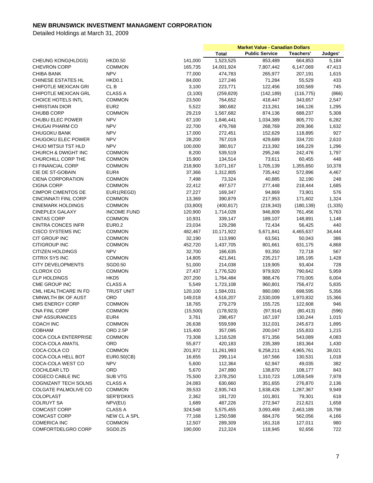|                                       |                                |                   | <b>Market Value - Canadian Dollars</b> |                       |                   |          |
|---------------------------------------|--------------------------------|-------------------|----------------------------------------|-----------------------|-------------------|----------|
|                                       |                                |                   | <b>Total</b>                           | <b>Public Service</b> | Teachers'         | Judges'  |
| <b>CHEUNG KONG(HLDGS)</b>             | <b>HKD0.50</b>                 | 141,000           | 1,523,525                              | 853,489               | 664,853           | 5,184    |
| <b>CHEVRON CORP</b>                   | <b>COMMON</b>                  | 165,735           | 14,001,924                             | 7,807,442             | 6,147,069         | 47,413   |
| <b>CHIBA BANK</b>                     | <b>NPV</b>                     | 77,000            | 474,783                                | 265,977               | 207,191           | 1,615    |
| CHINESE ESTATES HL                    | HKD <sub>0.1</sub>             | 84,000            | 127,246                                | 71,284                | 55,529            | 433      |
| CHIPOTLE MEXICAN GRI                  | CL <sub>B</sub>                | 3,100             | 223,771                                | 122,456               | 100,569           | 745      |
| <b>CHIPOTLE MEXICAN GRL</b>           | <b>CLASS A</b>                 | (3, 100)          | (259, 829)                             | (142, 189)            | (116, 775)        | (866)    |
| <b>CHOICE HOTELS INTL</b>             | <b>COMMON</b>                  | 23,500            | 764,652                                | 418,447               | 343,657           | 2,547    |
| <b>CHRISTIAN DIOR</b>                 | EUR <sub>2</sub>               | 5,522             | 380,682                                | 213,261               | 166,126           | 1,295    |
| <b>CHUBB CORP</b>                     | <b>COMMON</b>                  | 29,219            | 1,567,682                              | 874,136               | 688,237           | 5,308    |
| CHUBU ELEC POWER                      | <b>NPV</b>                     | 67,100            | 1,846,441                              | 1,034,389             | 805,770           | 6,282    |
| CHUGAI PHARM CO                       | <b>NPV</b>                     | 22,700            | 479,768                                | 268,769               | 209,366           | 1,632    |
| <b>CHUGOKU BANK</b>                   | <b>NPV</b>                     | 17,000            | 272,451                                | 152,629               | 118,895           | 927      |
| CHUGOKU ELEC POWER                    | <b>NPV</b>                     | 28,200            | 767,019                                | 429,689               | 334,720           | 2,610    |
| CHUO MITSUI TST HLD                   | <b>NPV</b>                     | 100,000           | 380,917                                | 213,392               | 166,229           | 1,296    |
| CHURCH & DWIGHT INC                   | <b>COMMON</b>                  | 8,200             | 539,519                                | 295,246               | 242,476           | 1,797    |
| CHURCHILL CORP THE                    | <b>COMMON</b>                  | 15,900            | 134,514                                | 73,611                | 60,455            | 448      |
| CI FINANCIAL CORP                     | <b>COMMON</b>                  | 218,900           | 3,071,167                              | 1,705,139             | 1,355,650         | 10,378   |
| CIE DE ST-GOBAIN                      | EUR4                           | 37,366            | 1,312,805                              | 735,442               | 572,896           | 4,467    |
| <b>CIENA CORPORATION</b>              | <b>COMMON</b>                  | 7,498             | 73,324                                 | 40,885                | 32,190            | 248      |
| <b>CIGNA CORP</b>                     | <b>COMMON</b>                  | 22,412            | 497,577                                | 277,448               | 218,444           | 1,685    |
| <b>CIMPOR CIMENTOS DE</b>             | EUR1(REGD)                     | 27,227            | 169,347                                | 94,869                | 73,901            | 576      |
| CINCINNATI FINL CORP                  | <b>COMMON</b>                  | 13,369            | 390,879                                | 217,953               | 171,602           | 1,324    |
| <b>CINEMARK HOLDINGS</b>              | <b>COMMON</b>                  | (33,800)          | (400, 817)                             | (219, 343)            | (180, 139)        | (1, 335) |
| <b>CINEPLEX GALAXY</b>                | <b>INCOME FUND</b>             | 120,900           | 1,714,028                              | 946,809               | 761,456           | 5,763    |
| <b>CINTAS CORP</b>                    | <b>COMMON</b>                  | 10,931            | 339,147                                | 189,107               | 148,891           | 1,148    |
|                                       |                                |                   |                                        |                       |                   |          |
| <b>CINTRA CONCES INFR</b>             | <b>EUR0.2</b>                  | 23,034            | 129,298                                | 72,434                | 56,425            | 440      |
| CISCO SYSTEMS INC                     | <b>COMMON</b>                  | 482,467           | 10,171,922                             | 5,671,841             | 4,465,637         | 34,444   |
| CIT GROUP INC<br><b>CITIGROUP INC</b> | <b>COMMON</b><br><b>COMMON</b> | 32,190<br>452,720 | 113,990                                | 63,561                | 50,043<br>631,175 | 386      |
|                                       | <b>NPV</b>                     |                   | 1,437,705                              | 801,661               |                   | 4,868    |
| <b>CITIZEN HOLDINGS</b>               |                                | 32,700            | 166,635                                | 93,350                | 72,718            | 567      |
| <b>CITRIX SYS INC</b>                 | <b>COMMON</b>                  | 14,805            | 421,841                                | 235,217               | 185,195           | 1,428    |
| <b>CITY DEVELOPMENTS</b>              | SGD0.50                        | 51,000            | 214,038                                | 119,905               | 93,404            | 728      |
| <b>CLOROX CO</b>                      | <b>COMMON</b>                  | 27,437            | 1,776,520                              | 979,920               | 790,642           | 5,959    |
| <b>CLP HOLDINGS</b>                   | HKD <sub>5</sub>               | 207,200           | 1,764,484                              | 988,476               | 770,005           | 6,004    |
| CME GROUP INC                         | <b>CLASS A</b>                 | 5,549             | 1,723,108                              | 960,801               | 756,472           | 5,835    |
| CML HEALTHCARE IN FD                  | <b>TRUST UNIT</b>              | 120,100           | 1,584,031                              | 880,080               | 698,595           | 5,356    |
| <b>CMNWLTH BK OF AUST</b>             | ORD                            | 149,018           | 4,516,207                              | 2,530,009             | 1,970,832         | 15,366   |
| <b>CMS ENERGY CORP</b>                | <b>COMMON</b>                  | 18,765            | 279,279                                | 155,725               | 122,608           | 946      |
| <b>CNA FINL CORP</b>                  | <b>COMMON</b>                  | (15,500)          | (178, 923)                             | (97, 914)             | (80, 413)         | (596)    |
| <b>CNP ASSURANCES</b>                 | EUR4                           | 3,761             | 298,457                                | 167,197               | 130,244           | 1,015    |
| COACH INC                             | COMMON                         | 26,638            | 559,599                                | 312,031               | 245,673           | 1,895    |
| <b>COBHAM</b>                         | ORD 2.5P                       | 115,400           | 357,095                                | 200,047               | 155,833           | 1,215    |
| <b>COCA COLA ENTERPRISE</b>           | <b>COMMON</b>                  | 73,308            | 1,218,528                              | 671,356               | 543,089           | 4,083    |
| COCA-COLA AMATIL                      | ORD                            | 55,877            | 420,183                                | 235,389               | 183,364           | 1,430    |
| COCA-COLA CO                          | <b>COMMON</b>                  | 201,972           | 11,261,993                             | 6,258,211             | 4,965,761         | 38,021   |
| COCA-COLA HELL BOT                    | EUR0.50(CB)                    | 16,655            | 299,114                                | 167,566               | 130,531           | 1,018    |
| COCA-COLA WEST CO                     | <b>NPV</b>                     | 5,600             | 112,364                                | 62,947                | 49,035            | 382      |
| <b>COCHLEAR LTD</b>                   | ORD                            | 5,670             | 247,890                                | 138,870               | 108,177           | 843      |
| COGECO CABLE INC                      | <b>SUB VTG</b>                 | 75,500            | 2,378,250                              | 1,310,723             | 1,059,549         | 7,978    |
| COGNIZANT TECH SOLNS                  | <b>CLASS A</b>                 | 24,083            | 630,660                                | 351,655               | 276,870           | 2,136    |
| <b>COLGATE PALMOLIVE CO</b>           | <b>COMMON</b>                  | 39,533            | 2,935,743                              | 1,638,426             | 1,287,367         | 9,949    |
| <b>COLOPLAST</b>                      | SER'B'DKK5                     | 2,362             | 181,720                                | 101,801               | 79,301            | 618      |
| <b>COLRUYT SA</b>                     | NPV(EU)                        | 1,689             | 487,226                                | 272,947               | 212,621           | 1,658    |
| <b>COMCAST CORP</b>                   | <b>CLASS A</b>                 | 324,548           | 5,575,455                              | 3,093,469             | 2,463,189         | 18,798   |
| <b>COMCAST CORP</b>                   | NEW CL A SPL                   | 77,168            | 1,250,598                              | 684,376               | 562,056           | 4,166    |
| <b>COMERICA INC</b>                   | <b>COMMON</b>                  | 12,507            | 289,309                                | 161,318               | 127,011           | 980      |
| COMFORTDELGRO CORP                    | SGD0.25                        | 190,000           | 212,324                                | 118,945               | 92,656            | 722      |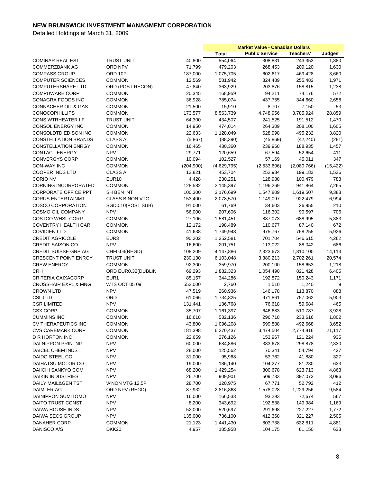|                                 |                        |                  | <b>Market Value - Canadian Dollars</b> |                       |                   |            |
|---------------------------------|------------------------|------------------|----------------------------------------|-----------------------|-------------------|------------|
|                                 |                        |                  | <b>Total</b>                           | <b>Public Service</b> | Teachers'         | Judges'    |
| <b>COMINAR REAL EST</b>         | <b>TRUST UNIT</b>      | 40,800           | 554,064                                | 308,831               | 243,353           | 1,880      |
| <b>COMMERZBANK AG</b>           | ORD NPV                | 71,799           | 479,203                                | 268,453               | 209,120           | 1,630      |
| <b>COMPASS GROUP</b>            | ORD 10P                | 187,000          | 1,075,705                              | 602,617               | 469,428           | 3,660      |
| <b>COMPUTER SCIENCES</b>        | <b>COMMON</b>          | 12,569           | 581,942                                | 324,489               | 255,482           | 1,971      |
| <b>COMPUTERSHARE LTD</b>        | ORD (POST RECON)       | 47,840           | 363,929                                | 203,876               | 158,815           | 1,238      |
| <b>COMPUWARE CORP</b>           | <b>COMMON</b>          | 20,345           | 168,959                                | 94,211                | 74,176            | 572        |
| CONAGRA FOODS INC               | <b>COMMON</b>          | 36,928           | 785,074                                | 437,755               | 344,660           | 2,658      |
| <b>CONNACHER OIL &amp; GAS</b>  | <b>COMMON</b>          | 21,500           | 15,910                                 | 8,707                 | 7,150             | 53         |
| <b>CONOCOPHILLIPS</b>           | <b>COMMON</b>          | 173,577          | 8,563,739                              | 4,748,956             | 3,785,924         | 28,859     |
| <b>CONS WTRHEATER IF</b>        | <b>TRUST UNIT</b>      | 64,300           | 434,507                                | 241,525               | 191,512           | 1,470      |
| CONSOL ENERGY INC               | <b>COMMON</b>          | 14,950           | 474,014                                | 264,309               | 208,100           | 1,605      |
| CONSOLDTD EDISON INC            | <b>COMMON</b>          | 22,633           | 1,128,049                              | 628,998               | 495,232           | 3,820      |
| <b>CONSTELLATION BRANDS</b>     | <b>CLASS A</b>         | (5,867)          | (88, 390)                              | (45, 869)             | (42, 240)         | (281)      |
| <b>CONSTELLATION ENRGY</b>      | <b>COMMON</b>          | 16,465           | 430,360                                | 239,968               | 188,935           | 1,457      |
| <b>CONTACT ENERGY</b>           | <b>NPV</b>             | 29,771           | 120,659                                | 67,594                | 52,654            | 411        |
| <b>CONVERGYS CORP</b>           | <b>COMMON</b>          | 10,094           | 102,527                                | 57,169                | 45,011            | 347        |
| CON-WAY INC                     | <b>COMMON</b>          | (204, 900)       | (4,629,795)                            | (2,533,606)           | (2,080,766)       | (15, 422)  |
| <b>COOPER INDS LTD</b>          | <b>CLASS A</b>         | 13,821           | 453,704                                | 252,984               | 199,183           | 1,536      |
| <b>CORIO NV</b>                 | <b>EUR10</b>           | 4,428            | 230,251                                | 128,988               | 100,479           | 783        |
| <b>CORNING INCORPORATED</b>     | <b>COMMON</b>          | 128,582          | 2,145,397                              | 1,196,269             | 941,864           | 7,265      |
| <b>CORPORATE OFFICE PPT</b>     | SH BEN INT             | 100,300          | 3,176,699                              | 1,547,809             | 1,619,507         | 9,383      |
| <b>CORUS ENTERTAINMT</b>        | <b>CLASS B NON VTG</b> | 153,400          | 2,078,570                              | 1,149,097             | 922,479           | 6,994      |
| <b>COSCO CORPORATION</b>        | SGD0.10(POST SUB)      | 91,000           | 61,769                                 | 34,603                | 26,955            | 210        |
| COSMO OIL COMPANY               | <b>NPV</b>             | 56,000           | 207,606                                | 116,302               | 90,597            | 706        |
| <b>COSTCO WHSL CORP</b>         | <b>COMMON</b>          | 27,106           | 1,581,451                              | 887,073               | 688,995           | 5,383      |
| <b>COVENTRY HEALTH CAR</b>      | <b>COMMON</b>          | 12,172           | 198,489                                | 110,677               | 87,140            | 672        |
| <b>COVIDIEN LTD</b>             | <b>COMMON</b>          | 41,638           | 1,749,948                              | 975,767               | 768,255           | 5,926      |
| <b>CREDIT AGRICOLE</b>          | EUR <sub>3</sub>       |                  | 1,252,581                              |                       |                   | 4,262      |
| <b>CREDIT SAISON CO</b>         | <b>NPV</b>             | 90,202<br>16,600 | 201,751                                | 701,704<br>113,022    | 546,615<br>88,042 | 686        |
| <b>CREDIT SUISSE GRP AG</b>     | CHF0.04(REGD)          | 108,209          | 4,147,886                              | 2,323,673             | 1,810,100         | 14,113     |
| <b>CRESCENT POINT ENRGY</b>     | <b>TRUST UNIT</b>      | 230,130          | 6,103,048                              | 3,380,213             | 2,702,261         | 20,574     |
| <b>CREW ENERGY</b>              | <b>COMMON</b>          |                  |                                        |                       |                   |            |
| <b>CRH</b>                      | ORD EUR0.32(DUBLIN     | 92,300           | 359,970<br>1,882,323                   | 200,100<br>1,054,490  | 158,653           | 1,218      |
| <b>CRITERIA CAIXACORP</b>       | EUR <sub>1</sub>       | 69,293           |                                        |                       | 821,428           | 6,405      |
| <b>CROSSHAIR EXPL &amp; MNG</b> | <b>WTS OCT 05 09</b>   | 85,157           | 344,286<br>2,760                       | 192,872<br>1,510      | 150,243           | 1,171<br>9 |
| <b>CROWN LTD</b>                | <b>NPV</b>             | 552,000          |                                        |                       | 1,240             |            |
|                                 |                        | 47,519           | 260,936                                | 146,178               | 113,870           | 888        |
| <b>CSL LTD</b>                  | ORD                    | 61,066           | 1,734,825                              | 971,861               | 757,062           | 5,903      |
| <b>CSR LIMITED</b>              | <b>NPV</b>             | 131,441          | 136,768                                | 76,618                | 59,684            | 465        |
| <b>CSX CORP</b>                 | <b>COMMON</b>          | 35,707           | 1,161,397                              | 646,683               | 510,787           | 3,928      |
| <b>CUMMINS INC</b>              | <b>COMMON</b>          | 16,618           | 532,136                                | 296,718               | 233,616           | 1,802      |
| <b>CV THERAPEUTICS INC</b>      | <b>COMMON</b>          | 43,800           | 1,096,208                              | 599,888               | 492,668           | 3,652      |
| <b>CVS CAREMARK CORP</b>        | <b>COMMON</b>          | 181,398          | 6,270,437                              | 3,474,504             | 2,774,816         | 21,117     |
| <b>D R HORTON INC</b>           | <b>COMMON</b>          | 22,659           | 276,126                                | 153,967               | 121,224           | 935        |
| DAI NIPPON PRINTNG              | <b>NPV</b>             | 60,000           | 684,886                                | 383,678               | 298,878           | 2,330      |
| DAICEL CHEM INDS                | <b>NPV</b>             | 28,000           | 125,562                                | 70,341                | 54,794            | 427        |
| DAIDO STEEL CO                  | <b>NPV</b>             | 31,000           | 95,968                                 | 53,762                | 41,880            | 327        |
| DAIHATSU MOTOR CO               | <b>NPV</b>             | 19,000           | 186,140                                | 104,277               | 81,230            | 633        |
| DAIICHI SANKYO COM              | <b>NPV</b>             | 68,200           | 1,429,254                              | 800,678               | 623,713           | 4,863      |
| <b>DAIKIN INDUSTRIES</b>        | <b>NPV</b>             | 26,700           | 909,901                                | 509,733               | 397,073           | 3,096      |
| DAILY MAIL&GEN TST              | 'A'NON VTG 12.5P       | 28,700           | 120,975                                | 67,771                | 52,792            | 412        |
| DAIMLER AG                      | ORD NPV (REGD)         | 87,932           | 2,816,868                              | 1,578,028             | 1,229,256         | 9,584      |
| DAINIPPON SUMITOMO              | <b>NPV</b>             | 16,000           | 166,533                                | 93,293                | 72,674            | 567        |
| DAITO TRUST CONST               | <b>NPV</b>             | 8,200            | 343,692                                | 192,538               | 149,984           | 1,169      |
| DAIWA HOUSE INDS                | <b>NPV</b>             | 52,000           | 520,697                                | 291,698               | 227,227           | 1,772      |
| DAIWA SECS GROUP                | <b>NPV</b>             | 135,000          | 736,100                                | 412,368               | 321,227           | 2,505      |
| <b>DANAHER CORP</b>             | <b>COMMON</b>          | 21,123           | 1,441,430                              | 803,738               | 632,811           | 4,881      |
| DANISCO A/S                     | DKK20                  | 4,957            | 185,958                                | 104,175               | 81,150            | 633        |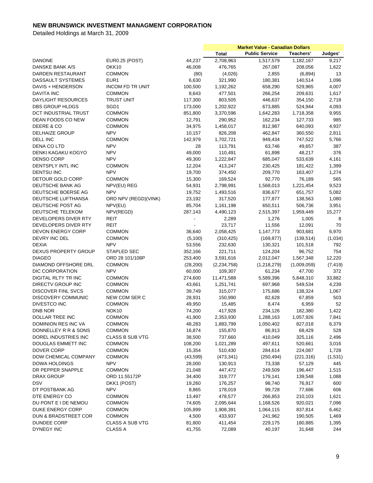|                             |                         |           | <b>Market Value - Canadian Dollars</b> |                       |             |          |
|-----------------------------|-------------------------|-----------|----------------------------------------|-----------------------|-------------|----------|
|                             |                         |           | <b>Total</b>                           | <b>Public Service</b> | Teachers'   | Judges'  |
| <b>DANONE</b>               | <b>EUR0.25 (POST)</b>   | 44,237    | 2,708,963                              | 1,517,579             | 1,182,167   | 9,217    |
| DANSKE BANK A/S             | DKK <sub>10</sub>       | 46,008    | 476,765                                | 267,087               | 208,056     | 1,622    |
| DARDEN RESTAURANT           | <b>COMMON</b>           | (80)      | (4,026)                                | 2,855                 | (6,894)     | 13       |
| DASSAULT SYSTEMES           | EUR <sub>1</sub>        | 6,630     | 321,990                                | 180,381               | 140,514     | 1,096    |
| DAVIS + HENDERSON           | <b>INCOM FD TR UNIT</b> | 100,500   | 1,192,262                              | 658,290               | 529,965     | 4,007    |
| <b>DAVITA INC</b>           | <b>COMMON</b>           | 8,643     | 477,501                                | 266,254               | 209,631     | 1,617    |
| DAYLIGHT RESOURCES          | <b>TRUST UNIT</b>       | 117,300   | 803,505                                | 446,637               | 354,150     | 2,718    |
| DBS GROUP HLDGS             | SGD1                    | 173,000   | 1,202,922                              | 673,885               | 524,944     | 4,093    |
| DCT INDUSTRIAL TRUST        | <b>COMMON</b>           | 851,800   | 3,370,596                              | 1,642,283             | 1,718,358   | 9,955    |
| <b>DEAN FOODS CO NEW</b>    | <b>COMMON</b>           | 12,791    | 290,952                                | 162,234               | 127,733     | 985      |
| DEERE & CO                  | <b>COMMON</b>           | 34,975    | 1,458,017                              | 812,987               |             | 4,937    |
| <b>DELHAIZE GROUP</b>       |                         |           |                                        |                       | 640,093     |          |
|                             | <b>NPV</b>              | 10,157    | 826,208                                | 462,847               | 360,550     | 2,811    |
| DELL INC                    | <b>COMMON</b>           | 142,979   | 1,702,721                              | 949,434               | 747,522     | 5,766    |
| DENA CO LTD                 | <b>NPV</b>              | 28        | 113,791                                | 63,746                | 49,657      | 387      |
| DENKI KAGAKU KOGYO          | <b>NPV</b>              | 49,000    | 110,491                                | 61,898                | 48,217      | 376      |
| <b>DENSO CORP</b>           | <b>NPV</b>              | 49,300    | 1,222,847                              | 685,047               | 533,639     | 4,161    |
| <b>DENTSPLY INTL INC</b>    | <b>COMMON</b>           | 12,204    | 413,247                                | 230,425               | 181,422     | 1,399    |
| <b>DENTSU INC</b>           | <b>NPV</b>              | 19,700    | 374,450                                | 209,770               | 163,407     | 1,274    |
| <b>DETOUR GOLD CORP</b>     | <b>COMMON</b>           | 15,300    | 169,524                                | 92,770                | 76,189      | 565      |
| DEUTSCHE BANK AG            | NPV(EU) REG             | 54,931    | 2,798,991                              | 1,568,013             | 1,221,454   | 9,523    |
| DEUTSCHE BOERSE AG          | <b>NPV</b>              | 19,752    | 1,493,516                              | 836,677               | 651,757     | 5,082    |
| DEUTSCHE LUFTHANSA          | ORD NPV (REGD)(VINK)    | 23,192    | 317,520                                | 177,877               | 138,563     | 1,080    |
| DEUTSCHE POST AG            | NPV(EU)                 | 85,704    | 1,161,198                              | 650,511               | 506,736     | 3,951    |
| DEUTSCHE TELEKOM            | NPV(REGD)               | 287,143   | 4,490,123                              | 2,515,397             | 1,959,449   | 15,277   |
| DEVELOPERS DIVER RTY        | REIT                    |           | 2,289                                  | 1,276                 | 1,005       | 8        |
| DEVELOPERS DIVER RTY        | <b>REIT</b>             | ÷,        | 23,717                                 | 11,556                | 12,091      | 70       |
| <b>DEVON ENERGY CORP</b>    | <b>COMMON</b>           | 36,640    | 2,058,425                              | 1,147,773             | 903,681     | 6,970    |
| DEVRY INC DEL               | <b>COMMON</b>           | (5,100)   | (310, 425)                             | (169, 877)            | (139, 514)  | (1,034)  |
| <b>DEXIA</b>                | <b>NPV</b>              | 53,556    | 232,630                                | 130,321               | 101,518     | 792      |
| <b>DEXUS PROPERTY GROUP</b> | <b>STAPLED SEC</b>      | 352,166   | 221,711                                | 124,204               | 96,752      | 754      |
| <b>DIAGEO</b>               | ORD 28 101/108P         | 253,400   | 3,591,616                              | 2,012,047             | 1,567,348   | 12,220   |
| <b>DIAMOND OFFSHORE DRL</b> | <b>COMMON</b>           | (28, 200) | (2, 234, 758)                          | (1,218,279)           | (1,009,059) | (7, 419) |
| DIC CORPORATION             | <b>NPV</b>              | 60,000    | 109,307                                | 61,234                | 47,700      | 372      |
| DIGITAL RLTY TR INC         | <b>COMMON</b>           | 274,600   | 11,471,588                             | 5,589,396             | 5,848,310   | 33,882   |
| <b>DIRECTV GROUP INC</b>    | <b>COMMON</b>           | 43,661    | 1,251,741                              | 697,968               | 549,534     | 4,239    |
| <b>DISCOVER FINL SVCS</b>   | <b>COMMON</b>           | 39,749    | 315,077                                | 175,686               | 138,324     | 1,067    |
| <b>DISCOVERY COMMUNIC</b>   | NEW COM SER C           | 28,931    | 150,990                                | 82,628                | 67,859      | 503      |
| DIVESTCO INC                | <b>COMMON</b>           |           | 15,485                                 | 8,474                 | 6,959       | 52       |
| <b>DNB NOR</b>              |                         | 49,950    |                                        |                       |             |          |
|                             | NOK <sub>10</sub>       | 74,200    | 417,928                                | 234,126               | 182,380     | 1,422    |
| DOLLAR TREE INC             | <b>COMMON</b>           | 41,900    | 2,353,930                              | 1,288,163             | 1,057,926   | 7,841    |
| DOMINION RES INC VA         | <b>COMMON</b>           | 48,283    | 1,883,799                              | 1,050,402             | 827,018     | 6,379    |
| DONNELLEY R R & SONS        | COMMON                  | 16,874    | 155,870                                | 86,913                | 68,429      | 528      |
| DOREL INDUSTRIES INC        | <b>CLASS B SUB VTG</b>  | 38,500    | 737,660                                | 410,049               | 325,116     | 2,496    |
| DOUGLAS EMMETT INC          | COMMON                  | 108,200   | 1,021,289                              | 497,611               | 520,661     | 3,016    |
| DOVER CORP                  | <b>COMMON</b>           | 15,354    | 510,430                                | 284,614               | 224,087     | 1,728    |
| DOW CHEMICAL COMPANY        | <b>COMMON</b>           | (43, 599) | (473, 341)                             | (250, 494)            | (221, 316)  | (1,531)  |
| DOWA HOLDINGS               | <b>NPV</b>              | 28,000    | 130,913                                | 73,338                | 57,129      | 445      |
| DR PEPPER SNAPPLE           | <b>COMMON</b>           | 21,048    | 447,472                                | 249,509               | 196,447     | 1,515    |
| DRAX GROUP                  | ORD 11.55172P           | 34,400    | 319,777                                | 179,141               | 139,548     | 1,088    |
| <b>DSV</b>                  | DKK1 (POST)             | 19,260    | 176,257                                | 98,740                | 76,917      | 600      |
| DT POSTBANK AG              | <b>NPV</b>              | 8,865     | 178,019                                | 99,728                | 77,686      | 606      |
| DTE ENERGY CO               | <b>COMMON</b>           | 13,497    | 478,577                                | 266,853               | 210,103     | 1,621    |
| DU PONT E I DE NEMOU        | COMMON                  | 74,605    | 2,095,644                              | 1,168,526             | 920,021     | 7,096    |
| DUKE ENERGY CORP            | <b>COMMON</b>           | 105,899   | 1,908,391                              | 1,064,115             | 837,814     | 6,462    |
| DUN & BRADSTREET COR        | <b>COMMON</b>           | 4,500     | 433,937                                | 241,962               | 190,505     | 1,469    |
| DUNDEE CORP                 | <b>CLASS A SUB VTG</b>  | 81,800    | 411,454                                | 229,175               | 180,885     | 1,395    |
| <b>DYNEGY INC</b>           | <b>CLASS A</b>          | 41,755    | 72,089                                 | 40,197                | 31,648      | 244      |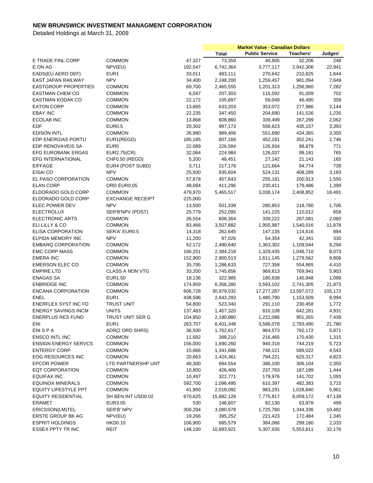|                                                  |                          |         | <b>Market Value - Canadian Dollars</b> |                       |            |         |
|--------------------------------------------------|--------------------------|---------|----------------------------------------|-----------------------|------------|---------|
|                                                  |                          |         | <b>Total</b>                           | <b>Public Service</b> | Teachers'  | Judges' |
| E TRADE FINL CORP                                | <b>COMMON</b>            | 47,327  | 73,359                                 | 40,905                | 32,206     | 248     |
| E.ON AG                                          | NPV(EU)                  | 192,547 | 6,742,364                              | 3,777,117             | 2,942,306  | 22,941  |
| EADS(EU AERO DEF)                                | EUR <sub>1</sub>         | 33,011  | 483,111                                | 270,642               | 210,825    | 1,644   |
| <b>EAST JAPAN RAILWAY</b>                        | <b>NPV</b>               | 34,400  | 2,248,200                              | 1,259,457             | 981,094    | 7,649   |
| <b>EASTGROUP PROPERTIES</b>                      | <b>COMMON</b>            | 69,700  | 2,465,555                              | 1,201,313             | 1,256,960  | 7,282   |
| <b>EASTMAN CHEM CO</b>                           | <b>COMMON</b>            | 6,047   | 207,303                                | 115,592               | 91,009     | 702     |
| EASTMAN KODAK CO                                 | <b>COMMON</b>            | 22,172  | 105,897                                | 59,048                | 46,490     | 359     |
| <b>EATON CORP</b>                                | <b>COMMON</b>            | 13,665  | 633,203                                | 353,072               | 277,986    | 2,144   |
| <b>EBAY INC</b>                                  | <b>COMMON</b>            | 22,235  | 347,450                                | 204,690               | 141,526    | 1,235   |
| <b>ECOLAB INC</b>                                | <b>COMMON</b>            | 13,868  | 608,860                                | 339,499               | 267,299    | 2,062   |
| EDF                                              | <b>EUR0.5</b>            | 20,302  | 997,173                                | 558,623               | 435,157    | 3,393   |
| <b>EDISON INTL</b>                               | <b>COMMON</b>            | 26,980  | 989,406                                | 551,690               | 434,365    | 3,350   |
| EDP ENERGIAS PORTU                               | EUR1(REGD)               | 185,185 | 807,168                                | 452,181               | 352,241    | 2,746   |
| EDP RENOVAVEIS SA                                | EUR <sub>5</sub>         | 22,089  | 226,584                                | 126,934               | 98,879     | 771     |
| <b>EFG EUROBANK ERGAS</b>                        | <b>EUR2.75(CR)</b>       | 32,064  | 224,984                                | 126,037               | 98,181     | 765     |
| <b>EFG INTERNATIONAL</b>                         | CHF0.50 (REGD)           | 5,200   | 48,451                                 | 27,142                | 21,143     | 165     |
| <b>EIFFAGE</b>                                   | EUR4 (POST SUBD)         | 3,711   | 217,178                                | 121,664               | 94,774     | 739     |
| EISAI CO                                         | <b>NPV</b>               | 25,500  | 935,604                                | 524,131               | 408,289    | 3,183   |
| EL PASO CORPORATION                              | <b>COMMON</b>            | 57,678  | 457,643                                | 255,181               | 200,913    | 1,550   |
| <b>ELAN CORP</b>                                 | ORD EUR0.05              | 48,084  | 411,296                                | 230,411               | 179,486    | 1,399   |
| ELDORADO GOLD CORP                               | <b>COMMON</b>            | 479,970 | 5,465,517                              | 3,038,174             | 2,408,852  | 18,491  |
| ELDORADO GOLD CORP                               | <b>EXCHANGE RECEIPT</b>  | 225,000 |                                        |                       |            | $\sim$  |
| ELEC POWER DEV                                   | <b>NPV</b>               | 13,500  | 501,339                                | 280,853               | 218,780    | 1,706   |
| <b>ELECTROLUX</b>                                | SER'B'NPV (POST)         | 25,779  | 252,095                                | 141,225               | 110,012    | 858     |
| <b>ELECTRONIC ARTS</b>                           | <b>COMMON</b>            | 26,554  | 608,364                                | 339,222               | 267,081    | 2,060   |
| ELI LILLY & CO                                   | <b>COMMON</b>            | 83,466  | 3,507,882                              | 1,955,987             | 1,540,016  | 11,878  |
| <b>ELISA CORPORATION</b>                         | SER'A' EUR0.5            | 14,318  | 262,645                                | 147,135               | 114,616    | 894     |
| ELPIDA MEMORY INC                                | <b>NPV</b>               | 11,200  | 97,026                                 | 54,354                | 42,341     | 330     |
| <b>EMBARQ CORPORATION</b>                        | <b>COMMON</b>            | 52,172  | 2,480,640                              | 1,363,302             | 1,109,044  | 8,294   |
| <b>EMC CORP MASS</b>                             | <b>COMMON</b>            | 166,251 | 2,384,218                              | 1,329,435             | 1,046,710  | 8,073   |
| <b>EMERA INC</b>                                 | <b>COMMON</b>            | 152,900 | 2,900,513                              | 1,611,145             | 1,279,562  | 9,806   |
| EMERSON ELEC CO                                  | <b>COMMON</b>            |         |                                        |                       |            |         |
|                                                  |                          | 35,795  | 1,286,633                              | 727,358               | 554,865    | 4,410   |
| <b>EMPIRE LTD</b>                                | <b>CLASS A NON VTG</b>   | 33,200  | 1,745,656                              | 969,813               | 769,941    | 5,903   |
| <b>ENAGAS SA</b>                                 | EUR1.50<br><b>COMMON</b> | 18,136  | 322,985                                | 180,939               | 140,948    | 1,099   |
| <b>ENBRIDGE INC</b><br><b>ENCANA CORPORATION</b> |                          | 174,959 | 6,356,280                              | 3,593,102             | 2,741,305  | 21,873  |
|                                                  | <b>COMMON</b>            | 606,728 | 30,979,532                             | 17,277,287            | 13,597,072 | 105,172 |
| <b>ENEL</b>                                      | EUR1                     | 438,586 | 2,643,293                              | 1,480,790             | 1,153,509  | 8,994   |
| <b>ENERFLEX SYST INC FD</b>                      | <b>TRUST UNIT</b>        | 54,800  | 523,340                                | 291,110               | 230,458    | 1,772   |
| <b>ENERGY SAVINGS INCM</b>                       | <b>UNITS</b>             | 137,483 | 1,457,320                              | 810,108               | 642,281    | 4,931   |
| <b>ENERPLUS RES FUND</b>                         | TRUST UNIT SER G         | 104,850 | 2,180,880                              | 1,222,086             | 951,355    | 7,439   |
| ENI                                              | EUR1                     | 263,707 | 6,401,348                              | 3,586,078             | 2,793,490  | 21,780  |
| <b>ENISPA</b>                                    | ADR(2 ORD SHRS)          | 36,500  | 1,762,617                              | 964,573               | 792,172    | 5,871   |
| ENSCO INTL INC                                   | <b>COMMON</b>            | 11,682  | 388,210                                | 216,465               | 170,430    | 1,315   |
| <b>ENSIGN ENERGY SERVCS</b>                      | <b>COMMON</b>            | 156,000 | 1,690,260                              | 940,318               | 744,219    | 5,723   |
| <b>ENTERGY CORP</b>                              | <b>COMMON</b>            | 15,666  | 1,341,686                              | 748,121               | 589,022    | 4,543   |
| <b>EOG RESOURCES INC</b>                         | <b>COMMON</b>            | 20,663  | 1,424,361                              | 794,221               | 625,317    | 4,823   |
| <b>EPCOR POWER</b>                               | LTD PARTNERSHP UNT       | 48,300  | 694,554                                | 386,100               | 306,104    | 2,350   |
| <b>EQT CORPORATION</b>                           | <b>COMMON</b>            | 10,800  | 426,406                                | 237,763               | 187,199    | 1,444   |
| EQUIFAX INC                                      | <b>COMMON</b>            | 10,497  | 322,771                                | 179,976               | 141,702    | 1,093   |
| <b>EQUINOX MINERALS</b>                          | <b>COMMON</b>            | 592,700 | 1,096,495                              | 610,397               | 482,383    | 3,715   |
| <b>EQUITY LIFESTYLE PPT</b>                      | <b>COMMON</b>            | 41,900  | 2,018,092                              | 983,291               | 1,028,840  | 5,961   |
| <b>EQUITY RESIDENTIAL</b>                        | SH BEN INT USD0.02       | 670,625 | 15,882,128                             | 7,775,817             | 8,059,172  | 47,139  |
| <b>ERAMET</b>                                    | EUR3.05                  | 530     | 146,607                                | 82,130                | 63,978     | 499     |
| ERICSSON(LM)TEL                                  | SER'B' NPV               | 300,294 | 3,080,578                              | 1,725,760             | 1,344,336  | 10,482  |
| ERSTE GROUP BK AG                                | NPV(EU)                  | 19,266  | 395,252                                | 221,423               | 172,484    | 1,345   |
| <b>ESPRIT HOLDINGS</b>                           | <b>HKD0.10</b>           | 106,900 | 685,579                                | 384,066               | 299,180    | 2,333   |
| <b>ESSEX PPTY TR INC</b>                         | REIT                     | 148,100 | 10,893,921                             | 5,307,935             | 5,553,811  | 32,176  |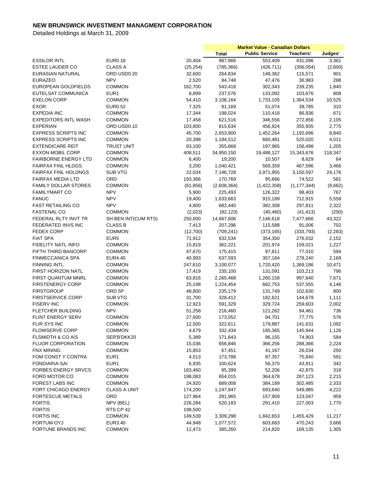|                             |                     |           | <b>Market Value - Canadian Dollars</b> |                       |                          |          |
|-----------------------------|---------------------|-----------|----------------------------------------|-----------------------|--------------------------|----------|
|                             |                     |           | <b>Total</b>                           | <b>Public Service</b> | Teachers'                | Judges'  |
| <b>ESSILOR INTL</b>         | <b>EUR0.18</b>      | 20,404    | 987,866                                | 553,409               | 431,096                  | 3,361    |
| ESTEE LAUDER CO             | <b>CLASS A</b>      | (25, 254) | (785, 366)                             | (426, 711)            | (356, 054)               | (2,600)  |
| EURASIAN NATURAL            | ORD USD0.20         | 32,600    | 264,834                                | 148,362               | 115,571                  | 901      |
| <b>EURAZEO</b>              | <b>NPV</b>          | 2,520     | 84,748                                 | 47,476                | 36,983                   | 288      |
| EUROPEAN GOLDFIELDS         | <b>COMMON</b>       | 162,700   | 543,418                                | 302,343               | 239,235                  | 1,840    |
| EUTELSAT COMMUNICA          | EUR <sub>1</sub>    | 8,899     | 237,576                                | 133,092               | 103,676                  | 808      |
|                             |                     |           |                                        |                       |                          |          |
| <b>EXELON CORP</b>          | <b>COMMON</b>       | 54,410    | 3,108,164                              | 1,733,105             | 1,364,534                | 10,525   |
| <b>EXOR</b>                 | <b>EUR0.52</b>      | 7,325     | 91,169                                 | 51,074                | 39,785                   | 310      |
| <b>EXPEDIA INC</b>          | <b>COMMON</b>       | 17,344    | 198,024                                | 110,418               | 86,936                   | 671      |
| <b>EXPEDITORS INTL WASH</b> | <b>COMMON</b>       | 17,458    | 621,516                                | 346,556               | 272,856                  | 2,105    |
| <b>EXPERIAN</b>             | ORD USD0.10         | 103,800   | 815,634                                | 456,924               | 355,935                  | 2,775    |
| <b>EXPRESS SCRIPTS INC</b>  | <b>COMMON</b>       | 45,700    | 2,653,800                              | 1,452,264             | 1,192,696                | 8,840    |
| <b>EXPRESS SCRIPTS INC</b>  | <b>COMMON</b>       | 20,398    | 1,184,512                              | 660,481               | 520,020                  | 4,011    |
| <b>EXTENDICARE REIT</b>     | <b>TRUST UNIT</b>   | 83,100    | 355,668                                | 197,965               | 156,498                  | 1,205    |
| <b>EXXON MOBIL CORP</b>     | <b>COMMON</b>       | 408,511   | 34,950,150                             | 19,488,127            | 15,343,676               | 118,347  |
| FAIRBORNE ENERGY LTD        | <b>COMMON</b>       | 6,400     | 19,200                                 | 10,507                | 8,629                    | 64       |
| <b>FAIRFAX FINL HLDGS</b>   | <b>COMMON</b>       | 3,200     | 1,040,421                              | 569,359               | 467,596                  | 3,466    |
| <b>FAIRFAX FINL HOLDNGS</b> | SUB VTG             | 22,034    | 7,146,728                              | 3,971,955             | 3,150,597                | 24,176   |
| <b>FAIRFAX MEDIA LTD</b>    | ORD                 | 193,366   | 170,769                                | 95,666                | 74,522                   | 581      |
| <b>FAMILY DOLLAR STORES</b> | <b>COMMON</b>       | (61, 856) | (2,608,364)                            | (1,422,358)           | (1, 177, 344)            | (8,662)  |
| <b>FAMILYMART CO</b>        | <b>NPV</b>          | 5,900     | 225,493                                | 126,322               | 98,403                   | 767      |
| <b>FANUC</b>                | <b>NPV</b>          | 19,400    | 1,633,663                              | 915,189               | 712,915                  | 5,558    |
| <b>FAST RETAILING CO</b>    | <b>NPV</b>          | 4,800     | 682,440                                | 382,308               | 297,811                  | 2,322    |
| <b>FASTENAL CO</b>          | <b>COMMON</b>       | (2,023)   | (82, 123)                              | (40, 460)             | (41, 413)                | (250)    |
|                             |                     |           |                                        |                       |                          |          |
| FEDERAL RLTY INVT TR        | SH BEN INT(CUM RTS) | 250,000   | 14,667,606                             | 7,146,618             | 7,477,666                | 43,322   |
| FEDERATED INVS INC          | <b>CLASS B</b>      | 7,413     | 207,296                                | 115,588               | 91,006                   | 702      |
| <b>FEDEX CORP</b>           | <b>COMMON</b>       | (12,700)  | (709, 241)                             | (373, 165)            | (333, 793)               | (2, 283) |
| <b>FIAT SPA</b>             | EUR <sub>5</sub>    | 71,912    | 632,534                                | 354,350               | 276,032                  | 2,152    |
| FIDELITY NATL INFO          | <b>COMMON</b>       | 15,819    | 362,221                                | 201,974               | 159,021                  | 1,227    |
| FIFTH THIRD BANCORP         | <b>COMMON</b>       | 47,670    | 175,415                                | 97,811                | 77,010                   | 594      |
| <b>FINMECCANICA SPA</b>     | EUR4.40             | 40,993    | 637,593                                | 357,184               | 278,240                  | 2,169    |
| <b>FINNING INTL</b>         | <b>COMMON</b>       | 247,610   | 3,100,077                              | 1,720,420             | 1,369,186                | 10,471   |
| FIRST HORIZON NATL          | <b>COMMON</b>       | 17,419    | 235,100                                | 131,091               | 103,213                  | 796      |
| FIRST QUANTUM MNRL          | <b>COMMON</b>       | 63,816    | 2,265,468                              | 1,260,158             | 997,640                  | 7,671    |
| <b>FIRSTENERGY CORP</b>     | <b>COMMON</b>       | 25,198    | 1,224,454                              | 682,753               | 537,555                  | 4,146    |
| <b>FIRSTGROUP</b>           | ORD 5P              | 48,800    | 235,179                                | 131,749               | 102,630                  | 800      |
| <b>FIRSTSERVICE CORP</b>    | <b>SUB VTG</b>      | 31,700    | 328,412                                | 182,621               | 144,679                  | 1,111    |
| <b>FISERV INC</b>           | <b>COMMON</b>       | 12,923    | 591,329                                | 329,724               | 259,603                  | 2,002    |
| <b>FLETCHER BUILDING</b>    | <b>NPV</b>          | 51,258    | 216,460                                | 121,262               | 94,461                   | 736      |
| FLINT ENERGY SERV           | <b>COMMON</b>       | 27,600    | 173,052                                | 94,701                | 77,775                   | 576      |
| FLIR SYS INC                | COMMON              | 12,500    | 322,611                                | 179,887               | 141,631                  | 1,092    |
| <b>FLOWSERVE CORP</b>       | <b>COMMON</b>       | 4,679     | 332,434                                | 185,365               | 145,944                  | 1,126    |
| FLSMIDTH & CO A/S           | SER'B'DKK20         | 5,389     | 171,643                                | 96,155                | 74,903                   | 584      |
| <b>FLUOR CORPORATION</b>    | <b>COMMON</b>       | 15,036    | 656,846                                | 366,256               | 288,366                  | 2,224    |
| <b>FNX MINING</b>           |                     |           |                                        |                       | 26,034                   | 250      |
|                             | <b>COMMON</b>       | 15,853    | 67,451                                 | 41,167                |                          |          |
| FOM CONST Y CONTRA          | EUR1                | 4,513     | 173,788                                | 97,357                | 75,840                   | 591      |
| FONDIARIA-SAI               | EUR1                | 6,935     | 100,624                                | 56,370                | 43,911                   | 342      |
| <b>FORBES ENERGY SRVCS</b>  | <b>COMMON</b>       | 183,460   | 95,399                                 | 52,206                | 42,875                   | 318      |
| FORD MOTOR CO               | <b>COMMON</b>       | 198,083   | 654,015                                | 364,678               | 287,123                  | 2,215    |
| FOREST LABS INC             | <b>COMMON</b>       | 24,920    | 689,008                                | 384,189               | 302,485                  | 2,333    |
| FORT CHICAGO ENERGY         | CLASS A UNIT        | 174,200   | 1,247,847                              | 693,640               | 549,985                  | 4,222    |
| FORTESCUE METALS            | ORD                 | 127,964   | 281,965                                | 157,959               | 123,047                  | 959      |
| <b>FORTIS</b>               | NPV (BEL)           | 226,284   | 520,183                                | 291,410               | 227,003                  | 1,770    |
| <b>FORTIS</b>               | RTS CP 42           | 198,500   | $\blacksquare$                         | $\blacksquare$        | $\overline{\phantom{a}}$ |          |
| <b>FORTIS INC</b>           | <b>COMMON</b>       | 149,539   | 3,309,298                              | 1,842,653             | 1,455,429                | 11,217   |
| FORTUM OYJ                  | EUR3.40             | 44,948    | 1,077,572                              | 603,663               | 470,243                  | 3,666    |
| FORTUNE BRANDS INC          | <b>COMMON</b>       | 12,473    | 385,260                                | 214,820               | 169,135                  | 1,305    |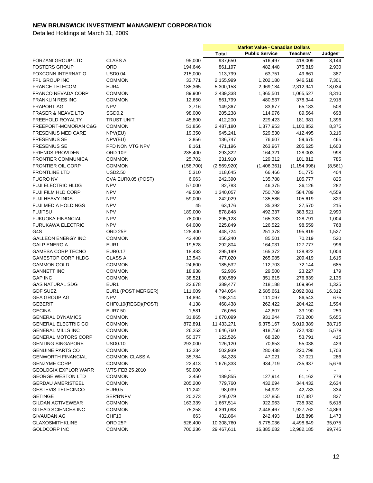|                               |                       |            | <b>Market Value - Canadian Dollars</b> |                       |               |          |
|-------------------------------|-----------------------|------------|----------------------------------------|-----------------------|---------------|----------|
|                               |                       |            | <b>Total</b>                           | <b>Public Service</b> | Teachers'     | Judges'  |
| FORZANI GROUP LTD             | <b>CLASS A</b>        | 95,000     | 937,650                                | 516,497               | 418,009       | 3,144    |
| <b>FOSTERS GROUP</b>          | ORD                   | 194,646    | 861,197                                | 482,448               | 375,819       | 2,930    |
| <b>FOXCONN INTERNATIO</b>     | <b>USD0.04</b>        | 215,000    | 113,799                                | 63,751                | 49,661        | 387      |
| FPL GROUP INC                 | <b>COMMON</b>         | 33,771     | 2,155,999                              | 1,202,180             | 946,518       | 7,301    |
| <b>FRANCE TELECOM</b>         | EUR4                  | 185,365    | 5,300,158                              | 2,969,184             | 2,312,941     | 18,034   |
| <b>FRANCO NEVADA CORP</b>     | <b>COMMON</b>         | 89,900     | 2,439,338                              | 1,365,501             | 1,065,527     | 8,310    |
| <b>FRANKLIN RES INC</b>       | <b>COMMON</b>         | 12,650     | 861,799                                | 480,537               | 378,344       | 2,918    |
| <b>FRAPORT AG</b>             | <b>NPV</b>            | 3,716      | 149,367                                | 83,677                | 65,183        | 508      |
| <b>FRASER &amp; NEAVE LTD</b> | SGD <sub>0.2</sub>    | 98,000     | 205,238                                | 114,976               | 89,564        | 698      |
| FREEHOLD ROYALTY              | <b>TRUST UNIT</b>     | 45,800     | 412,200                                | 229,423               | 181,381       | 1,396    |
| FREEPORT-MCMORAN C&G          | <b>COMMON</b>         | 51,856     | 2,487,180                              | 1,377,953             | 1,100,852     | 8,375    |
| <b>FRESENIUS MED CARE</b>     | NPV(EU)               | 19,350     | 945,241                                | 529,530               | 412,495       | 3,216    |
| <b>FRESENIUS SE</b>           | NPV(EU)               | 2,856      | 136,747                                | 76,607                | 59,675        | 465      |
| <b>FRESENIUS SE</b>           | PFD NON VTG NPV       | 8,161      | 471,196                                | 263,967               | 205,625       | 1,603    |
| <b>FRIENDS PROVIDENT</b>      | ORD 10P               | 235,400    | 293,322                                | 164,321               | 128,003       | 998      |
| <b>FRONTIER COMMUNICA</b>     | <b>COMMON</b>         | 25,702     | 231,910                                | 129,312               | 101,812       | 785      |
| <b>FRONTIER OIL CORP</b>      | <b>COMMON</b>         | (158, 700) | (2,569,920)                            | (1,406,361)           | (1, 154, 998) | (8, 561) |
| <b>FRONTLINE LTD</b>          | <b>USD2.50</b>        | 5,310      | 118,645                                | 66,466                | 51,775        | 404      |
| <b>FUGRO NV</b>               | CVA EUR0.05 (POST)    | 6,063      | 242,390                                |                       |               | 825      |
|                               | <b>NPV</b>            |            |                                        | 135,788               | 105,777       |          |
| FUJI ELECTRIC HLDG            |                       | 57,000     | 82,783                                 | 46,375                | 36,126        | 282      |
| FUJI FILM HLD CORP            | <b>NPV</b>            | 49,500     | 1,340,057                              | 750,709               | 584,789       | 4,559    |
| <b>FUJI HEAVY INDS</b>        | <b>NPV</b>            | 59,000     | 242,029                                | 135,586               | 105,619       | 823      |
| <b>FUJI MEDIA HOLDINGS</b>    | <b>NPV</b>            | 45         | 63,176                                 | 35,392                | 27,570        | 215      |
| <b>FUJITSU</b>                | <b>NPV</b>            | 189,000    | 878,848                                | 492,337               | 383,521       | 2,990    |
| FUKUOKA FINANCIAL             | <b>NPV</b>            | 78,000     | 295,128                                | 165,333               | 128,791       | 1,004    |
| <b>FURUKAWA ELECTRIC</b>      | <b>NPV</b>            | 64,000     | 225,849                                | 126,522               | 98,559        | 768      |
| G4S                           | ORD 25P               | 128,400    | 448,724                                | 251,378               | 195,819       | 1,527    |
| <b>GALLEON ENERGY INC</b>     | <b>COMMON</b>         | 43,400     | 156,240                                | 85,501                | 70,219        | 520      |
| <b>GALP ENERGIA</b>           | EUR <sub>1</sub>      | 19,528     | 292,804                                | 164,031               | 127,777       | 996      |
| <b>GAMESA CORP TECNO</b>      | <b>EUR0.17</b>        | 18,483     | 295,199                                | 165,372               | 128,822       | 1,004    |
| <b>GAMESTOP CORP HLDG</b>     | CLASS A               | 13,543     | 477,020                                | 265,985               | 209,419       | 1,615    |
| <b>GAMMON GOLD</b>            | <b>COMMON</b>         | 24,600     | 185,532                                | 112,703               | 72,144        | 685      |
| <b>GANNETT INC</b>            | <b>COMMON</b>         | 18,938     | 52,906                                 | 29,500                | 23,227        | 179      |
| <b>GAP INC</b>                | <b>COMMON</b>         | 38,521     | 630,589                                | 351,615               | 276,839       | 2,135    |
| <b>GAS NATURAL SDG</b>        | EUR1                  | 22,678     | 389,477                                | 218,188               | 169,964       | 1,325    |
| <b>GDF SUEZ</b>               | EUR1 (POST MERGER)    | 111,009    | 4,794,054                              | 2,685,661             | 2,092,081     | 16,312   |
| <b>GEA GROUP AG</b>           | <b>NPV</b>            | 14,894     | 198,314                                | 111,097               | 86,543        | 675      |
| <b>GEBERIT</b>                | CHF0.10(REGD)(POST)   | 4,138      | 468,438                                | 262,422               | 204,422       | 1,594    |
| <b>GECINA</b>                 | <b>EUR7.50</b>        | 1,581      | 76,056                                 | 42,607                | 33,190        | 259      |
| <b>GENERAL DYNAMICS</b>       | <b>COMMON</b>         | 31,865     | 1,670,099                              | 931,244               | 733,200       | 5,655    |
| <b>GENERAL ELECTRIC CO</b>    | <b>COMMON</b>         | 872,891    | 11,433,271                             | 6,375,167             | 5,019,389     | 38,715   |
| <b>GENERAL MILLS INC</b>      | <b>COMMON</b>         | 26,252     | 1,646,760                              | 918,750               | 722,430       | 5,579    |
| <b>GENERAL MOTORS CORP</b>    | <b>COMMON</b>         | 50,377     | 122,526                                | 68,320                | 53,791        | 415      |
| <b>GENTING SINGAPORE</b>      | <b>USD0.10</b>        | 293,000    | 126,120                                | 70,653                | 55,038        | 429      |
| <b>GENUINE PARTS CO</b>       | <b>COMMON</b>         | 13,234     | 502,939                                | 280,438               | 220,798       | 1,703    |
| <b>GENWORTH FINANCIAL</b>     | <b>COMMON CLASS A</b> | 35,784     | 84,328                                 | 47,021                | 37,021        | 286      |
| <b>GENZYME CORP</b>           | <b>COMMON</b>         | 22,413     | 1,676,333                              | 934,719               | 735,937       | 5,676    |
| <b>GEOLOGIX EXPLOR WARR</b>   | WTS FEB 25 2010       | 50,000     |                                        |                       |               |          |
| <b>GEORGE WESTON LTD</b>      | <b>COMMON</b>         | 3,450      | 189,855                                | 127,914               | 61,162        | 779      |
| <b>GERDAU AMERISTEEL</b>      | <b>COMMON</b>         | 205,200    | 779,760                                | 432,694               | 344,432       | 2,634    |
| <b>GESTEVIS TELECINCO</b>     | <b>EUR0.5</b>         | 11,242     | 98,039                                 | 54,922                | 42,783        | 334      |
| <b>GETINGE</b>                | SER'B'NPV             | 20,273     | 246,079                                | 137,855               | 107,387       | 837      |
| <b>GILDAN ACTIVEWEAR</b>      | <b>COMMON</b>         | 163,339    | 1,667,514                              | 922,963               | 738,932       | 5,618    |
| GILEAD SCIENCES INC           | <b>COMMON</b>         | 75,258     | 4,391,098                              | 2,448,467             | 1,927,762     | 14,869   |
| GIVAUDAN AG                   | CHF10                 | 663        | 432,864                                | 242,493               | 188,898       | 1,473    |
| <b>GLAXOSMITHKLINE</b>        | ORD 25P               | 526,400    | 10,308,760                             | 5,775,036             | 4,498,649     | 35,075   |
| <b>GOLDCORP INC</b>           | <b>COMMON</b>         | 700,236    | 29,467,611                             | 16,385,682            | 12,982,185    | 99,745   |
|                               |                       |            |                                        |                       |               |          |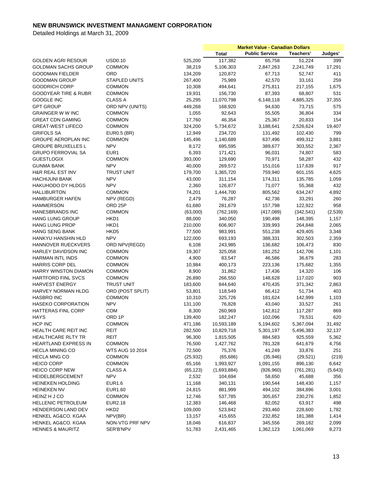|                                 |                        |           | <b>Market Value - Canadian Dollars</b> |                       |            |         |
|---------------------------------|------------------------|-----------|----------------------------------------|-----------------------|------------|---------|
|                                 |                        |           | Total                                  | <b>Public Service</b> | Teachers'  | Judges' |
| <b>GOLDEN AGRI RESOUR</b>       | <b>USD0.10</b>         | 525,200   | 117,382                                | 65,758                | 51,224     | 399     |
| <b>GOLDMAN SACHS GROUP</b>      | <b>COMMON</b>          | 38,219    | 5,106,303                              | 2,847,263             | 2,241,749  | 17,291  |
| <b>GOODMAN FIELDER</b>          | ORD                    | 134,209   | 120,872                                | 67,713                | 52,747     | 411     |
| <b>GOODMAN GROUP</b>            | <b>STAPLED UNITS</b>   | 267,400   | 75,989                                 | 42,570                | 33,161     | 259     |
| <b>GOODRICH CORP</b>            | <b>COMMON</b>          | 10,308    | 494,641                                | 275,811               | 217,155    | 1,675   |
| <b>GOODYEAR TIRE &amp; RUBR</b> | <b>COMMON</b>          | 19,931    | 156,730                                | 87,393                | 68,807     | 531     |
| <b>GOOGLE INC</b>               | <b>CLASS A</b>         | 25,295    | 11,070,798                             | 6,148,118             | 4,885,325  | 37,355  |
| <b>GPT GROUP</b>                | ORD NPV (UNITS)        | 449,268   | 168,920                                | 94,630                | 73,715     | 575     |
| <b>GRAINGER W W INC</b>         | <b>COMMON</b>          | 1,055     | 92,643                                 | 55,505                | 36,804     | 334     |
| <b>GREAT CDN GAMING</b>         | <b>COMMON</b>          | 17,760    | 46,354                                 | 25,367                | 20,833     | 154     |
| <b>GREAT-WEST LIFECO</b>        | <b>COMMON</b>          | 324,200   | 5,734,672                              | 3,188,641             | 2,526,624  | 19,407  |
| <b>GRIFOLS SA</b>               | <b>EUR0.5 (BR)</b>     | 12,949    | 234,720                                | 131,492               | 102,430    | 799     |
| <b>GROUPE AEROPLAN INC</b>      | <b>COMMON</b>          |           |                                        |                       |            | 3,881   |
|                                 | <b>NPV</b>             | 145,496   | 1,140,689<br>695,595                   | 637,496               | 499,312    |         |
| <b>GROUPE BRUXELLES L</b>       | EUR1                   | 8,172     |                                        | 389,677               | 303,552    | 2,367   |
| <b>GRUPO FERROVIAL SA</b>       |                        | 6,393     | 171,421                                | 96,031                | 74,807     | 583     |
| <b>GUESTLOGIX</b>               | <b>COMMON</b>          | 393,000   | 129,690                                | 70,971                | 58,287     | 432     |
| <b>GUNMA BANK</b>               | <b>NPV</b>             | 40,000    | 269,572                                | 151,016               | 117,639    | 917     |
| <b>H&amp;R REAL EST INV</b>     | <b>TRUST UNIT</b>      | 179,700   | 1,365,720                              | 759,940               | 601,155    | 4,625   |
| <b>HACHIJUNI BANK</b>           | <b>NPV</b>             | 43,000    | 311,154                                | 174,311               | 135,785    | 1,059   |
| <b>HAKUHODO DY HLDGS</b>        | <b>NPV</b>             | 2,360     | 126,877                                | 71,077                | 55,368     | 432     |
| <b>HALLIBURTON</b>              | <b>COMMON</b>          | 74,201    | 1,444,700                              | 805,562               | 634,247    | 4,892   |
| <b>HAMBURGER HAFEN</b>          | NPV (REGD)             | 2,479     | 76,287                                 | 42,736                | 33,291     | 260     |
| <b>HAMMERSON</b>                | ORD <sub>25P</sub>     | 61,680    | 281,679                                | 157,798               | 122,922    | 958     |
| <b>HANESBRANDS INC</b>          | <b>COMMON</b>          | (63,000)  | (762, 169)                             | (417,089)             | (342, 541) | (2,539) |
| <b>HANG LUNG GROUP</b>          | HKD1                   | 88,000    | 340,050                                | 190,498               | 148,395    | 1,157   |
| <b>HANG LUNG PROP</b>           | HKD1                   | 210,000   | 606,907                                | 339,993               | 264,848    | 2,065   |
| <b>HANG SENG BANK</b>           | HKD <sub>5</sub>       | 77,500    | 983,991                                | 551,238               | 429,405    | 3,348   |
| HANKYU HANSHIN HLD              | <b>NPV</b>             | 122,000   | 693,193                                | 388,331               | 302,503    | 2,359   |
| HANNOVER RUECKVERS              | ORD NPV(REGD)          | 6,108     | 243,985                                | 136,682               | 106,473    | 830     |
| <b>HARLEY DAVIDSON INC</b>      | <b>COMMON</b>          | 19,307    | 325,058                                | 181,252               | 142,706    | 1,101   |
| <b>HARMAN INTL INDS</b>         | <b>COMMON</b>          | 4,900     | 83,547                                 | 46,586                | 36,679     | 283     |
| HARRIS CORP DEL                 | <b>COMMON</b>          | 10,984    | 400,173                                | 223,136               | 175,682    | 1,355   |
| HARRY WINSTON DIAMON            | <b>COMMON</b>          | 8,900     | 31,862                                 | 17,436                | 14,320     | 106     |
| <b>HARTFORD FINL SVCS</b>       | COMMON                 | 26,890    | 266,550                                | 148,628               | 117,020    | 903     |
| <b>HARVEST ENERGY</b>           | <b>TRUST UNIT</b>      | 183,600   | 844,640                                | 470,435               | 371,342    | 2,863   |
| <b>HARVEY NORMAN HLDG</b>       | ORD (POST SPLIT)       | 53,801    | 118,549                                | 66,412                | 51,734     | 403     |
| <b>HASBRO INC</b>               | <b>COMMON</b>          | 10,310    | 325,726                                | 181,624               | 142,999    | 1,103   |
| <b>HASEKO CORPORATION</b>       | <b>NPV</b>             | 131,100   | 76,828                                 | 43,040                | 33,527     | 261     |
| <b>HATTERAS FINL CORP</b>       | COM                    | 8,300     | 260,969                                | 142,812               | 117,287    | 869     |
| <b>HAYS</b>                     | ORD 1P                 | 139,400   | 182,247                                | 102,096               | 79,531     | 620     |
| HCP INC                         | <b>COMMON</b>          | 471,186   | 10,593,189                             | 5,194,602             | 5,367,094  | 31,492  |
| HEALTH CARE REIT INC            | REIT                   | 282,500   | 10,829,718                             | 5,301,197             | 5,496,383  | 32,137  |
| <b>HEALTHCARE RLTY TR</b>       | REIT                   | 96,300    | 1,815,505                              | 884,583               | 925,559    | 5,362   |
| <b>HEARTLAND EXPRESS IN</b>     | <b>COMMON</b>          | 76,500    | 1,427,762                              | 781,328               | 641,679    | 4,756   |
| <b>HECLA MINING CO</b>          | <b>WTS AUG 10 2014</b> | 72,500    | 75,376                                 | 41,249                | 33,876     | 251     |
| <b>HECLA MNG CO</b>             | <b>COMMON</b>          | (25, 932) | (65, 686)                              | (35, 946)             | (29, 521)  | (219)   |
| <b>HEICO CORP</b>               | <b>COMMON</b>          | 65,166    | 1,993,927                              | 1,091,155             | 896,130    | 6,642   |
| <b>HEICO CORP NEW</b>           | CLASS A                | (65, 123) | (1,693,884)                            | (926,960)             | (761, 281) | (5,643) |
| <b>HEIDELBERGCEMENT</b>         | <b>NPV</b>             | 2,532     | 104,694                                | 58,650                | 45,688     | 356     |
| <b>HEINEKEN HOLDING</b>         | EUR1.6                 | 11,168    | 340,131                                | 190,544               | 148,430    | 1,157   |
| <b>HEINEKEN NV</b>              | EUR1.60                | 24,815    | 881,999                                | 494,102               | 384,896    | 3,001   |
| HEINZ H J CO                    | <b>COMMON</b>          | 12,746    | 537,785                                | 305,657               | 230,276    | 1,852   |
| <b>HELLENIC PETROLEUM</b>       | <b>EUR2.18</b>         | 12,383    | 146,468                                | 82,052                | 63,917     | 498     |
| <b>HENDERSON LAND DEV</b>       | HKD <sub>2</sub>       | 109,000   | 523,842                                | 293,460               | 228,600    | 1,782   |
| HENKEL AG&CO. KGAA              | NPV(BR)                | 13,157    | 415,655                                | 232,852               | 181,388    | 1,414   |
| HENKEL AG&CO. KGAA              | NON-VTG PRF NPV        | 18,046    | 616,837                                | 345,556               | 269,182    | 2,099   |
| <b>HENNES &amp; MAURITZ</b>     | SER'B'NPV              | 51,783    | 2,431,465                              | 1,362,123             | 1,061,069  | 8,273   |
|                                 |                        |           |                                        |                       |            |         |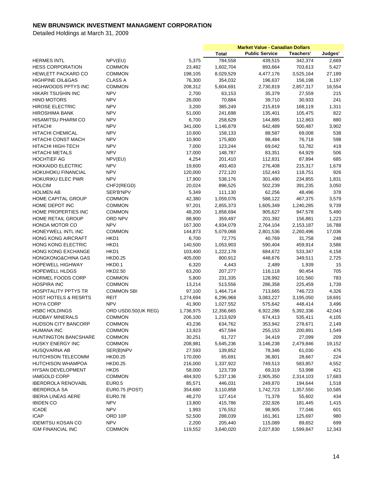|                                 |                     |           | <b>Market Value - Canadian Dollars</b> |                       |           |         |
|---------------------------------|---------------------|-----------|----------------------------------------|-----------------------|-----------|---------|
|                                 |                     |           | <b>Total</b>                           | <b>Public Service</b> | Teachers' | Judges' |
| <b>HERMES INTL</b>              | NPV(EU)             | 5,375     | 784,558                                | 439,515               | 342,374   | 2,669   |
| <b>HESS CORPORATION</b>         | COMMON              | 23,482    | 1,602,704                              | 893,664               | 703,613   | 5,427   |
| <b>HEWLETT PACKARD CO</b>       | <b>COMMON</b>       | 198,105   | 8,029,529                              | 4,477,176             | 3,525,164 | 27,189  |
| <b>HIGHPINE OIL&amp;GAS</b>     | <b>CLASS A</b>      | 76,300    | 354,032                                | 196,637               | 156,198   | 1,197   |
| HIGHWOODS PPTYS INC             | <b>COMMON</b>       | 208,312   | 5,604,691                              | 2,730,819             | 2,857,317 | 16,554  |
| HIKARI TSUSHIN INC              | <b>NPV</b>          | 2,700     | 63,153                                 | 35,379                | 27,559    | 215     |
| <b>HINO MOTORS</b>              | <b>NPV</b>          | 26,000    | 70,884                                 | 39,710                | 30,933    | 241     |
| <b>HIROSE ELECTRIC</b>          | <b>NPV</b>          | 3,200     | 385,249                                | 215,819               | 168,119   | 1,311   |
| <b>HIROSHIMA BANK</b>           | <b>NPV</b>          | 51,000    | 241,698                                | 135,401               | 105,475   | 822     |
|                                 | <b>NPV</b>          | 6,700     | 258,629                                |                       | 112,863   | 880     |
| <b>HISAMITSU PHARM CO</b>       | <b>NPV</b>          |           | 1,146,879                              | 144,885               |           |         |
| <b>HITACHI</b>                  |                     | 341,000   |                                        | 642,489               | 500,487   | 3,902   |
| <b>HITACHI CHEMICAL</b>         | <b>NPV</b>          | 10,600    | 158,133                                | 88,587                | 69,008    | 538     |
| <b>HITACHI CONST MACH</b>       | <b>NPV</b>          | 10,900    | 175,800                                | 98,484                | 76,718    | 598     |
| HITACHI HIGH-TECH               | <b>NPV</b>          | 7,000     | 123,244                                | 69,042                | 53,782    | 419     |
| <b>HITACHI METALS</b>           | <b>NPV</b>          | 17,000    | 148,787                                | 83,351                | 64,929    | 506     |
| <b>HOCHTIEF AG</b>              | NPV(EU)             | 4,254     | 201,410                                | 112,831               | 87,894    | 685     |
| <b>HOKKAIDO ELECTRIC</b>        | <b>NPV</b>          | 19,600    | 493,403                                | 276,408               | 215,317   | 1,679   |
| <b>HOKUHOKU FINANCIAL</b>       | <b>NPV</b>          | 120,000   | 272,120                                | 152,443               | 118,751   | 926     |
| HOKURIKU ELEC PWR               | <b>NPV</b>          | 17,900    | 538,176                                | 301,490               | 234,855   | 1,831   |
| <b>HOLCIM</b>                   | CHF2(REGD)          | 20,024    | 896,525                                | 502,239               | 391,235   | 3,050   |
| <b>HOLMEN AB</b>                | SER'B'NPV           | 5,349     | 111,130                                | 62,256                | 48,496    | 378     |
| HOME CAPITAL GROUP              | COMMON              | 42,380    | 1,059,076                              | 588,122               | 467,375   | 3,579   |
| HOME DEPOT INC                  | <b>COMMON</b>       | 97,201    | 2,855,373                              | 1,605,349             | 1,240,285 | 9,739   |
| HOME PROPERTIES INC             | COMMON              | 48,200    | 1,858,694                              | 905,627               | 947,578   | 5,490   |
| <b>HOME RETAIL GROUP</b>        | ORD NPV             | 88,900    | 359,497                                | 201,392               | 156,881   | 1,223   |
| HONDA MOTOR CO                  | <b>NPV</b>          | 167,300   | 4,934,079                              | 2,764,104             | 2,153,187 | 16,788  |
| HONEYWELL INTL INC              | COMMON              | 144,873   | 5,079,068                              | 2,801,536             | 2,260,496 | 17,036  |
| <b>HONG KONG AIRCRAFT</b>       | HKD1                | 6,700     | 72,775                                 | 40,769                | 31,758    | 248     |
| HONG KONG ELECTRIC              | HKD1                | 140,500   | 1,053,903                              | 590,404               | 459,914   | 3,586   |
| HONG KONG EXCHANGE              | HKD1                | 103,400   | 1,222,178                              | 684,672               | 533,347   | 4,158   |
| HONGKONG&CHINA GAS              | <b>HKD0.25</b>      | 405,000   | 800,912                                | 448,676               | 349,511   | 2,725   |
| <b>HOPEWELL HIGHWAY</b>         | HKD0.1              | 6,320     | 4,443                                  | 2,489                 | 1,939     | 15      |
| <b>HOPEWELL HLDGS</b>           | <b>HKD2.50</b>      | 63,200    | 207,277                                | 116,118               | 90,454    | 705     |
| HORMEL FOODS CORP               | <b>COMMON</b>       | 5,800     | 231,335                                | 128,992               | 101,560   | 783     |
| <b>HOSPIRA INC</b>              | COMMON              | 13,214    | 513,556                                | 286,358               | 225,459   | 1,739   |
| <b>HOSPITALITY PPTYS TR</b>     | COMMON SBI          | 97,100    | 1,464,714                              | 713,665               | 746,723   | 4,326   |
|                                 | REIT                |           |                                        |                       |           |         |
| <b>HOST HOTELS &amp; RESRTS</b> | <b>NPV</b>          | 1,274,694 | 6,296,968                              | 3,083,227             | 3,195,050 | 18,691  |
| <b>HOYA CORP</b>                |                     | 41,900    | 1,027,552                              | 575,642               | 448,414   | 3,496   |
| <b>HSBC HOLDINGS</b>            | ORD USD0.50(UK REG) | 1,736,975 | 12,356,665                             | 6,922,286             | 5,392,336 | 42,043  |
| <b>HUDBAY MINERALS</b>          | COMMON              | 206,100   | 1,213,929                              | 674,413               | 535,411   | 4,105   |
| <b>HUDSON CITY BANCORP</b>      | <b>COMMON</b>       | 43,236    | 634,762                                | 353,942               | 278,671   | 2,149   |
| <b>HUMANA INC</b>               | <b>COMMON</b>       | 13,923    | 457,594                                | 255,153               | 200,891   | 1,549   |
| <b>HUNTINGTON BANCSHARE</b>     | <b>COMMON</b>       | 30,251    | 61,727                                 | 34,419                | 27,099    | 209     |
| <b>HUSKY ENERGY INC</b>         | <b>COMMON</b>       | 208,981   | 5,645,236                              | 3,146,238             | 2,479,846 | 19,152  |
| <b>HUSQVARNA AB</b>             | SER(B)NPV           | 27,593    | 139,852                                | 78,346                | 61,030    | 476     |
| <b>HUTCHISON TELECOMM</b>       | <b>HKD0.25</b>      | 170,000   | 65,691                                 | 36,801                | 28,667    | 224     |
| <b>HUTCHISON WHAMPOA</b>        | <b>HKD0.25</b>      | 216,000   | 1,337,922                              | 749,513               | 583,857   | 4,552   |
| <b>HYSAN DEVELOPMENT</b>        | HKD <sub>5</sub>    | 58,000    | 123,739                                | 69,319                | 53,998    | 421     |
| <b>IAMGOLD CORP</b>             | <b>COMMON</b>       | 484,920   | 5,237,136                              | 2,905,350             | 2,314,103 | 17,683  |
| <b>IBERDROLA RENOVABL</b>       | <b>EUR0.5</b>       | 85,571    | 446,031                                | 249,870               | 194,644   | 1,518   |
| <b>IBERDROLA SA</b>             | EUR0.75 (POST)      | 354,680   | 3,110,858                              | 1,742,723             | 1,357,550 | 10,585  |
| <b>IBERIA LINEAS AERE</b>       | <b>EUR0.78</b>      | 48,270    | 127,414                                | 71,378                | 55,602    | 434     |
| <b>IBIDEN CO</b>                | <b>NPV</b>          | 13,800    | 415,786                                | 232,926               | 181,445   | 1,415   |
| <b>ICADE</b>                    | <b>NPV</b>          | 1,993     | 176,552                                | 98,905                | 77,046    | 601     |
| <b>ICAP</b>                     | ORD 10P             | 52,500    | 288,039                                | 161,361               | 125,697   | 980     |
| <b>IDEMITSU KOSAN CO</b>        | <b>NPV</b>          | 2,200     | 205,440                                | 115,089               | 89,652    | 699     |
| <b>IGM FINANCIAL INC</b>        | <b>COMMON</b>       | 119,552   | 3,640,020                              | 2,027,830             | 1,599,847 | 12,343  |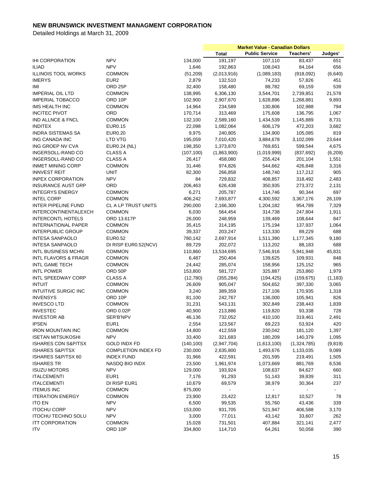|                                 |                            |            | <b>Market Value - Canadian Dollars</b> |                       |             |          |
|---------------------------------|----------------------------|------------|----------------------------------------|-----------------------|-------------|----------|
|                                 |                            |            | <b>Total</b>                           | <b>Public Service</b> | Teachers'   | Judges'  |
| <b>IHI CORPORATION</b>          | <b>NPV</b>                 | 134,000    | 191,197                                | 107,110               | 83,437      | 651      |
| <b>ILIAD</b>                    | <b>NPV</b>                 | 1,646      | 192,863                                | 108,043               | 84,164      | 656      |
| <b>ILLINOIS TOOL WORKS</b>      | <b>COMMON</b>              | (51, 209)  | (2,013,916)                            | (1,089,183)           | (918,092)   | (6,640)  |
| <b>IMERYS</b>                   | EUR <sub>2</sub>           | 2,879      | 132,510                                | 74,233                | 57,826      | 451      |
| IMI                             | ORD <sub>25P</sub>         | 32,400     | 158,480                                | 88,782                | 69,159      | 539      |
| <b>IMPERIAL OIL LTD</b>         | COMMON                     | 138,995    | 6,306,130                              | 3,544,701             | 2,739,851   | 21,578   |
| <b>IMPERIAL TOBACCO</b>         | ORD 10P                    | 102,900    | 2,907,670                              | 1,628,896             | 1,268,881   | 9,893    |
| IMS HEALTH INC                  | <b>COMMON</b>              | 14,964     | 234,589                                | 130,806               | 102,988     | 794      |
| <b>INCITEC PIVOT</b>            | ORD                        | 170,714    | 313,469                                | 175,608               | 136,795     | 1,067    |
| IND ALLNCE & FNCL               | <b>COMMON</b>              | 132,100    | 2,589,160                              | 1,434,539             | 1,145,889   | 8,731    |
| <b>INDITEX</b>                  | <b>EUR0.15</b>             | 22,098     | 1,082,064                              | 606,179               | 472,203     | 3,682    |
| <b>INDRA SISTEMAS SA</b>        | <b>EUR0.20</b>             | 9,975      | 240,805                                | 134,900               | 105,085     | 819      |
| ING CANADA INC                  | <b>LTD VTG</b>             | 195,059    | 7,010,420                              | 3,884,678             | 3,102,099   | 23,644   |
| ING GROEP NV CVA                | EUR0.24 (NL)               | 198,350    | 1,373,870                              | 769,651               | 599,544     | 4,675    |
| INGERSOLL-RAND CO               | <b>CLASS A</b>             | (107, 100) | (1,863,900)                            | (1,019,999)           | (837, 692)  | (6,209)  |
| INGERSOLL-RAND CO               | CLASS A                    | 26,417     | 458,080                                | 255,424               | 201,104     | 1,551    |
| <b>INMET MINING CORP</b>        | COMMON                     |            | 974,826                                |                       |             |          |
|                                 |                            | 31,446     |                                        | 544,662               | 426,848     | 3,316    |
| <b>INNVEST REIT</b>             | <b>UNIT</b>                | 82,300     | 266,858                                | 148,740               | 117,212     | 905      |
| <b>INPEX CORPORATION</b>        | <b>NPV</b>                 | 84         | 729,832                                | 408,857               | 318,492     | 2,483    |
| <b>INSURANCE AUST GRP</b>       | ORD                        | 206,463    | 626,438                                | 350,935               | 273,372     | 2,131    |
| <b>INTEGRYS ENERGY</b>          | <b>COMMON</b>              | 6,271      | 205,787                                | 114,746               | 90,344      | 697      |
| <b>INTEL CORP</b>               | COMMON                     | 406,242    | 7,693,877                              | 4,300,592             | 3,367,176   | 26,109   |
| <b>INTER PIPELINE FUND</b>      | CL A LP TRUST UNITS        | 290,000    | 2,166,300                              | 1,204,182             | 954,789     | 7,329    |
| <b>INTERCONTINENTALEXCH</b>     | <b>COMMON</b>              | 6,030      | 564,454                                | 314,738               | 247,804     | 1,911    |
| <b>INTERCONTL HOTELS</b>        | ORD 13.617P                | 26,000     | 248,959                                | 139,469               | 108,644     | 847      |
| INTERNATIONAL PAPER             | <b>COMMON</b>              | 35,415     | 314,195                                | 175,194               | 137,937     | 1,064    |
| <b>INTERPUBLIC GROUP</b>        | <b>COMMON</b>              | 39,337     | 203,247                                | 113,330               | 89,229      | 688      |
| <b>INTESA SANPAOLO</b>          | EUR0.52                    | 780,142    | 2,697,914                              | 1,511,390             | 1,177,345   | 9,180    |
| <b>INTESA SANPAOLO</b>          | DI RISP EUR0.52(NCV)       | 89,729     | 202,072                                | 113,202               | 88,183      | 688      |
| <b>INTL BUSINESS MCHN</b>       | <b>COMMON</b>              | 110,860    | 13,534,695                             | 7,546,916             | 5,941,948   | 45,831   |
| <b>INTL FLAVORS &amp; FRAGR</b> | COMMON                     | 6,487      | 250,404                                | 139,625               | 109,931     | 848      |
| <b>INTL GAME TECH</b>           | COMMON                     | 24,442     | 285,074                                | 158,956               | 125,152     | 965      |
| <b>INTL POWER</b>               | ORD 50P                    | 153,800    | 581,727                                | 325,887               | 253,860     | 1,979    |
| INTL SPEEDWAY CORP              | <b>CLASS A</b>             | (12,780)   | (355, 284)                             | (194, 425)            | (159, 675)  | (1, 183) |
| <b>INTUIT</b>                   | COMMON                     | 26,609     | 905,047                                | 504,652               | 397,330     | 3,065    |
| <b>INTUITIVE SURGIC INC</b>     | COMMON                     | 3,240      | 389,359                                | 217,106               | 170,935     | 1,318    |
| <b>INVENSYS</b>                 | ORD 10P                    | 81,100     | 242,767                                | 136,000               | 105,941     | 826      |
| <b>INVESCO LTD</b>              | COMMON                     | 31,231     | 543,131                                | 302,849               | 238,443     | 1,839    |
| <b>INVESTEC</b>                 | ORD 0.02P                  | 40,900     | 213,886                                | 119,820               | 93,338      | 728      |
| <b>INVESTOR AB</b>              | SER'B'NPV                  | 46,136     | 732,052                                | 410,100               | 319,461     | 2,491    |
| <b>IPSEN</b>                    | EUR1                       | 2,554      | 123,567                                | 69,223                | 53,924      | 420      |
| <b>IRON MOUNTAIN INC</b>        | <b>COMMON</b>              | 14,800     | 412,559                                | 230,042               | 181,120     | 1,397    |
| <b>ISETAN MITSUKOSHI</b>        | <b>NPV</b>                 | 33,400     | 321,683                                | 180,209               | 140,379     | 1,095    |
| <b>ISHARES CDN S&amp;P/TSX</b>  | <b>GOLD INDX FD</b>        | (140, 100) | (2,947,704)                            | (1,613,100)           | (1,324,785) | (9, 819) |
| <b>ISHARES S&amp;P/TSX</b>      | <b>COMPLETION INDEX FD</b> | 230,000    | 2,635,800                              | 1,493,676             | 1,133,035   | 9,089    |
| ISHARES S&P/TSX 60              | <b>INDEX FUND</b>          | 31,966     | 422,591                                | 201,595               | 219,491     | 1,505    |
| <b>ISHARES TR</b>               | NASDQ BIO INDX             | 23,500     | 1,961,974                              | 1,073,669             | 881,769     | 6,536    |
| <b>ISUZU MOTORS</b>             | <b>NPV</b>                 | 129,000    | 193,924                                | 108,637               | 84,627      | 660      |
| <b>ITALCEMENTI</b>              | EUR <sub>1</sub>           | 7,176      | 91,293                                 | 51,143                | 39,839      | 311      |
| <b>ITALCEMENTI</b>              | DI RISP EUR1               | 10,679     | 69,579                                 | 38,979                | 30,364      | 237      |
| <b>ITEMUS INC</b>               | <b>COMMON</b>              |            |                                        |                       |             |          |
|                                 |                            | 875,000    |                                        |                       |             |          |
| <b>ITERATION ENERGY</b>         | COMMON                     | 23,900     | 23,422                                 | 12,817                | 10,527      | 78       |
| <b>ITO EN</b>                   | <b>NPV</b>                 | 6,500      | 99,535                                 | 55,760                | 43,436      | 339      |
| <b>ITOCHU CORP</b>              | <b>NPV</b>                 | 153,000    | 931,705                                | 521,947               | 406,588     | 3,170    |
| <b>ITOCHU TECHNO SOLU</b>       | <b>NPV</b>                 | 3,000      | 77,011                                 | 43,142                | 33,607      | 262      |
| <b>ITT CORPORATION</b>          | <b>COMMON</b>              | 15,028     | 731,501                                | 407,884               | 321,141     | 2,477    |
| <b>ITV</b>                      | ORD 10P                    | 334,800    | 114,710                                | 64,261                | 50,058      | 390      |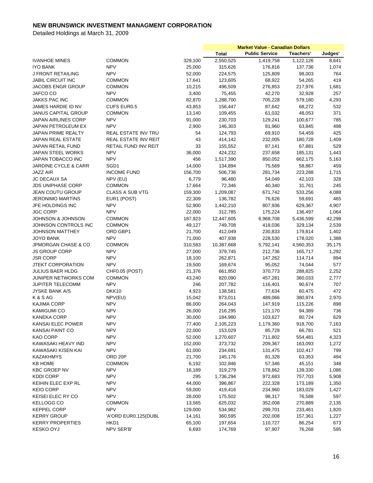|                                 |                        |         | <b>Market Value - Canadian Dollars</b> |                       |           |         |
|---------------------------------|------------------------|---------|----------------------------------------|-----------------------|-----------|---------|
|                                 |                        |         | <b>Total</b>                           | <b>Public Service</b> | Teachers' | Judges' |
| <b>IVANHOE MINES</b>            | <b>COMMON</b>          | 329,100 | 2,550,525                              | 1,419,758             | 1,122,126 | 8,641   |
| <b>IYO BANK</b>                 | <b>NPV</b>             | 25,000  | 315,626                                | 176,816               | 137,736   | 1,074   |
| J FRONT RETAILING               | <b>NPV</b>             | 52,000  | 224,575                                | 125,809               | 98,003    | 764     |
| JABIL CIRCUIT INC               | <b>COMMON</b>          | 17,641  | 123,605                                | 68,922                | 54,265    | 419     |
| <b>JACOBS ENGR GROUP</b>        | <b>COMMON</b>          | 10,215  | 496,509                                | 276,853               | 217,976   | 1,681   |
| JAFCO CO                        | <b>NPV</b>             | 3,400   | 75,455                                 | 42,270                | 32,928    | 257     |
| JAKKS PAC INC                   | <b>COMMON</b>          | 82,870  | 1,288,700                              | 705,228               | 579,180   | 4,293   |
| JAMES HARDIE ID NV              | <b>CUFS EUR0.5</b>     | 43,853  | 156,447                                | 87,642                | 68,272    | 532     |
| <b>JANUS CAPITAL GROUP</b>      | <b>COMMON</b>          | 13,140  | 109,455                                | 61,032                | 48,053    | 371     |
| JAPAN AIRLINES CORP             | <b>NPV</b>             | 91,000  | 230,703                                | 129,241               | 100,677   | 785     |
| JAPAN PETROLEUM EX              | <b>NPV</b>             | 2,900   | 146,303                                | 81,960                | 63,845    | 498     |
| <b>JAPAN PRIME REALTY</b>       |                        |         |                                        |                       |           |         |
|                                 | REAL ESTATE INV TRU    | 54      | 124,793                                | 69,910                | 54,459    | 425     |
| <b>JAPAN REAL ESTATE</b>        | REAL ESTATE INV REIT   | 43      | 414,142                                | 232,005               | 180,728   | 1,409   |
| JAPAN RETAIL FUND               | RETAIL FUND INV REIT   | 33      | 155,552                                | 87,141                | 67,881    | 529     |
| JAPAN STEEL WORKS               | <b>NPV</b>             | 36,000  | 424,232                                | 237,658               | 185,131   | 1,443   |
| JAPAN TOBACCO INC               | <b>NPV</b>             | 456     | 1,517,390                              | 850,052               | 662,175   | 5,163   |
| <b>JARDINE CYCLE &amp; CARR</b> | SGD1                   | 14,000  | 134,894                                | 75,569                | 58,867    | 459     |
| <b>JAZZ AIR</b>                 | <b>INCOME FUND</b>     | 156,700 | 506,736                                | 281,734               | 223,288   | 1,715   |
| <b>JC DECAUX SA</b>             | NPV (EU)               | 6,779   | 96,480                                 | 54,049                | 42,103    | 328     |
| <b>JDS UNIPHASE CORP</b>        | <b>COMMON</b>          | 17,664  | 72,346                                 | 40,340                | 31,761    | 245     |
| <b>JEAN COUTU GROUP</b>         | <b>CLASS A SUB VTG</b> | 159,300 | 1,209,087                              | 671,742               | 533,256   | 4,088   |
| <b>JERONIMO MARTINS</b>         | EUR1 (POST)            | 22,309  | 136,782                                | 76,626                | 59,691    | 465     |
| JFE HOLDINGS INC                | <b>NPV</b>             | 52,900  | 1,442,210                              | 807,936               | 629,367   | 4,907   |
| <b>JGC CORP</b>                 | <b>NPV</b>             | 22,000  | 312,785                                | 175,224               | 136,497   | 1,064   |
| <b>JOHNSON &amp; JOHNSON</b>    | <b>COMMON</b>          | 187,923 | 12,447,605                             | 6,968,708             | 5,436,599 | 42,298  |
| JOHNSON CONTROLS INC            | <b>COMMON</b>          | 49,127  | 749,708                                | 418,036               | 329,134   | 2,539   |
| <b>JOHNSON MATTHEY</b>          | ORD GBP1               | 21,700  | 412,049                                | 230,833               | 179,814   | 1,402   |
| <b>JOYO BANK</b>                | <b>NPV</b>             | 71,000  | 407,938                                | 228,530               | 178,020   | 1,388   |
| JPMORGAN CHASE & CO             | COMMON                 | 310,583 | 10,387,668                             | 5,792,141             | 4,560,353 | 35,175  |
| <b>JS GROUP CORP</b>            | <b>NPV</b>             | 27,000  | 379,745                                | 212,736               | 165,717   | 1,292   |
| <b>JSR CORP</b>                 | <b>NPV</b>             | 18,100  | 262,871                                | 147,262               | 114,714   | 894     |
| JTEKT CORPORATION               | <b>NPV</b>             | 19,500  | 169,674                                | 95,052                | 74,044    | 577     |
| <b>JULIUS BAER HLDG</b>         | CHF0.05 (POST)         | 21,376  | 661,850                                | 370,773               | 288,825   | 2,252   |
| JUNIPER NETWORKS COM            | <b>COMMON</b>          | 43,240  | 820,090                                | 457,281               | 360,033   | 2,777   |
| <b>JUPITER TELECOMM</b>         | <b>NPV</b>             | 246     | 207,782                                | 116,401               | 90,674    | 707     |
| <b>JYSKE BANK A/S</b>           | DKK10                  | 4,923   | 138,581                                | 77,634                | 60,475    | 472     |
| K & S AG                        | NPV(EU)                | 15,042  | 873,011                                | 489,066               | 380,974   | 2,970   |
| <b>KAJIMA CORP</b>              | <b>NPV</b>             | 86,000  | 264,043                                | 147,919               | 115,226   | 898     |
| <b>KAMIGUMI CO</b>              | <b>NPV</b>             | 26,000  | 216,295                                | 121,170               | 94,389    | 736     |
| <b>KANEKA CORP</b>              | <b>NPV</b>             | 30,000  | 184,980                                | 103,627               | 80,724    | 629     |
| KANSAI ELEC POWER               | <b>NPV</b>             | 77,400  | 2,105,223                              | 1,179,360             | 918,700   | 7,163   |
| KANSAI PAINT CO                 | <b>NPV</b>             | 22,000  | 153,029                                | 85,728                | 66,781    | 521     |
| <b>KAO CORP</b>                 | <b>NPV</b>             | 52,000  | 1,270,607                              | 711,802               | 554,481   | 4,323   |
| KAWASAKI HEAVY IND              | <b>NPV</b>             | 152,000 | 373,732                                | 209,367               | 163,093   | 1,272   |
| KAWASAKI KISEN KAI              | <b>NPV</b>             | 61,000  | 234,691                                | 131,475               | 102,417   | 799     |
| KAZAKHMYS                       | ORD <sub>20P</sub>     | 21,700  | 145,176                                | 81,328                | 63,353    | 494     |
| <b>KB HOME</b>                  | <b>COMMON</b>          | 6,192   | 102,846                                | 57,346                | 45,151    | 348     |
| <b>KBC GROEP NV</b>             | <b>NPV</b>             | 16,189  | 319,279                                | 178,862               | 139,330   | 1,086   |
| <b>KDDI CORP</b>                | <b>NPV</b>             | 295     | 1,736,294                              | 972,683               | 757,703   | 5,908   |
| KEIHIN ELEC EXP RL              | <b>NPV</b>             | 44,000  | 396,867                                | 222,328               | 173,189   | 1,350   |
| <b>KEIO CORP</b>                | <b>NPV</b>             | 59,000  | 419,416                                | 234,960               | 183,029   | 1,427   |
| KEISEI ELEC RY CO               | <b>NPV</b>             | 28,000  | 175,502                                | 98,317                | 76,588    | 597     |
| <b>KELLOGG CO</b>               | <b>COMMON</b>          | 13,565  | 625,032                                | 352,008               | 270,889   | 2,135   |
| <b>KEPPEL CORP</b>              | <b>NPV</b>             | 129,000 | 534,982                                | 299,701               | 233,461   | 1,820   |
| <b>KERRY GROUP</b>              | 'A'ORD EUR0.125(DUBL   | 14,161  | 360,595                                | 202,008               | 157,361   | 1,227   |
| <b>KERRY PROPERTIES</b>         | HKD1                   | 65,100  | 197,654                                | 110,727               | 86,254    | 673     |
| <b>KESKO OYJ</b>                | NPV SER'B'             | 6,693   | 174,769                                | 97,907                | 76,268    | 595     |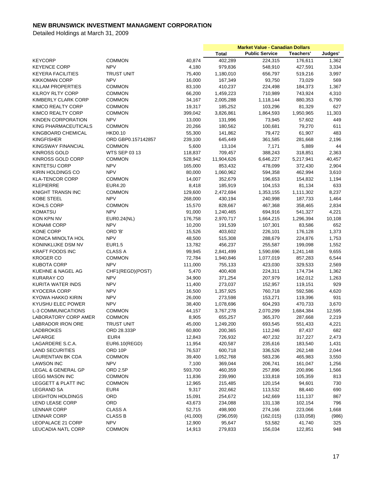|                                |                    |          | <b>Market Value - Canadian Dollars</b> |                       |           |         |
|--------------------------------|--------------------|----------|----------------------------------------|-----------------------|-----------|---------|
|                                |                    |          | <b>Total</b>                           | <b>Public Service</b> | Teachers' | Judges' |
| <b>KEYCORP</b>                 | COMMON             | 40,874   | 402,289                                | 224,315               | 176,611   | 1,362   |
| <b>KEYENCE CORP</b>            | <b>NPV</b>         | 4,180    | 979,836                                | 548,910               | 427,591   | 3,334   |
| <b>KEYERA FACILITIES</b>       | <b>TRUST UNIT</b>  | 75,400   | 1,180,010                              | 656,797               | 519,216   | 3,997   |
| <b>KIKKOMAN CORP</b>           | <b>NPV</b>         | 16,000   | 167,349                                | 93,750                | 73,029    | 569     |
| <b>KILLAM PROPERTIES</b>       | <b>COMMON</b>      | 83,100   | 410,237                                | 224,498               | 184,373   | 1,367   |
| <b>KILROY RLTY CORP</b>        | <b>COMMON</b>      | 66,200   | 1,459,223                              | 710,989               | 743,924   | 4,310   |
| KIMBERLY CLARK CORP            | COMMON             | 34,167   | 2,005,288                              | 1,118,144             | 880,353   | 6,790   |
| KIMCO REALTY CORP              | COMMON             | 19,317   | 185,252                                | 103,296               | 81,329    | 627     |
| KIMCO REALTY CORP              | COMMON             | 399,042  |                                        | 1,864,593             |           | 11,303  |
|                                |                    |          | 3,826,861                              |                       | 1,950,965 |         |
| KINDEN CORPORATION             | <b>NPV</b>         | 13,000   | 131,996                                | 73,945                | 57,602    | 449     |
| KING PHARMACEUTICALS           | <b>COMMON</b>      | 20,266   | 180,562                                | 100,681               | 79,270    | 611     |
| KINGBOARD CHEMICAL             | <b>HKD0.10</b>     | 55,300   | 141,862                                | 79,472                | 61,907    | 483     |
| <b>KINGFISHER</b>              | ORD GBP0.157142857 | 239,100  | 645,449                                | 361,585               | 281,668   | 2,196   |
| <b>KINGSWAY FINANCIAL</b>      | <b>COMMON</b>      | 5,600    | 13,104                                 | 7,171                 | 5,889     | 44      |
| <b>KINROSS GOLD</b>            | WTS SEP 03 13      | 118,837  | 709,457                                | 388,243               | 318,851   | 2,363   |
| KINROSS GOLD CORP              | <b>COMMON</b>      | 528,942  | 11,904,626                             | 6,646,227             | 5,217,941 | 40,457  |
| <b>KINTETSU CORP</b>           | <b>NPV</b>         | 165,000  | 853,432                                | 478,099               | 372,430   | 2,904   |
| KIRIN HOLDINGS CO              | <b>NPV</b>         | 80,000   | 1,060,962                              | 594,358               | 462,994   | 3,610   |
| <b>KLA-TENCOR CORP</b>         | <b>COMMON</b>      | 14,007   | 352,679                                | 196,653               | 154,832   | 1,194   |
| <b>KLEPIERRE</b>               | <b>EUR4.20</b>     | 8,418    | 185,919                                | 104,153               | 81,134    | 633     |
| <b>KNIGHT TRANSN INC</b>       | COMMON             | 129,600  | 2,472,694                              | 1,353,155             | 1,111,302 | 8,237   |
| <b>KOBE STEEL</b>              | <b>NPV</b>         | 268,000  | 430,194                                | 240,998               | 187,733   | 1,464   |
| KOHLS CORP                     | <b>COMMON</b>      | 15,570   | 828,667                                | 467,368               | 358,465   | 2,834   |
| <b>KOMATSU</b>                 | <b>NPV</b>         | 91,000   | 1,240,465                              | 694,916               | 541,327   | 4,221   |
| KON KPN NV                     | EUR0.24(NL)        | 176,758  | 2,970,717                              | 1,664,215             | 1,296,394 | 10,108  |
| KONAMI CORP                    | <b>NPV</b>         | 10,200   | 191,539                                | 107,301               | 83,586    | 652     |
| KONE CORP                      | ORD 'B'            | 15,526   | 403,602                                | 226,101               | 176,128   | 1,373   |
| KONICA MINOLTA HOL             | <b>NPV</b>         | 48,500   | 515,308                                | 288,679               | 224,876   | 1,753   |
| KONINKLIJKE DSM NV             | <b>EUR1.5</b>      | 13,782   | 456,237                                |                       | 199,098   |         |
|                                |                    |          |                                        | 255,587               |           | 1,552   |
| <b>KRAFT FOODS INC</b>         | <b>CLASS A</b>     | 99,945   | 2,841,499                              | 1,590,696             | 1,241,148 | 9,655   |
| <b>KROGER CO</b>               | <b>COMMON</b>      | 72,784   | 1,940,846                              | 1,077,019             | 857,283   | 6,544   |
| <b>KUBOTA CORP</b>             | <b>NPV</b>         | 111,000  | 755,133                                | 423,030               | 329,533   | 2,569   |
| KUEHNE & NAGEL AG              | CHF1(REGD)(POST)   | 5,470    | 400,408                                | 224,311               | 174,734   | 1,362   |
| <b>KURARAY CO</b>              | <b>NPV</b>         | 34,900   | 371,254                                | 207,979               | 162,012   | 1,263   |
| KURITA WATER INDS              | <b>NPV</b>         | 11,400   | 273,037                                | 152,957               | 119,151   | 929     |
| <b>KYOCERA CORP</b>            | <b>NPV</b>         | 16,500   | 1,357,925                              | 760,718               | 592,586   | 4,620   |
| KYOWA HAKKO KIRIN              | <b>NPV</b>         | 26,000   | 273,598                                | 153,271               | 119,396   | 931     |
| <b>KYUSHU ELEC POWER</b>       | <b>NPV</b>         | 38,400   | 1,078,696                              | 604,293               | 470,733   | 3,670   |
| <b>L-3 COMMUNICATIONS</b>      | <b>COMMON</b>      | 44,157   | 3,767,278                              | 2,070,299             | 1,684,384 | 12,595  |
| LABORATORY CORP AMER           | <b>COMMON</b>      | 8,905    | 655,257                                | 365,370               | 287,668   | 2,219   |
| <b>LABRADOR IRON ORE</b>       | <b>TRUST UNIT</b>  | 45,000   | 1,249,200                              | 693,545               | 551,433   | 4,221   |
| <b>LADBROKES</b>               | ORD 28.333P        | 60,800   | 200,365                                | 112,246               | 87,437    | 682     |
| LAFARGE                        | EUR4               | 12,843   | 726,932                                | 407,232               | 317,227   | 2,473   |
| LAGARDERE S.C.A.               | EUR6.10(REGD)      | 11,954   | 420,587                                | 235,616               | 183,540   | 1,431   |
| <b>LAND SECURITIES</b>         | ORD 10P            | 76,537   | 600,718                                | 336,526               | 262,148   | 2,044   |
| LAURENTIAN BK CDA              | COMMON             | 39,400   | 1,052,768                              | 583,236               | 465,983   | 3,550   |
| <b>LAWSON INC</b>              | <b>NPV</b>         | 7,100    | 369,044                                | 206,741               | 161,047   | 1,256   |
| LEGAL & GENERAL GP             | ORD 2.5P           | 593,700  | 460,359                                | 257,896               | 200,896   | 1,566   |
| <b>LEGG MASON INC</b>          | COMMON             | 11,836   | 239,990                                | 133,818               | 105,359   | 813     |
| <b>LEGGETT &amp; PLATT INC</b> | <b>COMMON</b>      | 12,965   | 215,485                                | 120,154               | 94,601    | 730     |
|                                | EUR4               |          |                                        | 113,532               | 88,440    |         |
| LEGRAND SA                     |                    | 9,317    | 202,662                                |                       |           | 690     |
| LEIGHTON HOLDINGS              | ORD                | 15,091   | 254,672                                | 142,669               | 111,137   | 867     |
| <b>LEND LEASE CORP</b>         | ORD                | 43,673   | 234,088                                | 131,138               | 102,154   | 796     |
| <b>LENNAR CORP</b>             | <b>CLASS A</b>     | 52,715   | 498,900                                | 274,166               | 223,066   | 1,668   |
| LENNAR CORP                    | <b>CLASS B</b>     | (41,000) | (296, 059)                             | (162, 015)            | (133,058) | (986)   |
| LEOPALACE 21 CORP              | <b>NPV</b>         | 12,900   | 95,647                                 | 53,582                | 41,740    | 325     |
| LEUCADIA NATL CORP             | <b>COMMON</b>      | 14,913   | 279,833                                | 156,034               | 122,851   | 948     |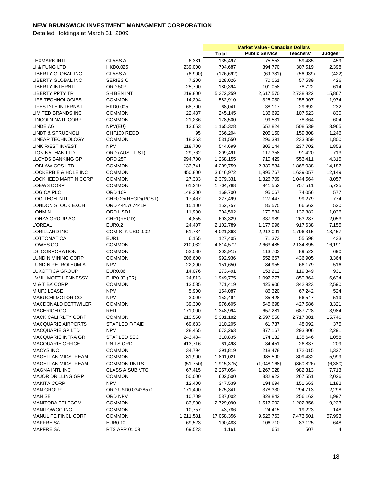|                                                    |                                  |           | <b>Market Value - Canadian Dollars</b> |                       |            |         |
|----------------------------------------------------|----------------------------------|-----------|----------------------------------------|-----------------------|------------|---------|
|                                                    |                                  |           | <b>Total</b>                           | <b>Public Service</b> | Teachers'  | Judges' |
| <b>LEXMARK INTL</b>                                | <b>CLASS A</b>                   | 6,381     | 135,497                                | 75,553                | 59,485     | 459     |
| LI & FUNG LTD                                      | <b>HKD0.025</b>                  | 239,000   | 704,687                                | 394,770               | 307,519    | 2,398   |
| LIBERTY GLOBAL INC                                 | <b>CLASS A</b>                   | (6,900)   | (126, 692)                             | (69, 331)             | (56, 939)  | (422)   |
| LIBERTY GLOBAL INC                                 | <b>SERIES C</b>                  | 7,200     | 128,026                                | 70,061                | 57,539     | 426     |
| <b>LIBERTY INTERNTL</b>                            | ORD 50P                          | 25,700    | 180,394                                | 101,058               | 78,722     | 614     |
| <b>LIBERTY PPTY TR</b>                             | SH BEN INT                       | 219,800   | 5,372,259                              | 2,617,570             | 2,738,822  | 15,867  |
| LIFE TECHNOLOGIES                                  | COMMON                           | 14,294    | 582,910                                | 325,030               | 255,907    | 1,974   |
| <b>LIFESTYLE INTERNAT</b>                          | <b>HKD0.005</b>                  | 68,700    | 68,041                                 | 38,117                | 29,692     | 232     |
| <b>LIMITED BRANDS INC</b>                          | <b>COMMON</b>                    | 22,437    | 245,145                                | 136,692               | 107,623    | 830     |
| LINCOLN NATL CORP                                  | <b>COMMON</b>                    | 21,236    | 178,500                                | 99,531                | 78,364     | 604     |
| LINDE AG                                           | NPV(EU)                          | 13,653    | 1,165,328                              | 652,824               | 508,539    | 3,965   |
| <b>LINDT &amp; SPRUENGLI</b>                       | CHF100 REGD                      | 95        | 366,204                                | 205,150               | 159,808    | 1,246   |
| LINEAR TECHNOLOGY                                  | <b>COMMON</b>                    | 18,363    | 531,550                                | 296,391               | 233,359    | 1,800   |
| LINK R/EST INVEST                                  | <b>NPV</b>                       | 218,700   | 544,699                                | 305,144               | 237,702    | 1,853   |
| LION NATHAN LTD                                    | ORD (AUST LIST)                  | 29,762    | 209,491                                | 117,358               | 91,420     | 713     |
|                                                    | ORD 25P                          | 994,700   |                                        |                       |            | 4,315   |
| LLOYDS BANKING GP                                  |                                  |           | 1,268,155                              | 710,429               | 553,411    |         |
| <b>LOBLAW COS LTD</b>                              | COMMON                           | 133,741   | 4,209,759                              | 2,330,534             | 1,865,038  | 14,187  |
| <b>LOCKERBIE &amp; HOLE INC</b>                    | <b>COMMON</b>                    | 450,800   | 3,646,972                              | 1,995,767             | 1,639,057  | 12,149  |
| LOCKHEED MARTIN CORP                               | <b>COMMON</b>                    | 27,383    | 2,379,331                              | 1,326,709             | 1,044,564  | 8,057   |
| <b>LOEWS CORP</b>                                  | <b>COMMON</b>                    | 61,240    | 1,704,788                              | 941,552               | 757,511    | 5,725   |
| <b>LOGICA PLC</b>                                  | ORD 10P                          | 148,200   | 169,700                                | 95,067                | 74,056     | 577     |
| <b>LOGITECH INTL</b>                               | CHF0.25(REGD)(POST)              | 17,467    | 227,499                                | 127,447               | 99,279     | 774     |
| <b>LONDON STOCK EXCH</b>                           | ORD 444.767441P                  | 15,100    | 152,757                                | 85,575                | 66,662     | 520     |
| <b>LONMIN</b>                                      | ORD USD1                         | 11,900    | 304,502                                | 170,584               | 132,882    | 1,036   |
| LONZA GROUP AG                                     | CHF1(REGD)                       | 4,855     | 603,329                                | 337,989               | 263,287    | 2,053   |
| <b>L'OREAL</b>                                     | EUR0.2                           | 24,407    | 2,102,789                              | 1,177,996             | 917,638    | 7,155   |
| LORILLARD INC                                      | COM STK USD 0.02                 | 51,784    | 4,021,863                              | 2,212,091             | 1,796,315  | 13,457  |
| LOTTOMATICA                                        | EUR1                             | 6,165     | 127,405                                | 71,373                | 55,598     | 433     |
| LOWES CO                                           | <b>COMMON</b>                    | 210,032   | 4,814,572                              | 2,663,485             | 2,134,895  | 16,191  |
| <b>LSI CORPORATION</b>                             | COMMON                           | 53,580    | 203,915                                | 113,703               | 89,522     | 690     |
| LUNDIN MINING CORP                                 | <b>COMMON</b>                    | 506,600   | 992,936                                | 552,667               | 436,905    | 3,364   |
| LUNDIN PETROLEUM A                                 | <b>NPV</b>                       | 22,290    | 151,650                                | 84,955                | 66,179     | 516     |
| <b>LUXOTTICA GROUP</b>                             | <b>EUR0.06</b>                   | 14,076    | 273,491                                | 153,212               | 119,349    | 931     |
| LVMH MOET HENNESSY                                 | EUR0.30 (FR)                     | 24,813    | 1,949,775                              | 1,092,277             | 850,864    | 6,634   |
| M & T BK CORP                                      | <b>COMMON</b>                    | 13,585    | 771,419                                | 425,906               | 342,923    | 2,590   |
| M UFJ LEASE                                        | <b>NPV</b>                       | 5,900     | 154,087                                | 86,320                | 67,242     | 524     |
| <b>MABUCHI MOTOR CO</b>                            | <b>NPV</b>                       | 3,000     | 152,494                                | 85,428                | 66,547     | 519     |
| MACDONALD DETTWILER                                | <b>COMMON</b>                    | 39,300    | 976,605                                | 545,698               | 427,586    | 3,321   |
| <b>MACERICH CO</b>                                 | <b>REIT</b>                      | 171,000   | 1,348,994                              | 657,281               | 687,728    | 3,984   |
| MACK CALI RLTY CORP                                | <b>COMMON</b>                    | 213,550   | 5,331,182                              | 2,597,556             | 2,717,881  | 15,746  |
| <b>MACQUARIE AIRPORTS</b>                          | STAPLED F/PAID                   | 69,633    | 110,205                                | 61,737                | 48,092     | 375     |
| MACQUARIE GP LTD                                   | <b>NPV</b>                       | 28,465    | 673,263                                | 377,167               | 293,806    | 2,291   |
| <b>MACQUARIE INFRA GR</b>                          | STAPLED SEC                      | 243,484   | 310,835                                | 174,132               | 135,646    | 1,058   |
| <b>MACQUARIE OFFICE</b>                            | UNITS ORD                        | 413,716   | 61,498                                 | 34,451                | 26,837     | 209     |
| <b>MACYS INC</b>                                   | <b>COMMON</b>                    | 34,794    | 391,819                                | 218,478               | 172,015    | 1,327   |
| MAGELLAN MIDSTREAM                                 | COMMON                           | 81,900    | 1,801,021                              | 985,590               | 809,432    | 5,999   |
|                                                    | <b>COMMON UNITS</b>              |           |                                        |                       | (860, 826) |         |
| MAGELLAN MIDSTREAM                                 |                                  | (51,750)  | (1,915,375)                            | (1,048,168)           |            | (6,380) |
| <b>MAGNA INTL INC</b><br><b>MAJOR DRILLING GRP</b> | <b>CLASS A SUB VTG</b><br>COMMON | 67,415    | 2,257,054                              | 1,267,028             | 982,313    | 7,713   |
|                                                    |                                  | 50,000    | 602,500                                | 332,922               | 267,551    | 2,026   |
| <b>MAKITA CORP</b>                                 | <b>NPV</b>                       | 12,400    | 347,539                                | 194,694               | 151,663    | 1,182   |
| <b>MAN GROUP</b>                                   | ORD USD0.03428571                | 171,400   | 675,341                                | 378,330               | 294,713    | 2,298   |
| <b>MAN SE</b>                                      | ORD NPV                          | 10,709    | 587,002                                | 328,842               | 256,162    | 1,997   |
| MANITOBA TELECOM                                   | <b>COMMON</b>                    | 83,900    | 2,729,090                              | 1,517,002             | 1,202,856  | 9,233   |
| MANITOWOC INC                                      | <b>COMMON</b>                    | 10,757    | 43,786                                 | 24,415                | 19,223     | 148     |
| <b>MANULIFE FINCL CORP</b>                         | <b>COMMON</b>                    | 1,211,531 | 17,058,356                             | 9,526,763             | 7,473,601  | 57,993  |
| <b>MAPFRE SA</b>                                   | <b>EUR0.10</b>                   | 69,523    | 190,483                                | 106,710               | 83,125     | 648     |
| <b>MAPFRE SA</b>                                   | RTS APR 01 09                    | 69,523    | 1,161                                  | 651                   | 507        | 4       |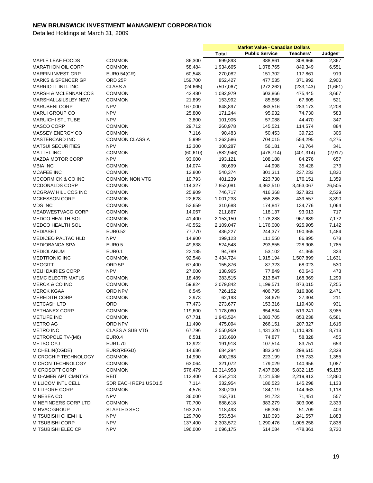|                                 |                        |           | <b>Market Value - Canadian Dollars</b> |                       |            |          |
|---------------------------------|------------------------|-----------|----------------------------------------|-----------------------|------------|----------|
|                                 |                        |           | <b>Total</b>                           | <b>Public Service</b> | Teachers'  | Judges'  |
| MAPLE LEAF FOODS                | <b>COMMON</b>          | 86,300    | 699,893                                | 388,861               | 308,666    | 2,367    |
| MARATHON OIL CORP               | <b>COMMON</b>          | 58,484    | 1,934,665                              | 1,078,765             | 849,349    | 6,551    |
| <b>MARFIN INVEST GRP</b>        | <b>EUR0.54(CR)</b>     | 60,548    | 270,082                                | 151,302               | 117,861    | 919      |
| <b>MARKS &amp; SPENCER GP</b>   | ORD <sub>25P</sub>     | 159,700   | 852,427                                | 477,535               | 371,992    | 2,900    |
| <b>MARRIOTT INTL INC</b>        | <b>CLASS A</b>         | (24, 665) | (507,067)                              | (272, 262)            | (233, 143) | (1,661)  |
| <b>MARSH &amp; MCLENNAN COS</b> | <b>COMMON</b>          | 42,480    | 1,082,979                              | 603,866               | 475,445    | 3,667    |
| <b>MARSHALL&amp;ILSLEY NEW</b>  | <b>COMMON</b>          | 21,899    | 153,992                                | 85,866                | 67,605     | 521      |
| <b>MARUBENI CORP</b>            | <b>NPV</b>             | 167,000   | 648,897                                | 363,516               | 283,173    | 2,208    |
| <b>MARUI GROUP CO</b>           | <b>NPV</b>             | 25,800    | 171,244                                | 95,932                | 74,730     | 583      |
| <b>MARUICHI STL TUBE</b>        | <b>NPV</b>             | 3,800     | 101,905                                | 57,088                | 44,470     | 347      |
| <b>MASCO CORP</b>               | <b>COMMON</b>          | 29,712    | 260,978                                | 145,521               | 114,574    | 884      |
| <b>MASSEY ENERGY CO</b>         | <b>COMMON</b>          | 7,116     | 90,483                                 | 50,453                | 39,723     | 306      |
| <b>MASTERCARD INC</b>           | <b>COMMON CLASS A</b>  | 5,999     | 1,262,586                              | 704,015               | 554,295    | 4,275    |
| <b>MATSUI SECURITIES</b>        | <b>NPV</b>             | 12,300    | 100,287                                | 56,181                | 43,764     | 341      |
| <b>MATTEL INC</b>               | <b>COMMON</b>          | (60, 610) | (882, 946)                             | (478, 714)            | (401, 314) | (2, 917) |
| <b>MAZDA MOTOR CORP</b>         | <b>NPV</b>             | 93,000    | 193,121                                | 108,188               | 84,276     | 657      |
| <b>MBIA INC</b>                 | <b>COMMON</b>          | 14,074    | 80,699                                 | 44,998                | 35,428     | 273      |
| <b>MCAFEE INC</b>               | <b>COMMON</b>          | 12,800    | 540,374                                | 301,311               | 237,233    | 1,830    |
| MCCORMICK & CO INC              | COMMON NON VTG         | 10,793    | 401,239                                | 223,730               | 176,151    | 1,359    |
| <b>MCDONALDS CORP</b>           | <b>COMMON</b>          | 114,327   | 7,852,081                              | 4,362,510             | 3,463,067  | 26,505   |
| MCGRAW HILL COS INC             | <b>COMMON</b>          | 25,909    | 746,717                                | 416,368               | 327,821    | 2,529    |
| <b>MCKESSON CORP</b>            | <b>COMMON</b>          | 22,628    | 1,001,233                              | 558,285               | 439,557    | 3,390    |
| <b>MDS INC</b>                  | <b>COMMON</b>          | 52,659    | 310,688                                | 174,847               | 134,776    | 1,064    |
| MEADWESTVACO CORP               | <b>COMMON</b>          | 14,057    | 211,867                                | 118,137               | 93,013     | 717      |
| MEDCO HEALTH SOL                | <b>COMMON</b>          | 41,400    | 2,153,150                              | 1,178,288             | 967,689    | 7,172    |
| <b>MEDCO HEALTH SOL</b>         | <b>COMMON</b>          | 40,552    | 2,109,047                              | 1,176,000             | 925,905    | 7,142    |
| <b>MEDIASET</b>                 | <b>EUR0.52</b>         | 77,770    | 436,227                                | 244,377               | 190,365    | 1,484    |
| <b>MEDICEO PALTAC HLD</b>       | <b>NPV</b>             | 14,900    | 199,123                                | 111,550               | 86,895     | 678      |
| <b>MEDIOBANCA SPA</b>           | <b>EUR0.5</b>          | 49,838    | 524,548                                | 293,855               | 228,908    | 1,785    |
| <b>MEDIOLANUM</b>               | <b>EUR0.1</b>          | 22,185    | 94,789                                 | 53,102                | 41,365     | 323      |
| <b>MEDTRONIC INC</b>            | <b>COMMON</b>          | 92,548    | 3,434,724                              | 1,915,194             | 1,507,899  | 11,631   |
| <b>MEGGITT</b>                  | ORD 5P                 | 67,400    | 155,876                                | 87,323                | 68,023     | 530      |
| <b>MEIJI DAIRIES CORP</b>       | <b>NPV</b>             |           | 138,965                                |                       | 60,643     | 473      |
| <b>MEMC ELECTR MATLS</b>        | <b>COMMON</b>          | 27,000    |                                        | 77,849                |            |          |
|                                 |                        | 18,489    | 383,515                                | 213,847               | 168,369    | 1,299    |
| MERCK & CO INC                  | <b>COMMON</b>          | 59,824    | 2,079,842                              | 1,199,571             | 873,015    | 7,255    |
| <b>MERCK KGAA</b>               | ORD NPV                | 6,545     | 726,152                                | 406,795               | 316,886    | 2,471    |
| <b>MEREDITH CORP</b>            | <b>COMMON</b>          | 2,973     | 62,193                                 | 34,679                | 27,304     | 211      |
| <b>METCASH LTD</b>              | ORD                    | 77,473    | 273,677                                | 153,316               | 119,430    | 931      |
| <b>METHANEX CORP</b>            | <b>COMMON</b>          | 119,600   | 1,178,060                              | 654,834               | 519,241    | 3,985    |
| <b>METLIFE INC</b>              | <b>COMMON</b>          | 67,731    | 1,943,524                              | 1,083,705             | 853,238    | 6,581    |
| METRO AG                        | ORD NPV                | 11,490    | 475,094                                | 266,151               | 207,327    | 1,616    |
| <b>METRO INC</b>                | <b>CLASS A SUB VTG</b> | 67,796    | 2,550,959                              | 1,431,320             | 1,110,926  | 8,713    |
| METROPOLE TV-(M6)               | EUR0.4                 | 6,531     | 133,660                                | 74,877                | 58,328     | 455      |
| <b>METSO OYJ</b>                | EUR1.70                | 12,922    | 191,918                                | 107,514               | 83,751     | 653      |
| MICHELIN(CGDE)                  | EUR2(REGD)             | 14,686    | 684,284                                | 383,340               | 298,615    | 2,328    |
| MICROCHIP TECHNOLOGY            | <b>COMMON</b>          | 14,990    | 400,288                                | 223,199               | 175,733    | 1,355    |
| MICRON TECHNOLOGY               | <b>COMMON</b>          | 63,064    | 321,072                                | 179,029               | 140,956    | 1,087    |
| <b>MICROSOFT CORP</b>           | <b>COMMON</b>          | 576,479   | 13,314,958                             | 7,437,686             | 5,832,115  | 45,158   |
| MID-AMER APT CMNTYS             | REIT                   | 112,400   | 4,354,213                              | 2,121,539             | 2,219,813  | 12,860   |
| MILLICOM INTL CELL              | SDR EACH REP1 USD1.5   | 7,114     | 332,954                                | 186,523               | 145,298    | 1,133    |
| <b>MILLIPORE CORP</b>           | <b>COMMON</b>          | 4,576     | 330,200                                | 184,119               | 144,963    | 1,118    |
| <b>MINEBEA CO</b>               | <b>NPV</b>             | 36,000    | 163,731                                | 91,723                | 71,451     | 557      |
| MINEFINDERS CORP LTD            | <b>COMMON</b>          | 70,700    | 688,618                                | 383,279               | 303,006    | 2,333    |
| <b>MIRVAC GROUP</b>             | STAPLED SEC            | 163,270   | 118,493                                | 66,380                | 51,709     | 403      |
| <b>MITSUBISHI CHEM HL</b>       | <b>NPV</b>             | 129,700   | 553,534                                | 310,093               | 241,557    | 1,883    |
| <b>MITSUBISHI CORP</b>          | <b>NPV</b>             | 137,400   | 2,303,572                              | 1,290,476             | 1,005,258  | 7,838    |
| MITSUBISHI ELEC CP              | <b>NPV</b>             | 196,000   | 1,096,175                              | 614,084               | 478,361    | 3,730    |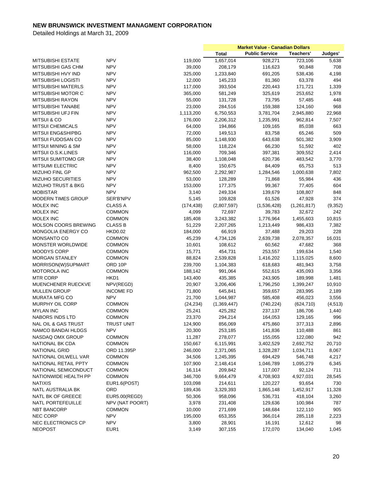|                                |                   |            | <b>Market Value - Canadian Dollars</b> |                       |             |          |
|--------------------------------|-------------------|------------|----------------------------------------|-----------------------|-------------|----------|
|                                |                   |            | <b>Total</b>                           | <b>Public Service</b> | Teachers'   | Judges'  |
| <b>MITSUBISHI ESTATE</b>       | <b>NPV</b>        | 119,000    | 1,657,014                              | 928,271               | 723,106     | 5,638    |
| <b>MITSUBISHI GAS CHM</b>      | <b>NPV</b>        | 39,000     | 208,179                                | 116,623               | 90,848      | 708      |
| MITSUBISHI HVY IND             | <b>NPV</b>        | 325,000    | 1,233,840                              | 691,205               | 538,436     | 4,198    |
| MITSUBISHI LOGISTI             | <b>NPV</b>        | 12,000     | 145,233                                | 81,360                | 63,378      | 494      |
| <b>MITSUBISHI MATERLS</b>      | <b>NPV</b>        | 117,000    | 393,504                                | 220,443               | 171,721     | 1,339    |
| MITSUBISHI MOTOR C             | <b>NPV</b>        | 365,000    | 581,249                                | 325,619               | 253,652     | 1,978    |
| <b>MITSUBISHI RAYON</b>        | <b>NPV</b>        | 55,000     | 131,728                                | 73,795                | 57,485      | 448      |
| <b>MITSUBISHI TANABE</b>       | <b>NPV</b>        | 23,000     | 284,516                                | 159,388               | 124,160     | 968      |
| <b>MITSUBISHI UFJ FIN</b>      | <b>NPV</b>        | 1,113,200  | 6,750,553                              | 3,781,704             | 2,945,880   | 22,968   |
| <b>MITSUI &amp; CO</b>         | <b>NPV</b>        | 176,000    | 2,206,312                              | 1,235,991             | 962,814     | 7,507    |
| <b>MITSUI CHEMICALS</b>        | <b>NPV</b>        | 64,000     | 194,866                                | 109,165               | 85,038      | 663      |
| <b>MITSUI ENG&amp;SHIPBG</b>   | <b>NPV</b>        | 72,000     | 149,513                                | 83,758                | 65,246      | 509      |
| MITSUI FUDOSAN CO              | <b>NPV</b>        | 85,000     | 1,148,930                              | 643,638               | 501,382     | 3,909    |
| MITSUI MINING & SM             | <b>NPV</b>        | 58,000     | 118,224                                | 66,230                | 51,592      | 402      |
| MITSUI O.S.K.LINES             | <b>NPV</b>        | 116,000    | 709,346                                | 397,381               | 309,552     | 2,414    |
| <b>MITSUI SUMITOMO GR</b>      | <b>NPV</b>        | 38,400     | 1,108,048                              | 620,736               | 483,542     | 3,770    |
| <b>MITSUMI ELECTRIC</b>        | <b>NPV</b>        | 8,400      | 150,675                                | 84,409                | 65,753      | 513      |
|                                |                   |            |                                        |                       |             |          |
| MIZUHO FINL GP                 | <b>NPV</b>        | 962,500    | 2,292,987                              | 1,284,546             | 1,000,638   | 7,802    |
| <b>MIZUHO SECURITIES</b>       | <b>NPV</b>        | 53,000     | 128,289                                | 71,868                | 55,984      | 436      |
| MIZUHO TRUST & BKG             | <b>NPV</b>        | 153,000    | 177,375                                | 99,367                | 77,405      | 604      |
| <b>MOBISTAR</b>                | <b>NPV</b>        | 3,140      | 249,334                                | 139,679               | 108,807     | 848      |
| <b>MODERN TIMES GROUP</b>      | SER'B'NPV         | 5,145      | 109,828                                | 61,526                | 47,928      | 374      |
| <b>MOLEX INC</b>               | <b>CLASS A</b>    | (174, 438) | (2,807,597)                            | (1,536,428)           | (1,261,817) | (9,352)  |
| MOLEX INC                      | <b>COMMON</b>     | 4,099      | 72,697                                 | 39,783                | 32,672      | 242      |
| MOLEX INC                      | <b>COMMON</b>     | 185,408    | 3,243,382                              | 1,776,964             | 1,455,603   | 10,815   |
| <b>MOLSON COORS BREWING</b>    | <b>CLASS B</b>    | 51,229     | 2,207,265                              | 1,213,449             | 986,433     | 7,382    |
| <b>MONGOLIA ENERGY CO</b>      | <b>HKD0.02</b>    | 184,000    | 66,919                                 | 37,488                | 29,203      | 228      |
| MONSANTO CO                    | <b>COMMON</b>     | 45,239     | 4,734,126                              | 2,639,738             | 2,078,357   | 16,031   |
| <b>MONSTER WORLDWIDE</b>       | <b>COMMON</b>     | 10,601     | 108,612                                | 60,562                | 47,682      | 368      |
| MOODYS CORP                    | <b>COMMON</b>     | 15,771     | 454,731                                | 253,557               | 199,634     | 1,540    |
| <b>MORGAN STANLEY</b>          | <b>COMMON</b>     | 88,824     | 2,539,828                              | 1,416,202             | 1,115,025   | 8,600    |
| MORRISON(W)SUPMART             | ORD 10P           | 239,700    | 1,104,383                              | 618,683               | 481,943     | 3,758    |
| MOTOROLA INC                   | <b>COMMON</b>     | 188,142    | 991,064                                | 552,615               | 435,093     | 3,356    |
| <b>MTR CORP</b>                | HKD1              | 143,400    | 435,385                                | 243,905               | 189,998     | 1,481    |
| MUENCHENER RUECKVE             | NPV(REGD)         | 20,907     | 3,206,406                              | 1,796,250             | 1,399,247   | 10,910   |
| <b>MULLEN GROUP</b>            | <b>INCOME FD</b>  | 71,800     | 645,841                                | 359,657               | 283,995     | 2,189    |
| <b>MURATA MFG CO</b>           | <b>NPV</b>        | 21,700     | 1,044,987                              | 585,408               | 456,023     | 3,556    |
| MURPHY OIL CORP                | <b>COMMON</b>     | (24, 234)  | (1,369,447)                            | (740, 224)            | (624, 710)  | (4, 513) |
| <b>MYLAN INC</b>               | <b>COMMON</b>     | 25,241     | 425,282                                | 237,137               | 186,706     | 1,440    |
| NABORS INDS LTD                | <b>COMMON</b>     | 23,370     | 294,214                                | 164,053               | 129,165     | 996      |
| <b>NAL OIL &amp; GAS TRUST</b> | <b>TRUST UNIT</b> | 124,900    | 856,069                                | 475,860               | 377,313     | 2,896    |
| NAMCO BANDAI HLDGS             | <b>NPV</b>        | 20,300     |                                        |                       |             |          |
|                                |                   |            | 253,185                                | 141,836               | 110,488     | 861      |
| NASDAQ OMX GROUP               | <b>COMMON</b>     | 11,287     | 278,077                                | 155,055               | 122,080     | 942      |
| NATIONAL BK CDA                | <b>COMMON</b>     | 150,667    | 6,115,991                              | 3,402,529             | 2,692,752   | 20,710   |
| NATIONAL GRID                  | ORD 11.395P       | 246,000    | 2,371,065                              | 1,328,287             | 1,034,711   | 8,067    |
| NATIONAL OILWELL VAR           | <b>COMMON</b>     | 34,506     | 1,245,395                              | 694,429               | 546,748     | 4,217    |
| NATIONAL RETAIL PPTY           | <b>COMMON</b>     | 107,900    | 2,148,414                              | 1,046,789             | 1,095,279   | 6,345    |
| NATIONAL SEMICONDUCT           | <b>COMMON</b>     | 16,114     | 209,842                                | 117,007               | 92,124      | 711      |
| NATIONWIDE HEALTH PP           | <b>COMMON</b>     | 346,700    | 9,664,479                              | 4,708,903             | 4,927,031   | 28,545   |
| <b>NATIXIS</b>                 | EUR1.6(POST)      | 103,098    | 214,611                                | 120,227               | 93,654      | 730      |
| NATL AUSTRALIA BK              | ORD               | 189,436    | 3,329,393                              | 1,865,148             | 1,452,917   | 11,328   |
| NATL BK OF GREECE              | EUR5.00(REGD)     | 50,306     | 958,096                                | 536,731               | 418,104     | 3,260    |
| NATL PORTEFEUILLE              | NPV (NAT POORT)   | 3,978      | 231,408                                | 129,636               | 100,984     | 787      |
| <b>NBT BANCORP</b>             | <b>COMMON</b>     | 10,000     | 271,699                                | 148,684               | 122,110     | 905      |
| <b>NEC CORP</b>                | <b>NPV</b>        | 195,000    | 653,355                                | 366,014               | 285,118     | 2,223    |
| NEC ELECTRONICS CP             | <b>NPV</b>        | 3,800      | 28,901                                 | 16,191                | 12,612      | 98       |
| <b>NEOPOST</b>                 | EUR <sub>1</sub>  | 3,149      | 307,155                                | 172,070               | 134,040     | 1,045    |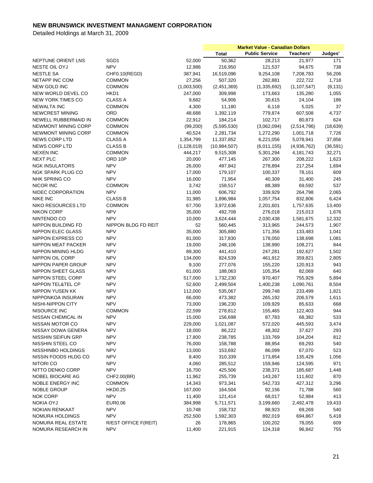|                                                |                             |                   | <b>Market Value - Canadian Dollars</b> |                       |                   |                 |
|------------------------------------------------|-----------------------------|-------------------|----------------------------------------|-----------------------|-------------------|-----------------|
|                                                |                             |                   | <b>Total</b>                           | <b>Public Service</b> | Teachers'         | Judges'         |
| NEPTUNE ORIENT LNS                             | SGD1                        | 52,000            | 50,362                                 | 28,213                | 21,977            | 171             |
| NESTE OIL OYJ                                  | <b>NPV</b>                  | 12,986            | 216,950                                | 121,537               | 94,675            | 738             |
| <b>NESTLE SA</b>                               | CHF0.10(REGD)               | 387,941           | 16,519,096                             | 9,254,108             | 7,208,783         | 56,206          |
| NETAPP INC COM                                 | <b>COMMON</b>               | 27,256            | 507,320                                | 282,881               | 222,722           | 1,718           |
| <b>NEW GOLD INC</b>                            | <b>COMMON</b>               | (1,003,500)       | (2,451,369)                            | (1,335,692)           | (1, 107, 547)     | (8, 131)        |
| NEW WORLD DEVEL CO                             | HKD1                        | 247,000           | 309,998                                | 173,663               | 135,280           | 1,055           |
| <b>NEW YORK TIMES CO</b>                       | <b>CLASS A</b>              | 9,682             | 54,906                                 | 30,615                | 24,104            | 186             |
| <b>NEWALTA INC</b>                             | <b>COMMON</b>               | 4,300             | 11,180                                 | 6,118                 | 5,025             | 37              |
| <b>NEWCREST MINING</b>                         | ORD                         | 48,688            | 1,392,119                              | 779,874               | 607,508           | 4,737           |
| <b>NEWELL RUBBERMAID IN</b>                    | <b>COMMON</b>               | 22,912            | 184,214                                | 102,717               | 80,873            | 624             |
| <b>NEWMONT MINING CORP</b>                     | <b>COMMON</b>               | (99,200)          | (5,595,530)                            | (3,062,094)           | (2,514,796)       | (18, 639)       |
| <b>NEWMONT MINING CORP</b>                     | <b>COMMON</b>               | 40,524            | 2,281,734                              | 1,272,290             | 1,001,718         | 7,726           |
| <b>NEWS CORP LTD</b>                           | <b>CLASS A</b>              | 1,354,799         | 11,337,852                             | 6,221,056             | 5,078,941         | 37,856          |
| NEWS CORP LTD                                  | <b>CLASS B</b>              | (1, 128, 019)     | (10, 984, 507)                         | (6,011,155)           | (4,936,762)       | (36, 591)       |
| <b>NEXEN INC</b>                               | <b>COMMON</b>               | 444,217           | 9,515,308                              | 5,301,294             | 4, 181, 743       | 32,271          |
| <b>NEXT PLC</b>                                | ORD 10P                     | 20,000            | 477,145                                | 267,300               | 208,222           | 1,623           |
| <b>NGK INSULATORS</b>                          | <b>NPV</b>                  | 26,000            | 497,842                                | 278,894               | 217,254           | 1,694           |
| <b>NGK SPARK PLUG CO</b>                       | <b>NPV</b>                  | 17,000            | 179,107                                | 100,337               | 78,161            | 609             |
| <b>NHK SPRING CO</b>                           | <b>NPV</b>                  | 16,000            | 71,954                                 | 40,309                | 31,400            | 245             |
| <b>NICOR INC</b>                               | <b>COMMON</b>               | 3,742             | 158,517                                | 88,389                | 69,592            | 537             |
| <b>NIDEC CORPORATION</b>                       | <b>NPV</b>                  | 11,000            | 606,792                                | 339,929               | 264,798           | 2,065           |
|                                                | <b>CLASS B</b>              |                   | 1,896,984                              |                       |                   |                 |
| <b>NIKE INC</b><br><b>NIKO RESOURCES LTD</b>   |                             | 31,985            |                                        | 1,057,754             | 832,806           | 6,424           |
| <b>NIKON CORP</b>                              | <b>COMMON</b><br><b>NPV</b> | 67,700            | 3,972,636<br>492,708                   | 2,201,601             | 1,757,635         | 13,400<br>1,676 |
|                                                | <b>NPV</b>                  | 35,000            |                                        | 276,018               | 215,013           |                 |
| NINTENDO CO                                    |                             | 10,000            | 3,624,444                              | 2,030,438             | 1,581,675         | 12,332          |
| NIPPON BUILDING FD                             | NIPPON BLDG FD REIT         | 52                | 560,445                                | 313,965               | 244,573           | 1,907           |
| <b>NIPPON ELEC GLASS</b>                       | <b>NPV</b><br><b>NPV</b>    | 35,000            | 305,880                                | 171,356               | 133,483           | 1,041           |
| NIPPON EXPRESS CO<br>NIPPON MEAT PACKER        | <b>NPV</b>                  | 81,000<br>19,000  | 317,830                                | 178,050               | 138,698           | 1,081<br>844    |
| <b>NIPPON MINING HLDG</b>                      | <b>NPV</b>                  | 89,300            | 248,106<br>441,410                     | 138,990<br>247,281    | 108,271           |                 |
|                                                | <b>NPV</b>                  |                   |                                        |                       | 192,627           | 1,502           |
| NIPPON OIL CORP<br>NIPPON PAPER GROUP          | <b>NPV</b>                  | 134,000<br>9,100  | 824,539<br>277,076                     | 461,912               | 359,821           | 2,805<br>943    |
|                                                | <b>NPV</b>                  |                   |                                        | 155,220               | 120,913           |                 |
| <b>NIPPON SHEET GLASS</b><br>NIPPON STEEL CORP | <b>NPV</b>                  | 61,000            | 188,063                                | 105,354               | 82,069<br>755,929 | 640<br>5,894    |
| NIPPON TEL&TEL CP                              | <b>NPV</b>                  | 517,000           | 1,732,230<br>2,499,504                 | 970,407<br>1,400,238  |                   | 8,504           |
| <b>NIPPON YUSEN KK</b>                         | <b>NPV</b>                  | 52,600<br>112,000 |                                        |                       | 1,090,761         |                 |
|                                                |                             |                   | 535,067                                | 299,748               | 233,499           | 1,821           |
| NIPPONKOA INSURAN                              | <b>NPV</b><br><b>NPV</b>    | 66,000            | 473,382                                | 265,192               | 206,579           | 1,611           |
| NISHI-NIPPON CITY                              | <b>COMMON</b>               | 73,000            | 196,230                                | 109,929               | 85,633            | 668             |
| NISOURCE INC<br>NISSAN CHEMICAL IN             |                             | 22,599            | 278,812                                | 155,465               | 122,403           | 944<br>533      |
|                                                | <b>NPV</b>                  | 15,000            | 156,698                                | 87,783                | 68,382            |                 |
| NISSAN MOTOR CO<br>NISSAY DOWA GENERA          | <b>NPV</b>                  | 229,000           | 1,021,087                              | 572,020               | 445,593           | 3,474           |
|                                                | <b>NPV</b>                  | 18,000            | 86,222                                 | 48,302                | 37,627            | 293             |
| <b>NISSHIN SEIFUN GRP</b>                      | <b>NPV</b>                  | 17,800            | 238,785                                | 133,769               | 104,204           | 812             |
| NISSHIN STEEL CO                               | <b>NPV</b><br><b>NPV</b>    | 76,000            | 158,788                                | 88,954<br>86,099      | 69,293            | 540             |
| NISSHINBO HOLDINGS                             |                             | 13,000            | 153,692                                |                       | 67,070            | 523             |
| NISSIN FOODS HLDG CO                           | <b>NPV</b>                  | 8,400             | 310,339                                | 173,854               | 135,429           | 1,056           |
| NITORI CO                                      | <b>NPV</b>                  | 4,060             | 285,512                                | 159,946               | 124,595           | 971             |
| NITTO DENKO CORP                               | <b>NPV</b>                  | 16,700            | 425,506                                | 238,371               | 185,687           | 1,448           |
| NOBEL BIOCARE AG                               | CHF2.00(BR)                 | 11,962            | 255,739                                | 143,267               | 111,602           | 870             |
| NOBLE ENERGY INC                               | <b>COMMON</b>               | 14,343            | 973,341                                | 542,733               | 427,312           | 3,296           |
| NOBLE GROUP                                    | <b>HKD0.25</b>              | 167,000           | 164,504                                | 92,156                | 71,788            | 560             |
| <b>NOK CORP</b>                                | <b>NPV</b>                  | 11,400            | 121,414                                | 68,017                | 52,984            | 413             |
| <b>NOKIA OYJ</b>                               | <b>EUR0.06</b>              | 384,998           | 5,711,571                              | 3,199,660             | 2,492,478         | 19,433          |
| NOKIAN RENKAAT                                 | <b>NPV</b>                  | 10,748            | 158,732                                | 88,923                | 69,269            | 540             |
| NOMURA HOLDINGS                                | <b>NPV</b>                  | 252,500           | 1,592,303                              | 892,019               | 694,867           | 5,418           |
| NOMURA REAL ESTATE                             | R/EST OFFICE F(REIT)        | 26                | 178,865                                | 100,202               | 78,055            | 609             |
| NOMURA RESEARCH IN                             | <b>NPV</b>                  | 11,400            | 221,915                                | 124,318               | 96,842            | 755             |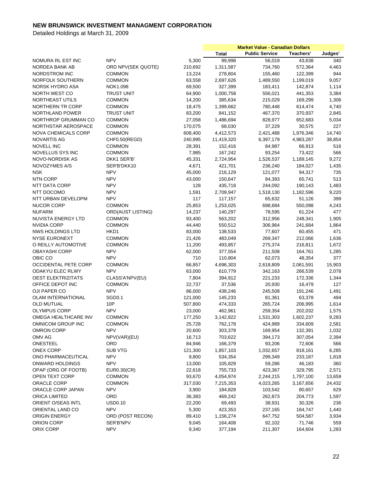|                             |                              |         | <b>Market Value - Canadian Dollars</b> |                       |           |         |
|-----------------------------|------------------------------|---------|----------------------------------------|-----------------------|-----------|---------|
|                             |                              |         | <b>Total</b>                           | <b>Public Service</b> | Teachers' | Judges' |
| NOMURA RL EST INC           | <b>NPV</b>                   | 5,300   | 99,998                                 | 56,019                | 43,638    | 340     |
| NORDEA BANK AB              | ORD NPV(SEK QUOTE)           | 210,692 | 1,311,587                              | 734,760               | 572,364   | 4,463   |
| NORDSTROM INC               | <b>COMMON</b>                | 13,224  | 278,804                                | 155,460               | 122,399   | 944     |
| NORFOLK SOUTHERN            | <b>COMMON</b>                | 63,558  | 2,697,626                              | 1,489,550             | 1,199,019 | 9,057   |
| NORSK HYDRO ASA             | NOK1.098                     | 69,500  | 327,399                                | 183,411               | 142,874   | 1,114   |
| NORTH WEST CO               | <b>TRUST UNIT</b>            | 64,900  | 1,000,758                              | 556,021               | 441,353   | 3,384   |
| <b>NORTHEAST UTILS</b>      | <b>COMMON</b>                | 14,200  | 385,634                                | 215,029               | 169,299   | 1,306   |
| NORTHERN TR CORP            | <b>COMMON</b>                | 18,475  | 1,399,662                              | 780,448               | 614,474   | 4,740   |
| NORTHLAND POWER             | <b>TRUST UNIT</b>            | 83,200  | 841,152                                | 467,370               | 370,937   | 2,845   |
| NORTHROP GRUMMAN CO         | <b>COMMON</b>                | 27,058  | 1,486,694                              | 828,977               | 652,683   | 5,034   |
| NORTHSTAR AEROSPACE         | <b>COMMON</b>                | 170,075 | 68,030                                 | 37,229                | 30,575    | 227     |
| <b>NOVA CHEMICALS CORP</b>  | <b>COMMON</b>                | 608,400 | 4,412,573                              |                       |           | 14,740  |
|                             |                              |         |                                        | 2,421,488             | 1,976,346 |         |
| <b>NOVARTIS AG</b>          | CHF0.50(REGD)                | 240,995 | 11,419,320                             | 6,397,179             | 4,983,287 | 38,854  |
| NOVELL INC                  | <b>COMMON</b>                | 28,391  | 152,416                                | 84,987                | 66,913    | 516     |
| NOVELLUS SYS INC            | <b>COMMON</b>                | 7,985   | 167,242                                | 93,254                | 73,422    | 566     |
| NOVO-NORDISK AS             | DKK1 SER'B'                  | 45,331  | 2,724,954                              | 1,526,537             | 1,189,145 | 9,272   |
| NOVOZYMES A/S               | SER'B'DKK10                  | 4,671   | 421,701                                | 236,240               | 184,027   | 1,435   |
| <b>NSK</b>                  | <b>NPV</b>                   | 45,000  | 216,129                                | 121,077               | 94,317    | 735     |
| <b>NTN CORP</b>             | <b>NPV</b>                   | 43,000  | 150,647                                | 84,393                | 65,741    | 513     |
| NTT DATA CORP               | <b>NPV</b>                   | 128     | 435,718                                | 244,092               | 190,143   | 1,483   |
| NTT DOCOMO                  | <b>NPV</b>                   | 1,591   | 2,709,947                              | 1,518,130             | 1,182,596 | 9,220   |
| NTT URBAN DEVELOPM          | <b>NPV</b>                   | 117     | 117,157                                | 65,632                | 51,126    | 399     |
| <b>NUCOR CORP</b>           | <b>COMMON</b>                | 25,853  | 1,253,025                              | 698,684               | 550,098   | 4,243   |
| <b>NUFARM</b>               | <b>ORD(AUST LISTING)</b>     | 14,237  | 140,297                                | 78,595                | 61,224    | 477     |
| <b>NUVISTA ENERGY LTD</b>   | <b>COMMON</b>                | 93,400  | 563,202                                | 312,956               | 248,341   | 1,905   |
| <b>NVIDIA CORP</b>          | <b>COMMON</b>                | 44,440  | 550,512                                | 306,964               | 241,684   | 1,864   |
| NWS HOLDINGS LTD            | HKD1                         | 83,000  | 138,533                                | 77,607                | 60,455    | 471     |
| <b>NYSE EURONEXT</b>        | <b>COMMON</b>                | 21,426  | 483,049                                | 269,347               | 212,066   | 1,636   |
| O REILLY AUTOMOTIVE         | <b>COMMON</b>                | 11,200  | 493,857                                | 275,374               | 216,811   | 1,672   |
| <b>OBAYASHI CORP</b>        | <b>NPV</b>                   | 62,000  | 377,554                                | 211,508               | 164,761   | 1,285   |
| OBIC CO                     | <b>NPV</b>                   | 710     | 110,804                                | 62,073                | 48,354    | 377     |
| <b>OCCIDENTAL PETE CORP</b> | <b>COMMON</b>                | 66,857  | 4,696,303                              | 2,618,809             | 2,061,591 | 15,903  |
| ODAKYU ELEC RLWY            | <b>NPV</b>                   | 63,000  | 610,779                                | 342,163               | 266,539   | 2,078   |
| <b>OEST ELEKTRIZITATS</b>   | CLASS'A'NPV(EU)              | 7,804   | 394,912                                | 221,233               | 172,336   | 1,344   |
| OFFICE DEPOT INC            | <b>COMMON</b>                | 22,737  | 37,536                                 | 20,930                | 16,479    | 127     |
| OJI PAPER CO                | <b>NPV</b>                   | 86,000  | 438,246                                | 245,508               | 191,246   | 1,491   |
| <b>OLAM INTERNATIONAL</b>   | SGD <sub>0.1</sub>           | 121,000 | 145,233                                | 81,361                | 63,378    | 494     |
| <b>OLD MUTUAL</b>           | 10P                          | 507,800 | 474,333                                | 265,724               | 206,995   | 1,614   |
| <b>OLYMPUS CORP</b>         | <b>NPV</b>                   | 23,000  | 462,961                                | 259,354               | 202,032   | 1,575   |
| OMEGA HEALTHCARE INV        | <b>COMMON</b>                | 177,250 | 3,142,822                              | 1,531,303             | 1,602,237 | 9,283   |
| OMNICOM GROUP INC           | <b>COMMON</b>                | 25,728  | 762,178                                | 424,989               | 334,609   | 2,581   |
| <b>OMRON CORP</b>           | <b>NPV</b>                   | 20,600  | 303,378                                | 169,954               | 132,391   | 1,032   |
| OMV AG                      | NPV(VAR)(EU)                 | 16,713  | 703,622                                | 394,173               | 307,054   | 2,394   |
| ONESTEEL                    | ORD                          | 84,946  | 166,379                                | 93,206                | 72,606    | 566     |
| <b>ONEX CORP</b>            | <b>SUB VTG</b>               | 121,300 | 1,857,103                              | 1,032,657             | 818,161   | 6,285   |
| ONO PHARMACEUTICAL          | <b>NPV</b>                   | 9,800   | 534,354                                | 299,349               | 233,187   | 1,818   |
| <b>ONWARD HOLDINGS</b>      | <b>NPV</b>                   | 13,000  | 105,829                                | 59,286                | 46,183    | 360     |
| OPAP (ORG OF FOOTB)         |                              | 22,618  | 755,733                                | 423,367               | 329,795   | 2,571   |
| OPEN TEXT CORP              | EUR0.30(CR)<br><b>COMMON</b> |         |                                        |                       |           |         |
|                             |                              | 93,670  | 4,054,974                              | 2,244,215             | 1,797,100 | 13,659  |
| ORACLE CORP                 | <b>COMMON</b>                | 317,030 | 7,215,353                              | 4,023,265             | 3,167,656 | 24,432  |
| ORACLE CORP JAPAN           | <b>NPV</b>                   | 3,900   | 184,828                                | 103,542               | 80,657    | 629     |
| ORICA LIMITED               | ORD                          | 36,383  | 469,242                                | 262,873               | 204,773   | 1,597   |
| ORIENT O/SEAS INTL          | <b>USD0.10</b>               | 22,200  | 69,493                                 | 38,931                | 30,326    | 236     |
| ORIENTAL LAND CO            | <b>NPV</b>                   | 5,300   | 423,353                                | 237,165               | 184,747   | 1,440   |
| <b>ORIGIN ENERGY</b>        | ORD (POST RECON)             | 89,410  | 1,156,274                              | 647,752               | 504,587   | 3,934   |
| ORION CORP                  | SER'B'NPV                    | 9,045   | 164,408                                | 92,102                | 71,746    | 559     |
| ORIX CORP                   | <b>NPV</b>                   | 9,340   | 377,194                                | 211,307               | 164,604   | 1,283   |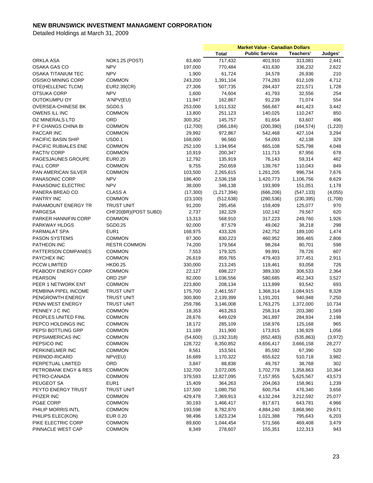|                            |                       |           | <b>Market Value - Canadian Dollars</b> |                       |            |         |
|----------------------------|-----------------------|-----------|----------------------------------------|-----------------------|------------|---------|
|                            |                       |           | <b>Total</b>                           | <b>Public Service</b> | Teachers'  | Judges' |
| ORKLA ASA                  | <b>NOK1.25 (POST)</b> | 83,400    | 717,432                                | 401,910               | 313,081    | 2,441   |
| OSAKA GAS CO               | <b>NPV</b>            | 197,000   | 770,484                                | 431,630               | 336,232    | 2,622   |
| <b>OSAKA TITANIUM TEC</b>  | <b>NPV</b>            | 1,900     | 61,724                                 | 34,578                | 26,936     | 210     |
| OSISKO MINING CORP         | <b>COMMON</b>         | 243,200   | 1,391,104                              | 774,283               | 612,109    | 4,712   |
| OTE(HELLENIC TLCM)         | EUR2.39(CR)           | 27,306    | 507,735                                | 284,437               | 221,571    | 1,728   |
| OTSUKA CORP                | <b>NPV</b>            | 1,600     | 74,604                                 | 41,793                | 32,556     | 254     |
| <b>OUTOKUMPU OY</b>        | 'A'NPV(EU)            | 11,947    | 162,867                                | 91,239                | 71,074     | 554     |
| OVERSEA-CHINESE BK         | SGD <sub>0.5</sub>    | 253,000   | 1,011,532                              | 566,667               | 441,423    | 3,442   |
| <b>OWENS ILL INC</b>       | <b>COMMON</b>         | 13,800    | 251,123                                | 140,025               | 110,247    | 850     |
| OZ MINERALS LTD            | ORD                   | 300,352   | 145,757                                | 81,654                | 63,607     | 496     |
| P F CHANGS CHINA BI        | <b>COMMON</b>         | (12,700)  |                                        |                       | (164, 574) |         |
|                            |                       |           | (366, 184)                             | (200, 390)            |            | (1,220) |
| PACCAR INC                 | <b>COMMON</b>         | 29,992    | 972,867                                | 542,468               | 427,104    | 3,294   |
| PACIFIC BASIN SHIP         | <b>USD0.1</b>         | 168,000   | 96,560                                 | 54,093                | 42,138     | 329     |
| PACIFIC RUBIALES ENE       | <b>COMMON</b>         | 252,100   | 1,194,954                              | 665,108               | 525,798    | 4,048   |
| <b>PACTIV CORP</b>         | <b>COMMON</b>         | 10,919    | 200,347                                | 111,713               | 87,956     | 678     |
| PAGESJAUNES GROUPE         | <b>EUR0.20</b>        | 12,792    | 135,919                                | 76,143                | 59,314     | 462     |
| PALL CORP                  | <b>COMMON</b>         | 9,755     | 250,659                                | 139,767               | 110,043    | 849     |
| <b>PAN AMERICAN SILVER</b> | <b>COMMON</b>         | 103,500   | 2,265,615                              | 1,261,205             | 996,734    | 7,676   |
| PANASONIC CORP             | <b>NPV</b>            | 186,400   | 2,536,158                              | 1,420,773             | 1,106,756  | 8,629   |
| PANASONIC ELECTRIC         | <b>NPV</b>            | 38,000    | 346,138                                | 193,909               | 151,051    | 1,178   |
| PANERA BREAD CO            | CLASS A               | (17,300)  | (1,217,394)                            | (666, 206)            | (547, 133) | (4,055) |
| <b>PANTRY INC</b>          | <b>COMMON</b>         | (23, 100) | (512, 638)                             | (280, 536)            | (230, 395) | (1,708) |
| PARAMOUNT ENERGY TR        | <b>TRUST UNIT</b>     | 91,200    | 285,456                                | 159,409               | 125,077    | 970     |
| PARGESA                    | CHF20(BR)(POST SUBD)  | 2,737     | 182,329                                | 102,142               | 79,567     | 620     |
| PARKER HANNIFIN CORP       | <b>COMMON</b>         | 13,313    | 568,910                                | 317,223               | 249,760    | 1,926   |
| PARKWAY HLDGS              | SGD0.25               | 92,000    | 87,579                                 | 49,062                | 38,218     | 298     |
| PARMALAT SPA               | EUR <sub>1</sub>      | 168,975   | 433,326                                | 242,752               | 189,100    | 1,474   |
| <b>PASON SYSTEMS</b>       | <b>COMMON</b>         | 87,300    | 830,223                                | 460,952               | 366,465    | 2,806   |
| PATHEON INC                | <b>RESTR COMMON</b>   | 74,200    | 179,564                                | 98,264                | 80,701     | 598     |
| PATTERSON COMPANIES        | <b>COMMON</b>         | 7,553     | 179,325                                | 99,991                | 78,726     | 607     |
| <b>PAYCHEX INC</b>         | <b>COMMON</b>         | 26,619    | 859,765                                | 479,403               | 377,451    | 2,911   |
| <b>PCCW LIMITED</b>        | <b>HKD0.25</b>        | 330,000   | 213,245                                | 119,461               | 93,058     | 726     |
| PEABODY ENERGY CORP        | <b>COMMON</b>         | 22,127    | 698,227                                | 389,330               | 306,533    | 2,364   |
| <b>PEARSON</b>             | ORD 25P               | 82,000    | 1,036,556                              | 580,685               | 452,343    | 3,527   |
| PEER 1 NETWORK ENT         | <b>COMMON</b>         | 223,800   | 208,134                                | 113,899               | 93,542     | 693     |
| PEMBINA PIPEL INCOME       | <b>TRUST UNIT</b>     | 175,700   | 2,461,557                              | 1,368,314             | 1,084,915  | 8,328   |
| PENGROWTH ENERGY           | <b>TRUST UNIT</b>     | 300,900   | 2,139,399                              | 1,191,201             | 940,948    | 7,250   |
| PENN WEST ENERGY           | <b>TRUST UNIT</b>     | 259,786   | 3,146,008                              | 1,763,275             | 1,372,000  | 10,734  |
| PENNEY J C INC             | <b>COMMON</b>         | 18,353    | 463,263                                | 258,314               | 203,380    | 1,569   |
| PEOPLES UNITED FINL        | <b>COMMON</b>         | 28,676    | 649,029                                | 361,897               | 284,934    | 2,198   |
| PEPCO HOLDINGS INC         | COMMON                | 18,172    | 285,109                                | 158,976               |            | 965     |
| PEPSI BOTTLING GRP         | <b>COMMON</b>         | 11,189    |                                        |                       | 125,168    |         |
|                            |                       |           | 311,900                                | 173,915               | 136,929    | 1,056   |
| PEPSIAMERICAS INC          | <b>COMMON</b>         | (54,600)  | (1, 192, 318)                          | (652, 483)            | (535, 863) | (3,972) |
| PEPSICO INC                | <b>COMMON</b>         | 128,722   | 8,350,852                              | 4,656,417             | 3,666,158  | 28,277  |
| PERKINELMER INC            | <b>COMMON</b>         | 9,561     | 153,501                                | 85,592                | 67,390     | 520     |
| PERNOD-RICARD              | NPV(EU)               | 16,689    | 1,170,322                              | 655,622               | 510,718    | 3,982   |
| PERPETUAL LIMITED          | ORD                   | 3,847     | 88,838                                 | 49,767                | 38,768     | 302     |
| PETROBANK ENGY & RES       | <b>COMMON</b>         | 132,700   | 3,072,005                              | 1,702,778             | 1,358,863  | 10,364  |
| PETRO-CANADA               | <b>COMMON</b>         | 379,593   | 12,827,095                             | 7,157,955             | 5,625,567  | 43,573  |
| PEUGEOT SA                 | EUR1                  | 15,409    | 364,263                                | 204,063               | 158,961    | 1,239   |
| PEYTO ENERGY TRUST         | <b>TRUST UNIT</b>     | 137,500   | 1,080,750                              | 600,754               | 476,340    | 3,656   |
| PFIZER INC                 | <b>COMMON</b>         | 429,478   | 7,369,913                              | 4,132,244             | 3,212,592  | 25,077  |
| <b>PG&amp;E CORP</b>       | <b>COMMON</b>         | 30,193    | 1,466,417                              | 817,671               | 643,781    | 4,966   |
| PHILIP MORRIS INTL         | <b>COMMON</b>         | 193,598   | 8,782,870                              | 4,884,240             | 3,868,960  | 29,671  |
| PHILIPS ELEC(KON)          | EUR 0.20              | 98,496    | 1,823,234                              | 1,021,388             | 795,643    | 6,203   |
| PIKE ELECTRIC CORP         | <b>COMMON</b>         | 89,600    | 1,044,454                              | 571,566               | 469,408    | 3,479   |
| PINNACLE WEST CAP          | <b>COMMON</b>         | 8,349     | 278,607                                | 155,351               | 122,313    | 943     |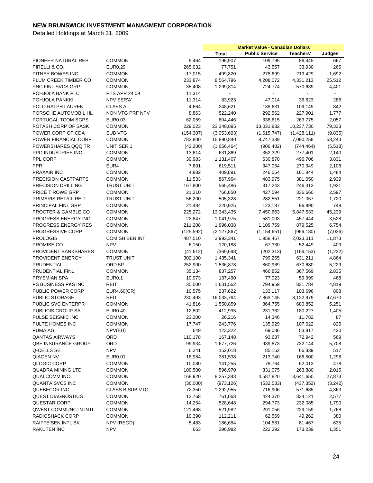|                            |                        |            | <b>Market Value - Canadian Dollars</b> |                       |             |         |
|----------------------------|------------------------|------------|----------------------------------------|-----------------------|-------------|---------|
|                            |                        |            | <b>Total</b>                           | <b>Public Service</b> | Teachers'   | Judges' |
| PIONEER NATURAL RES        | <b>COMMON</b>          | 9,464      | 196,907                                | 109,795               | 86,445      | 667     |
| PIRELLI & CO.              | <b>EUR0.29</b>         | 265,032    | 77,751                                 | 43,557                | 33,930      | 265     |
| PITNEY BOWES INC           | <b>COMMON</b>          | 17,015     | 499,820                                | 278,699               | 219,429     | 1,692   |
| PLUM CREEK TIMBER CO       | <b>COMMON</b>          | 233,874    | 8,564,796                              | 4,208,072             | 4,331,213   | 25,512  |
| PNC FINL SVCS GRP          | <b>COMMON</b>          | 35,408     | 1,299,814                              | 724,774               | 570,639     | 4,401   |
| POHJOLA BANK PLC           | RTS APR 24 09          | 11,314     |                                        |                       |             |         |
| POHJOLA PANKKI             | NPV SER'A'             | 11,314     | 83,923                                 | 47,014                | 36,623      | 286     |
| POLO RALPH LAUREN          | <b>CLASS A</b>         | 4,664      | 248,621                                | 138,631               | 109,149     | 842     |
| PORSCHE AUTOMOBIL HL       | NON VTG PRF NPV        | 8,863      | 522,240                                | 292,562               | 227,901     | 1,777   |
| PORTUGAL TCOM SGPS         | EUR0.03                |            | 604,446                                | 338,615               |             |         |
|                            |                        | 62,059     |                                        |                       | 263,775     | 2,057   |
| POTASH CORP OF SASK        | <b>COMMON</b>          | 229,023    | 23,348,895                             | 13,031,832            | 10,237,730  | 79,333  |
| POWER CORP OF CDA          | SUB VTG                | (154, 307) | (3,053,693)                            | (1,615,747)           | (1,428,111) | (9,835) |
| POWER FINANCIAL CORP       | <b>COMMON</b>          | 782,800    | 15,890,840                             | 8,747,339             | 7,090,258   | 53,243  |
| POWERSHARES QQQ TR         | UNIT SER 1             | (43,200)   | (1,656,464)                            | (906, 482)            | (744, 464)  | (5,518) |
| PPG INDUSTRIES INC         | <b>COMMON</b>          | 13,614     | 631,869                                | 352,329               | 277,401     | 2,140   |
| PPL CORP                   | <b>COMMON</b>          | 30,983     | 1,131,407                              | 630,870               | 496,706     | 3,831   |
| <b>PPR</b>                 | EUR4                   | 7,691      | 619,511                                | 347,054               | 270,349     | 2,108   |
| PRAXAIR INC                | <b>COMMON</b>          | 4,882      | 409,891                                | 246,564               | 161,844     | 1,484   |
| PRECISION CASTPARTS        | <b>COMMON</b>          | 11,533     | 867,964                                | 483,975               | 381,050     | 2,939   |
| PRECISION DRILLING         | <b>TRUST UNIT</b>      | 167,800    | 565,486                                | 317,243               | 246,313     | 1,931   |
| PRICE T ROWE GRP           | <b>COMMON</b>          | 21,210     | 766,850                                | 427,594               | 336,660     | 2,597   |
| PRIMARIS RETAIL REIT       | <b>TRUST UNIT</b>      | 56,200     | 505,328                                | 282,551               | 221,057     | 1,720   |
| PRINCIPAL FINL GRP         | <b>COMMON</b>          | 21,484     | 220,925                                | 123,187               | 96,990      | 748     |
| PROCTER & GAMBLE CO        | <b>COMMON</b>          | 225,272    | 13,343,435                             | 7,450,663             | 5,847,533   | 45,239  |
| PROGRESS ENERGY INC        | <b>COMMON</b>          | 22,847     | 1,041,975                              | 581,003               | 457,444     | 3,528   |
| PROGRESS ENERGY RES        | COMMON                 | 211,208    | 1,996,038                              | 1,109,759             | 879,525     | 6,754   |
| PROGRESSIVE CORP           | COMMON                 | (125, 592) | (2, 127, 867)                          | (1, 154, 651)         | (966, 180)  | (7,036) |
| <b>PROLOGIS</b>            | COM SH BEN INT         | 487,510    | 3,993,341                              | 1,958,457             | 2,023,011   | 11,873  |
| PROMISE CO                 | <b>NPV</b>             | 6,150      | 120,188                                | 67,330                | 52,449      | 409     |
| PROVIDENT BANKSHARES       | <b>COMMON</b>          | (41, 612)  | (369, 698)                             | (202, 313)            | (166, 153)  | (1,232) |
| PROVIDENT ENERGY           | <b>TRUST UNIT</b>      | 302,100    | 1,435,341                              | 799,265               | 631,211     | 4,864   |
| PRUDENTIAL                 | ORD 5P                 | 252,900    | 1,536,878                              | 860,969               | 670,680     | 5,229   |
| PRUDENTIAL FINL            | <b>COMMON</b>          | 35,134     | 837,257                                | 466,852               | 367,569     | 2,835   |
| <b>PRYSMIAN SPA</b>        | <b>EUR0.1</b>          | 10,973     | 137,490                                | 77,023                | 59,999      | 468     |
|                            | REIT                   |            | 1,631,562                              | 794,959               |             | 4,819   |
| PS BUSINESS PKS INC        |                        | 35,500     |                                        |                       | 831,784     |         |
| PUBLIC POWER CORP          | EUR4.60(CR)            | 10,575     | 237,622                                | 133,117               | 103,696     | 808     |
| PUBLIC STORAGE             | REIT                   | 230,493    | 16,033,794                             | 7,863,145             | 8,122,979   | 47,670  |
| PUBLIC SVC ENTERPR         | <b>COMMON</b>          | 41,816     | 1,550,859                              | 864,755               | 680,852     | 5,251   |
| <b>PUBLICIS GROUP SA</b>   | <b>EUR0.40</b>         | 12,802     | 412,995                                | 231,362               | 180,227     | 1,405   |
| PULSE SEISMIC INC          | <b>COMMON</b>          | 23,200     | 26,216                                 | 14,346                | 11,782      | 87      |
| PULTE HOMES INC            | <b>COMMON</b>          | 17,747     | 243,776                                | 135,929               | 107,022     | 825     |
| PUMA AG                    | NPV(EU)                | 649        | 123,322                                | 69,086                | 53,817      | 420     |
| <b>QANTAS AIRWAYS</b>      | ORD                    | 110,178    | 167,148                                | 93,637                | 72,942      | 569     |
| <b>QBE INSURANCE GROUP</b> | ORD                    | 99,934     | 1,677,726                              | 939,873               | 732,144     | 5,708   |
| Q-CELLS SE                 | <b>NPV</b>             | 6,241      | 152,018                                | 85,162                | 66,339      | 517     |
| <b>QIAGEN NV</b>           | <b>EUR0.01</b>         | 18,984     | 381,538                                | 213,740               | 166,500     | 1,298   |
| QLOGIC CORP                | COMMON                 | 10,080     | 141,255                                | 78,764                | 62,013      | 478     |
| QUADRA MINING LTD          | <b>COMMON</b>          | 100,500    | 596,970                                | 331,075               | 263,880     | 2,015   |
| <b>QUALCOMM INC</b>        | <b>COMMON</b>          | 168,920    | 8,257,343                              | 4,587,820             | 3,641,650   | 27,873  |
| QUANTA SVCS INC            | <b>COMMON</b>          | (36,000)   | (973, 126)                             | (532, 533)            | (437, 352)  | (3,242) |
| QUEBECOR INC               | <b>CLASS B SUB VTG</b> | 72,350     | 1,292,955                              | 716,906               | 571,685     | 4,363   |
| <b>QUEST DIAGNOSTICS</b>   | COMMON                 | 12,768     | 761,068                                | 424,370               | 334,121     | 2,577   |
| QUESTAR CORP               | <b>COMMON</b>          | 14,254     | 528,648                                | 294,773               | 232,085     | 1,790   |
| QWEST COMMUNCTN INTL       | <b>COMMON</b>          | 121,468    | 521,982                                | 291,056               | 229,159     | 1,768   |
| RADIOSHACK CORP            | <b>COMMON</b>          | 10,390     | 112,211                                | 62,569                | 49,262      | 380     |
| RAIFFEISEN INTL BK         | NPV (REGD)             | 5,483      | 186,684                                | 104,581               | 81,467      | 635     |
| <b>RAKUTEN INC</b>         | <b>NPV</b>             | 663        | 396,982                                | 222,392               | 173,239     | 1,351   |
|                            |                        |            |                                        |                       |             |         |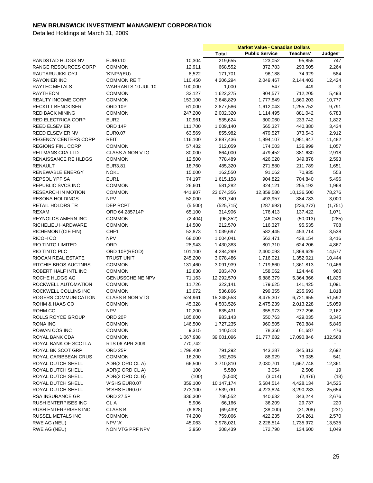|                             |                         |           | <b>Market Value - Canadian Dollars</b> |                       |            |         |
|-----------------------------|-------------------------|-----------|----------------------------------------|-----------------------|------------|---------|
|                             |                         |           | <b>Total</b>                           | <b>Public Service</b> | Teachers'  | Judges' |
| RANDSTAD HLDGS NV           | <b>EUR0.10</b>          | 10,304    | 219,655                                | 123,052               | 95,855     | 747     |
| RANGE RESOURCES CORP        | <b>COMMON</b>           | 12,911    | 668,552                                | 372,783               | 293,505    | 2,264   |
| RAUTARUUKKI OYJ             | 'K'NPV(EU)              | 8,522     | 171,701                                | 96,188                | 74,929     | 584     |
| <b>RAYONIER INC</b>         | <b>COMMON REIT</b>      | 110,450   | 4,206,294                              | 2,049,467             | 2,144,403  | 12,424  |
| RAYTEC METALS               | WARRANTS 10 JUL 10      | 100,000   | 1,000                                  | 547                   | 449        | 3       |
| <b>RAYTHEON</b>             | <b>COMMON</b>           | 33,127    | 1,622,275                              | 904,577               | 712,205    | 5,493   |
| <b>REALTY INCOME CORP</b>   | <b>COMMON</b>           | 153,100   | 3,648,829                              | 1,777,849             | 1,860,203  | 10,777  |
| <b>RECKITT BENCKISER</b>    | ORD 10P                 | 61,000    |                                        |                       | 1,255,752  | 9,791   |
|                             |                         |           | 2,877,586                              | 1,612,043             |            |         |
| <b>RED BACK MINING</b>      | <b>COMMON</b>           | 247,200   | 2,002,320                              | 1,114,495             | 881,042    | 6,783   |
| RED ELECTRICA CORP          | EUR <sub>2</sub>        | 10,961    | 535,624                                | 300,060               | 233,742    | 1,822   |
| <b>REED ELSEVIER</b>        | ORD 14P                 | 111,700   | 1,009,140                              | 565,327               | 440,380    | 3,434   |
| REED ELSEVIER NV            | <b>EUR0.07</b>          | 63,569    | 855,982                                | 479,527               | 373,543    | 2,912   |
| <b>REGENCY CENTERS CORP</b> | REIT                    | 116,100   | 3,887,436                              | 1,894,107             | 1,981,847  | 11,482  |
| <b>REGIONS FINL CORP</b>    | <b>COMMON</b>           | 57,432    | 312,059                                | 174,003               | 136,999    | 1,057   |
| REITMANS CDA LTD            | <b>CLASS A NON VTG</b>  | 80,000    | 864,000                                | 479,452               | 381,630    | 2,918   |
| RENAISSANCE RE HLDGS        | <b>COMMON</b>           | 12,500    | 778,489                                | 426,020               | 349,876    | 2,593   |
| RENAULT                     | EUR3.81                 | 18,760    | 485,320                                | 271,880               | 211,789    | 1,651   |
| <b>RENEWABLE ENERGY</b>     | NOK <sub>1</sub>        | 15,000    | 162,550                                | 91,062                | 70,935     | 553     |
| REPSOL YPF SA               | EUR1                    | 74,197    | 1,615,158                              | 904,822               | 704,840    | 5,496   |
| REPUBLIC SVCS INC           | <b>COMMON</b>           | 26,601    | 581,282                                | 324,121               | 255,192    | 1,968   |
| <b>RESEARCH IN MOTION</b>   | <b>COMMON</b>           | 441,907   | 23,074,356                             | 12,859,580            | 10,136,500 | 78,276  |
| <b>RESONA HOLDINGS</b>      | <b>NPV</b>              | 52,000    | 881,740                                | 493,957               | 384,783    | 3,000   |
| <b>RETAIL HOLDRS TR</b>     | DEP RCPT                | (5,500)   | (525, 715)                             | (287, 692)            | (236, 272) | (1,751) |
| <b>REXAM</b>                | ORD 64.285714P          | 65,100    | 314,906                                | 176,413               | 137,422    | 1,071   |
| REYNOLDS AMERN INC          | <b>COMMON</b>           | (2,404)   | (96, 352)                              | (46, 053)             | (50,013)   | (285)   |
| RICHELIEU HARDWARE          | <b>COMMON</b>           | 14,500    | 212,570                                | 116,327               | 95,535     | 708     |
| RICHEMONT(CIE FIN)          | CHF1                    | 52,873    | 1,039,697                              |                       | 453,714    | 3,538   |
|                             | <b>NPV</b>              |           |                                        | 582,445               |            |         |
| RICOH CO                    |                         | 68,000    | 1,004,041                              | 562,471               | 438,154    | 3,416   |
| RIO TINTO LIMITED           | ORD                     | 28,943    | 1,430,383                              | 801,310               | 624,206    | 4,867   |
| RIO TINTO PLC               | ORD 10P(REGD)           | 101,100   | 4,284,299                              | 2,400,093             | 1,869,629  | 14,577  |
| RIOCAN REAL ESTATE          | <b>TRUST UNIT</b>       | 245,200   | 3,078,486                              | 1,716,021             | 1,352,021  | 10,444  |
| RITCHIE BROS AUCTNRS        | <b>COMMON</b>           | 131,460   | 3,091,939                              | 1,719,660             | 1,361,813  | 10,466  |
| ROBERT HALF INTL INC        | <b>COMMON</b>           | 12,630    | 283,470                                | 158,062               | 124,448    | 960     |
| ROCHE HLDGS AG              | <b>GENUSSCHEINE NPV</b> | 71,163    | 12,292,570                             | 6,886,379             | 5,364,366  | 41,825  |
| ROCKWELL AUTOMATION         | <b>COMMON</b>           | 11,726    | 322,141                                | 179,625               | 141,425    | 1,091   |
| ROCKWELL COLLINS INC        | <b>COMMON</b>           | 13,072    | 536,866                                | 299,355               | 235,693    | 1,818   |
| ROGERS COMMUNICATION        | <b>CLASS B NON VTG</b>  | 524,961   | 15,248,553                             | 8,475,307             | 6,721,655  | 51,592  |
| ROHM & HAAS CO              | <b>COMMON</b>           | 45,328    | 4,503,526                              | 2,475,239             | 2,013,228  | 15,059  |
| ROHM CO                     | <b>NPV</b>              | 10,200    | 635,431                                | 355,973               | 277,296    | 2,162   |
| ROLLS ROYCE GROUP           | ORD 20P                 | 185,600   | 983,143                                | 550,763               | 429,035    | 3,345   |
| RONA INC                    | <b>COMMON</b>           | 146,500   | 1,727,235                              | 960,505               | 760,884    | 5,846   |
| ROWAN COS INC               | <b>COMMON</b>           | 9,315     | 140,513                                | 78,350                | 61,687     | 476     |
| ROYAL BANK CDA              | <b>COMMON</b>           | 1,067,938 | 39,001,096                             | 21,777,682            | 17,090,846 | 132,568 |
| ROYAL BANK OF SCOTLA        | RTS 06 APR 2009         | 770,742   |                                        |                       |            |         |
| ROYAL BK SCOT GRP           | ORD <sub>25P</sub>      | 1,798,400 | 791,292                                | 443,287               | 345,313    | 2,692   |
| ROYAL CARIBBEAN CRUS        | <b>COMMON</b>           | 16,200    | 162,505                                | 88,929                | 73,035     | 541     |
| ROYAL DUTCH SHELL           | ADR(2 ORD CL A)         | 66,500    | 3,710,810                              | 2,030,701             | 1,667,748  | 12,361  |
| ROYAL DUTCH SHELL           |                         |           |                                        |                       |            |         |
|                             | ADR(2 ORD CL A)         | 100       | 5,580                                  | 3,054                 | 2,508      | 19      |
| ROYAL DUTCH SHELL           | ADR(2 ORD CL B)         | (100)     | (5,508)                                | (3,014)               | (2, 476)   | (18)    |
| ROYAL DUTCH SHELL           | 'A'SHS EUR0.07          | 359,100   | 10,147,174                             | 5,684,514             | 4,428,134  | 34,525  |
| ROYAL DUTCH SHELL           | 'B'SHS EUR0.07          | 273,100   | 7,539,761                              | 4,223,824             | 3,290,283  | 25,654  |
| <b>RSA INSURANCE GR</b>     | ORD 27.5P               | 336,300   | 786,552                                | 440,632               | 343,244    | 2,676   |
| RUSH ENTERPISES INC         | CL A                    | 5,906     | 66,166                                 | 36,209                | 29,737     | 220     |
| <b>RUSH ENTERPRISES INC</b> | <b>CLASS B</b>          | (6,828)   | (69, 439)                              | (38,000)              | (31, 208)  | (231)   |
| RUSSEL METALS INC           | <b>COMMON</b>           | 74,200    | 759,066                                | 422,235               | 334,261    | 2,570   |
| RWE AG (NEU)                | NPV 'A'                 | 45,063    | 3,978,021                              | 2,228,514             | 1,735,972  | 13,535  |
| RWE AG (NEU)                | NON VTG PRF NPV         | 3,950     | 308,439                                | 172,790               | 134,600    | 1,049   |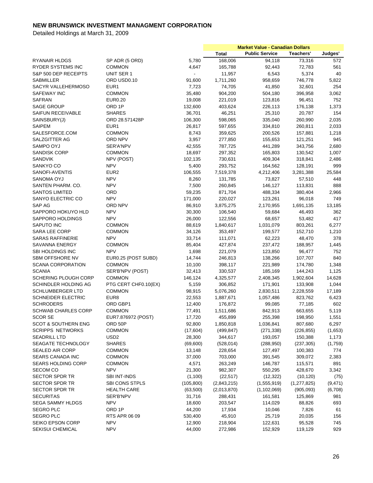|                                |                      |                |             | <b>Market Value - Canadian Dollars</b> |               |          |
|--------------------------------|----------------------|----------------|-------------|----------------------------------------|---------------|----------|
|                                |                      |                | Total       | <b>Public Service</b>                  | Teachers'     | Judges'  |
| RYANAIR HLDGS                  | SP ADR (5 ORD)       | 5,780          | 168,006     | 94,118                                 | 73,316        | 572      |
| <b>RYDER SYSTEMS INC</b>       | <b>COMMON</b>        | 4,647          | 165,788     | 92,443                                 | 72,783        | 561      |
| S&P 500 DEP RECEIPTS           | UNIT SER 1           | $\blacksquare$ | 11,957      | 6,543                                  | 5,374         | 40       |
| <b>SABMILLER</b>               | ORD USD0.10          | 91,600         | 1,711,260   | 958,659                                | 746,778       | 5,822    |
| SACYR VALLEHERMOSO             | EUR <sub>1</sub>     | 7,723          | 74,705      | 41,850                                 | 32,601        | 254      |
| SAFEWAY INC                    | <b>COMMON</b>        | 35,480         | 904,200     | 504,180                                | 396,958       | 3,062    |
| <b>SAFRAN</b>                  | <b>EUR0.20</b>       | 19,008         | 221,019     | 123,816                                | 96,451        | 752      |
| <b>SAGE GROUP</b>              | ORD <sub>1P</sub>    | 132,600        | 403,624     | 226,113                                | 176,138       | 1,373    |
| SAIFUN RECEIVABLE              | <b>SHARES</b>        | 36,701         | 46,251      | 25,310                                 | 20,787        | 154      |
| SAINSBURY(J)                   | ORD 28.571428P       | 106,300        | 598,065     | 335,040                                | 260,990       | 2,035    |
| <b>SAIPEM</b>                  | EUR1                 | 26,817         | 597,655     | 334,810                                | 260,811       | 2,033    |
| SALESFORCE.COM                 | <b>COMMON</b>        | 8,743          | 359,625     | 200,526                                | 157,881       | 1,218    |
| SALZGITTER AG                  | ORD NPV              | 3,957          | 277,850     | 155,653                                | 121,251       | 945      |
| SAMPO OYJ                      | SER'A'NPV            | 42,555         | 787,725     | 441,289                                | 343,756       | 2,680    |
| SANDISK CORP                   | <b>COMMON</b>        | 18,697         | 297,352     | 165,803                                | 130,542       | 1,007    |
| SANDVIK                        | NPV (POST)           | 102,135        | 730,631     | 409,304                                | 318,841       | 2,486    |
| SANKYO CO                      | <b>NPV</b>           | 5,400          | 293,752     | 164,562                                | 128,191       | 999      |
| SANOFI-AVENTIS                 | EUR <sub>2</sub>     | 106,555        | 7,519,378   | 4,212,406                              | 3,281,388     | 25,584   |
| SANOMA OYJ                     | <b>NPV</b>           | 8,260          | 131,785     | 73,827                                 | 57,510        | 448      |
| SANTEN PHARM, CO.              | <b>NPV</b>           | 7,500          | 260,845     | 146,127                                | 113,831       | 888      |
| <b>SANTOS LIMITED</b>          | ORD                  | 59,235         | 871,704     | 488,334                                | 380,404       | 2,966    |
| SANYO ELECTRIC CO              | <b>NPV</b>           | 171,000        | 220,027     | 123,261                                | 96,018        | 749      |
| SAP AG                         | ORD NPV              | 86,910         | 3,875,275   | 2,170,955                              | 1,691,135     | 13,185   |
| SAPPORO HOKUYO HLD             | <b>NPV</b>           | 30,300         | 106,540     | 59,684                                 | 46,493        | 362      |
| SAPPORO HOLDINGS               | <b>NPV</b>           | 26,000         | 122,556     | 68,657                                 | 53,482        | 417      |
| SAPUTO INC                     | <b>COMMON</b>        | 88,619         | 1,840,617   | 1,031,079                              | 803,261       | 6,277    |
| SARA LEE CORP                  | <b>COMMON</b>        | 34,126         | 353,497     | 199,577                                | 152,710       | 1,210    |
| <b>SARAS RAFFINERIE</b>        | <b>NPV</b>           | 33,714         | 111,071     | 62,223                                 | 48,470        | 378      |
| SAVANNA ENERGY                 | <b>COMMON</b>        | 85,404         | 427,874     | 237,472                                | 188,957       | 1,445    |
| SBI HOLDINGS INC               | <b>NPV</b>           | 1,698          | 221,079     | 123,850                                | 96,477        | 752      |
| SBM OFFSHORE NV                | EUR0.25 (POST SUBD)  | 14,744         | 246,813     | 138,266                                | 107,707       | 840      |
| <b>SCANA CORPORATION</b>       | <b>COMMON</b>        | 10,100         | 398,117     | 221,989                                | 174,780       | 1,348    |
| <b>SCANIA</b>                  | SER'B'NPV (POST)     | 32,413         | 330,537     | 185,169                                | 144,243       | 1,125    |
| SCHERING PLOUGH CORP           | <b>COMMON</b>        | 146,124        | 4,325,577   | 2,408,345                              | 1,902,604     | 14,628   |
| SCHINDLER HOLDING AG           | PTG CERT CHF0.10(EX) | 5,159          | 306,852     | 171,901                                | 133,908       | 1,044    |
| <b>SCHLUMBERGER LTD</b>        | <b>COMMON</b>        | 98,915         | 5,076,260   | 2,830,511                              | 2,228,559     | 17,189   |
| <b>SCHNEIDER ELECTRIC</b>      | EUR <sub>8</sub>     | 22,553         | 1,887,671   | 1,057,486                              | 823,762       | 6,423    |
| <b>SCHRODERS</b>               | ORD GBP1             | 12,400         | 176,872     |                                        |               | 602      |
| <b>SCHWAB CHARLES CORP</b>     | <b>COMMON</b>        |                | 1,511,686   | 99,085                                 | 77,185        | 5,119    |
|                                | EUR7.876972 (POST)   | 77,491         |             | 842,913                                | 663,655       |          |
| <b>SCOR SE</b>                 |                      | 17,720         | 455,899     | 255,398                                | 198,950       | 1,551    |
| <b>SCOT &amp; SOUTHERN ENG</b> | ORD 50P              | 92,800         | 1,850,818   | 1,036,841                              | 807,680       | 6,297    |
| <b>SCRIPPS NETWORKS</b>        | <b>COMMON</b>        | (17,604)       | (499, 847)  | (271, 338)                             | (226, 855)    | (1,653)  |
| <b>SEADRILL LTD</b>            | USD <sub>2</sub>     | 28,300         | 344,617     | 193,057                                | 150,388       | 1,173    |
| SEAGATE TECHNOLOGY             | <b>SHARES</b>        | (69, 600)      | (528, 014)  | (288,950)                              | (237, 305)    | (1,759)  |
| SEALED AIR CORP                | <b>COMMON</b>        | 13,148         | 228,654     | 127,497                                | 100,383       | 774      |
| <b>SEARS CANADA INC</b>        | <b>COMMON</b>        | 37,000         | 703,000     | 391,545                                | 309,072       | 2,383    |
| <b>SEARS HOLDING CORP</b>      | <b>COMMON</b>        | 4,571          | 263,249     | 146,787                                | 115,571       | 891      |
| <b>SECOM CO</b>                | <b>NPV</b>           | 21,300         | 982,307     | 550,295                                | 428,670       | 3,342    |
| <b>SECTOR SPDR TR</b>          | SBI INT-INDS         | (1,100)        | (22, 517)   | (12, 322)                              | (10, 120)     | (75)     |
| <b>SECTOR SPDR TR</b>          | SBI CONS STPLS       | (105, 800)     | (2,843,215) | (1,555,919)                            | (1, 277, 825) | (9, 471) |
| <b>SECTOR SPDR TR</b>          | HEALTH CARE          | (63,500)       | (2,013,870) | (1, 102, 069)                          | (905,093)     | (6,708)  |
| <b>SECURITAS</b>               | SER'B'NPV            | 31,716         | 288,431     | 161,581                                | 125,869       | 981      |
| SEGA SAMMY HLDGS               | <b>NPV</b>           | 18,600         | 203,547     | 114,029                                | 88,826        | 693      |
| <b>SEGRO PLC</b>               | ORD 1P               | 44,200         | 17,934      | 10,046                                 | 7,826         | 61       |
| <b>SEGRO PLC</b>               | RTS APR 06 09        | 530,400        | 45,910      | 25,719                                 | 20,035        | 156      |
| SEIKO EPSON CORP               | <b>NPV</b>           | 12,900         | 218,904     | 122,631                                | 95,528        | 745      |
| SEKISUI CHEMICAL               | <b>NPV</b>           | 44,000         | 272,986     | 152,929                                | 119,129       | 929      |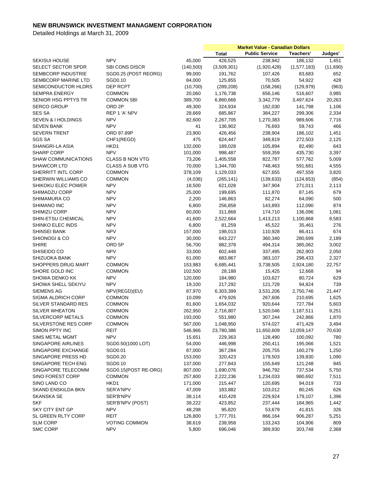|                            |                        |            |             | <b>Market Value - Canadian Dollars</b> |             |                |
|----------------------------|------------------------|------------|-------------|----------------------------------------|-------------|----------------|
|                            |                        |            | Total       | <b>Public Service</b>                  | Teachers'   | Judges'        |
| <b>SEKISUI HOUSE</b>       | <b>NPV</b>             | 45,000     | 426,525     | 238,942                                | 186,132     | 1,451          |
| <b>SELECT SECTOR SPDR</b>  | <b>SBI CONS DISCR</b>  | (140, 500) | (3,509,301) | (1,920,428)                            | (1,577,183) | (11,690)       |
| SEMBCORP INDUSTRIE         | SGD0.25 (POST REORG)   | 99,000     | 191,762     | 107,426                                | 83,683      | 652            |
| SEMBCORP MARINE LTD        | SGD0.10                | 84,000     | 125,855     | 70,505                                 | 54,922      | 428            |
| SEMICONDUCTOR HLDRS        | DEP RCPT               | (10, 700)  | (289, 208)  | (158, 266)                             | (129, 979)  | (963)          |
| <b>SEMPRA ENERGY</b>       | <b>COMMON</b>          | 20,060     | 1,176,738   | 656,146                                | 516,607     | 3,985          |
| SENIOR HSG PPTYS TR        | <b>COMMON SBI</b>      | 389,700    | 6,860,666   | 3,342,779                              | 3,497,624   | 20,263         |
| <b>SERCO GROUP</b>         | ORD 2P                 | 49,300     | 324,934     | 182,030                                | 141,798     | 1,106          |
| <b>SES SA</b>              | REP 1 'A' NPV          | 28,669     | 685,867     | 384,227                                | 299,306     | 2,334          |
| SEVEN & I HOLDINGS         | <b>NPV</b>             | 82,600     | 2,267,705   | 1,270,383                              | 989,606     | 7,716          |
|                            | <b>NPV</b>             |            |             |                                        |             | 466            |
| <b>SEVEN BANK</b>          |                        | 41         | 136,902     | 76,693                                 | 59,743      |                |
| <b>SEVERN TRENT</b>        | ORD 97.89P             | 23,900     | 426,456     | 238,904                                | 186,102     | 1,451          |
| <b>SGS SA</b>              | CHF1(REGD)             | 475        | 624,447     | 349,819                                | 272,503     | 2,125          |
| SHANGRI-LA ASIA            | HKD1                   | 132,000    | 189,028     | 105,894                                | 82,490      | 643            |
| <b>SHARP CORP</b>          | <b>NPV</b>             | 101,000    | 998,487     | 559,359                                | 435,730     | 3,397          |
| <b>SHAW COMMUNICATIONS</b> | <b>CLASS B NON VTG</b> | 73,206     | 1,405,558   | 822,787                                | 577,762     | 5,009          |
| <b>SHAWCOR LTD</b>         | <b>CLASS A SUB VTG</b> | 70,000     | 1,344,700   | 748,463                                | 591,681     | 4,555          |
| SHERRITT INTL CORP         | COMMON                 | 378,109    | 1,129,033   | 627,655                                | 497,559     | 3,820          |
| SHERWIN WILLIAMS CO        | <b>COMMON</b>          | (4,036)    | (265, 141)  | (139, 633)                             | (124, 653)  | (854)          |
| <b>SHIKOKU ELEC POWER</b>  | <b>NPV</b>             | 18,500     | 621,028     | 347,904                                | 271,011     | 2,113          |
| SHIMADZU CORP              | <b>NPV</b>             | 25,000     | 199,695     | 111,870                                | 87,145      | 679            |
| SHIMAMURA CO               | <b>NPV</b>             | 2,200      | 146,863     | 82,274                                 | 64,090      | 500            |
| SHIMANO INC                | <b>NPV</b>             | 6,800      | 256,858     | 143,893                                | 112,090     | 874            |
| SHIMIZU CORP               | <b>NPV</b>             | 60,000     | 311,868     | 174,710                                | 136,096     | 1,061          |
| SHIN-ETSU CHEMICAL         | <b>NPV</b>             | 41,600     | 2,522,664   | 1,413,213                              | 1,100,868   | 8,583          |
| SHINKO ELEC INDS           | <b>NPV</b>             | 6,800      | 81,259      | 45,522                                 | 35,461      | 276            |
| <b>SHINSEI BANK</b>        | <b>NPV</b>             | 157,000    | 198,013     | 110,928                                | 86,411      | 674            |
| SHIONOGI & CO              | <b>NPV</b>             | 30,000     | 643,227     | 360,340                                | 280,699     | 2,189          |
| <b>SHIRE</b>               | ORD 5P                 | 56,700     | 882,378     | 494,314                                | 385,062     | 3,002          |
| SHISEIDO CO                | <b>NPV</b>             | 33,000     | 602,448     | 337,495                                | 262,903     | 2,050          |
| <b>SHIZUOKA BANK</b>       | <b>NPV</b>             | 61,000     | 683,867     | 383,107                                | 298,433     | 2,327          |
| SHOPPERS DRUG MART         | <b>COMMON</b>          | 153,983    | 6,685,441   | 3,738,505                              | 2,924,180   | 22,757         |
| SHORE GOLD INC             | <b>COMMON</b>          | 102,500    | 28,188      | 15,425                                 | 12,668      | 94             |
| <b>SHOWA DENKO KK</b>      | <b>NPV</b>             | 120,000    | 184,980     | 103,627                                | 80,724      | 629            |
| SHOWA SHELL SEKIYU         | <b>NPV</b>             | 19,100     | 217,292     | 121,728                                | 94,824      | 739            |
| <b>SIEMENS AG</b>          | NPV(REGD)(EU)          | 87,970     | 6,303,399   | 3,531,206                              | 2,750,746   | 21,447         |
| <b>SIGMA ALDRICH CORP</b>  | <b>COMMON</b>          | 10,099     | 479,926     | 267,606                                | 210,695     | 1,625          |
| SILVER STANDARD RES        | <b>COMMON</b>          | 81,600     | 1,654,032   | 920,644                                | 727,784     |                |
| <b>SILVER WHEATON</b>      | <b>COMMON</b>          | 262,950    |             |                                        |             | 5,603<br>9,251 |
|                            |                        |            | 2,716,807   | 1,520,046                              | 1,187,511   |                |
| SILVERCORP METALS          | <b>COMMON</b>          | 193,000    | 551,980     | 307,244                                | 242,866     | 1,870          |
| SILVERSTONE RES CORP       | <b>COMMON</b>          | 567,000    | 1,048,950   | 574,027                                | 471,429     | 3,494          |
| SIMON PPTY INC             | REIT                   | 546,966    | 23,780,386  | 11,650,609                             | 12,059,147  | 70,630         |
| SIMS METAL MGMT            | <b>NPV</b>             | 15,651     | 229,363     | 128,490                                | 100,092     | 780            |
| SINGAPORE AIRLINES         | SGD0.50(1000 LOT)      | 54,000     | 446,998     | 250,411                                | 195,066     | 1,521          |
| SINGAPORE EXCHANGE         | SGD0.01                | 87,000     | 367,284     | 205,755                                | 160,279     | 1,250          |
| SINGAPORE PRESS HD         | SGD0.20                | 153,000    | 320,423     | 179,503                                | 139,830     | 1,090          |
| SINGAPORE TECH ENG         | SGD0.10                | 137,000    | 277,843     | 155,649                                | 121,248     | 945            |
| SINGAPORE TELECOMM         | SGD0.15(POST RE-ORG)   | 807,000    | 1,690,076   | 946,792                                | 737,534     | 5,750          |
| SINO FOREST CORP           | <b>COMMON</b>          | 257,800    | 2,222,236   | 1,234,033                              | 980,692     | 7,511          |
| SINO LAND CO               | HKD1                   | 171,000    | 215,447     | 120,695                                | 94,019      | 733            |
| <b>SKAND ENSKILDA BKN</b>  | SER'A'NPV              | 47,009     | 183,882     | 103,012                                | 80,245      | 626            |
| SKANSKA SE                 | SER'B'NPV              | 38,114     | 410,428     | 229,924                                | 179,107     | 1,396          |
| <b>SKF</b>                 | SER'B'NPV (POST)       | 39,222     | 423,852     | 237,444                                | 184,965     | 1,442          |
| SKY CITY ENT GP            | <b>NPV</b>             | 48,298     | 95,820      | 53,679                                 | 41,815      | 326            |
| SL GREEN RLTY CORP         | <b>REIT</b>            | 126,800    | 1,777,701   | 866,164                                | 906,287     | 5,251          |
| <b>SLM CORP</b>            | <b>VOTING COMMON</b>   | 38,619     | 238,958     | 133,243                                | 104,906     | 809            |
| SMC CORP                   | <b>NPV</b>             | 5,800      | 696,046     | 389,930                                | 303,748     | 2,368          |
|                            |                        |            |             |                                        |             |                |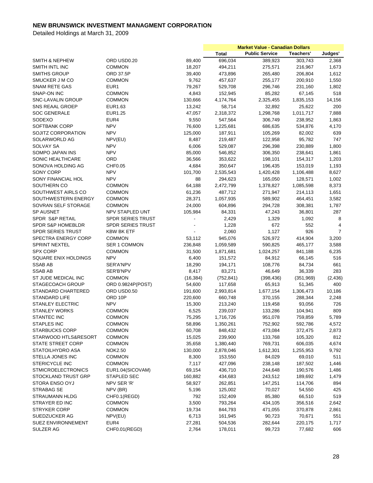|                              |                          |           | <b>Market Value - Canadian Dollars</b> |                       |           |                |
|------------------------------|--------------------------|-----------|----------------------------------------|-----------------------|-----------|----------------|
|                              |                          |           | Total                                  | <b>Public Service</b> | Teachers' | Judges'        |
| <b>SMITH &amp; NEPHEW</b>    | ORD USD0.20              | 89,400    | 696,034                                | 389,923               | 303,743   | 2,368          |
| SMITH INTL INC               | <b>COMMON</b>            | 18,207    | 494,211                                | 275,571               | 216,967   | 1,673          |
| <b>SMITHS GROUP</b>          | ORD 37.5P                | 39,400    | 473,896                                | 265,480               | 206,804   | 1,612          |
| SMUCKER J M CO               | <b>COMMON</b>            | 9,762     | 457,637                                | 255,177               | 200,910   | 1,550          |
| <b>SNAM RETE GAS</b>         | EUR1                     | 79,267    | 529,708                                | 296,746               | 231,160   | 1,802          |
| SNAP-ON INC                  | <b>COMMON</b>            | 4,843     | 152,945                                | 85,282                | 67,145    | 518            |
| <b>SNC-LAVALIN GROUP</b>     | <b>COMMON</b>            | 130,666   | 4,174,764                              | 2,325,455             | 1,835,153 | 14,156         |
| SNS REAAL GROEP              | EUR1.63                  | 13,242    | 58,714                                 | 32,892                | 25,622    | 200            |
| <b>SOC GENERALE</b>          | EUR1.25                  | 47,057    | 2,318,372                              | 1,298,768             | 1,011,717 | 7,888          |
| SODEXO                       | EUR4                     | 9,550     | 547,564                                | 306,749               | 238,952   | 1,863          |
| <b>SOFTBANK CORP</b>         | <b>NPV</b>               | 76,600    | 1,225,681                              | 686,635               | 534,876   | 4,170          |
| SOJITZ CORPORATION           | <b>NPV</b>               | 125,000   | 187,911                                | 105,269               | 82,002    | 639            |
| SOLARWORLD AG                | NPV(EU)                  | 8,487     | 219,487                                | 122,958               | 95,782    | 747            |
| <b>SOLVAY SA</b>             | <b>NPV</b>               | 6,006     | 529,087                                | 296,398               | 230,889   | 1,800          |
| SOMPO JAPAN INS              | <b>NPV</b>               | 85,000    | 546,852                                | 306,350               | 238,641   | 1,861          |
| SONIC HEALTHCARE             | ORD                      | 36,566    | 353,622                                | 198,101               | 154,317   | 1,203          |
|                              |                          |           |                                        |                       |           |                |
| SONOVA HOLDING AG            | CHF0.05                  | 4,684     | 350,647                                | 196,435               | 153,019   | 1,193          |
| SONY CORP                    | <b>NPV</b>               | 101,700   | 2,535,543                              | 1,420,428             | 1,106,488 | 8,627          |
| SONY FINANCIAL HOL           | <b>NPV</b>               | 88        | 294,623                                | 165,050               | 128,571   | 1,002          |
| SOUTHERN CO                  | <b>COMMON</b>            | 64,188    | 2,472,799                              | 1,378,827             | 1,085,598 | 8,373          |
| SOUTHWEST AIRLS CO           | <b>COMMON</b>            | 61,236    | 487,712                                | 271,947               | 214,113   | 1,651          |
| SOUTHWESTERN ENERGY          | <b>COMMON</b>            | 28,371    | 1,057,935                              | 589,902               | 464,451   | 3,582          |
| SOVRAN SELF STORAGE          | <b>COMMON</b>            | 24,000    | 604,896                                | 294,728               | 308,381   | 1,787          |
| SP AUSNET                    | NPV STAPLED UNT          | 105,984   | 84,331                                 | 47,243                | 36,801    | 287            |
| SPDR S&P RETAIL              | <b>SPDR SERIES TRUST</b> |           | 2,429                                  | 1,329                 | 1,092     | 8              |
| <b>SPDR S&amp;P HOMEBLDR</b> | <b>SPDR SERIES TRUST</b> |           | 1,228                                  | 672                   | 552       | 4              |
| <b>SPDR SERIES TRUST</b>     | <b>KBW BK ETF</b>        |           | 2,060                                  | 1,127                 | 926       | $\overline{7}$ |
| SPECTRA ENERGY CORP          | <b>COMMON</b>            | 53,112    | 945,076                                | 526,972               | 414,904   | 3,200          |
| <b>SPRINT NEXTEL</b>         | <b>SER 1 COMMON</b>      | 236,848   | 1,059,589                              | 590,825               | 465,177   | 3,588          |
| <b>SPX CORP</b>              | <b>COMMON</b>            | 31,500    | 1,871,681                              | 1,024,257             | 841,188   | 6,235          |
| SQUARE ENIX HOLDINGS         | <b>NPV</b>               | 6,400     | 151,572                                | 84,912                | 66,145    | 516            |
| <b>SSAB AB</b>               | SER'A'NPV                | 18,290    | 194,171                                | 108,776               | 84,734    | 661            |
| <b>SSAB AB</b>               | SER'B'NPV                | 8,417     | 83,271                                 | 46,649                | 36,339    | 283            |
| ST JUDE MEDICAL INC          | <b>COMMON</b>            | (16, 384) | (752, 841)                             | (398, 436)            | (351,969) | (2, 436)       |
| <b>STAGECOACH GROUP</b>      | ORD 0.9824P(POST)        | 54,600    | 117,658                                | 65,913                | 51,345    | 400            |
| STANDARD CHARTERED           | ORD USD0.50              | 191,600   | 2,993,814                              | 1,677,154             | 1,306,473 | 10,186         |
| STANDARD LIFE                | ORD 10P                  | 220,600   | 660,748                                | 370,155               | 288,344   | 2,248          |
| <b>STANLEY ELECTRIC</b>      | <b>NPV</b>               | 15,300    | 213,240                                | 119,458               | 93,056    | 726            |
| <b>STANLEY WORKS</b>         | <b>COMMON</b>            | 6,525     | 239,037                                | 133,286               | 104,941   | 809            |
| STANTEC INC                  | <b>COMMON</b>            | 75,295    | 1,716,726                              | 951,078               | 759,859   | 5,789          |
| <b>STAPLES INC</b>           | <b>COMMON</b>            | 58,896    | 1,350,261                              | 752,902               | 592,786   | 4,572          |
| <b>STARBUCKS CORP</b>        | COMMON                   | 60,708    | 848,432                                | 473,084               | 372,475   | 2,873          |
| STARWOOD HTLS&RESORT         | <b>COMMON</b>            | 15,025    | 239,900                                | 133,768               | 105,320   | 812            |
| STATE STREET CORP            | <b>COMMON</b>            | 35,658    | 1,380,440                              | 769,731               | 606,035   | 4,674          |
| STATOILHYDRO ASA             | <b>NOK2.50</b>           | 130,000   | 2,878,046                              | 1,612,301             | 1,255,953 | 9,792          |
| STELLA JONES INC             | <b>COMMON</b>            | 8,300     | 153,550                                | 84,029                | 69,010    | 511            |
| STERICYCLE INC               | <b>COMMON</b>            | 7,117     | 427,096                                | 238,148               | 187,502   | 1,446          |
| <b>STMICROELECTRONICS</b>    | EUR1.04(SICOVAM)         | 69,154    | 436,710                                | 244,648               | 190,576   | 1,486          |
| STOCKLAND TRUST GRP          | STAPLED SEC              | 160,882   | 434,683                                | 243,512               | 189,692   | 1,479          |
| STORA ENSO OYJ               | NPV SER 'R'              | 58,927    | 262,851                                | 147,251               | 114,706   | 894            |
| STRABAG SE                   | NPV (BR)                 | 5,196     | 125,002                                | 70,027                | 54,550    | 425            |
|                              |                          |           |                                        |                       |           |                |
| <b>STRAUMANN HLDG</b>        | CHF0.1(REGD)             | 792       | 152,409                                | 85,380                | 66,510    | 519            |
| STRAYER ED INC               | <b>COMMON</b>            | 3,500     | 793,264                                | 434,105               | 356,516   | 2,642          |
| <b>STRYKER CORP</b>          | <b>COMMON</b>            | 19,734    | 844,793                                | 471,055               | 370,878   | 2,861          |
| SUEDZUCKER AG                | NPV(EU)                  | 6,713     | 161,945                                | 90,723                | 70,671    | 551            |
| <b>SUEZ ENVIRONNEMENT</b>    | EUR4                     | 27,281    | 504,536                                | 282,644               | 220,175   | 1,717          |
| SULZER AG                    | CHF0.01(REGD)            | 2,764     | 178,011                                | 99,723                | 77,682    | 606            |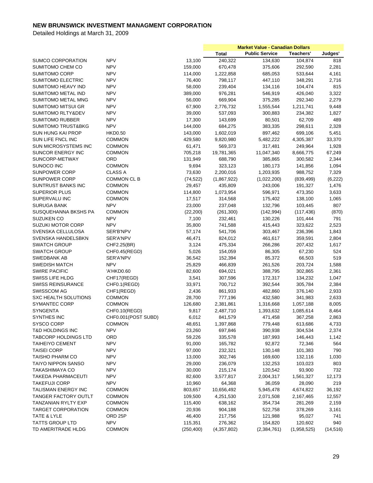|                               |                             |                     | <b>Market Value - Canadian Dollars</b> |                       |             |           |
|-------------------------------|-----------------------------|---------------------|----------------------------------------|-----------------------|-------------|-----------|
|                               |                             |                     | <b>Total</b>                           | <b>Public Service</b> | Teachers'   | Judges'   |
| <b>SUMCO CORPORATION</b>      | <b>NPV</b>                  | 13,100              | 240,322                                | 134,630               | 104,874     | 818       |
| SUMITOMO CHEM CO              | <b>NPV</b>                  | 159,000             | 670,478                                | 375,606               | 292,590     | 2,281     |
| <b>SUMITOMO CORP</b>          | <b>NPV</b>                  | 114,000             | 1,222,858                              | 685,053               | 533,644     | 4,161     |
| SUMITOMO ELECTRIC             | <b>NPV</b>                  | 76,400              | 798,117                                | 447,110               | 348,291     | 2,716     |
| SUMITOMO HEAVY IND            | <b>NPV</b>                  | 58,000              | 239,404                                | 134,116               | 104,474     | 815       |
| SUMITOMO METAL IND            | <b>NPV</b>                  | 389,000             | 976,281                                | 546,919               | 426,040     | 3,322     |
| SUMITOMO METAL MNG            | <b>NPV</b>                  | 56,000              | 669,904                                | 375,285               | 292,340     | 2,279     |
| <b>SUMITOMO MITSUI GR</b>     | <b>NPV</b>                  | 67,900              | 2,776,732                              | 1,555,544             | 1,211,741   | 9,448     |
| SUMITOMO RLTY&DEV             | <b>NPV</b>                  | 39,000              | 537,093                                | 300,883               | 234,382     | 1,827     |
| <b>SUMITOMO RUBBER</b>        | <b>NPV</b>                  | 17,300              | 143,699                                | 80,501                | 62,709      | 489       |
| <b>SUMITOMO TRUST&amp;BKG</b> | <b>NPV</b>                  | 144,000             | 684,275                                | 383,335               | 298,611     | 2,328     |
| <b>SUN HUNG KAI PROP</b>      | <b>HKD0.50</b>              | 143,000             | 1,602,019                              | 897,462               | 699,106     | 5,451     |
| SUN LIFE FNCL INC             | <b>COMMON</b>               | 429,580             | 9,820,980                              | 5,482,222             | 4,305,387   | 33,370    |
| SUN MICROSYSTEMS INC          | <b>COMMON</b>               | 61,471              | 569,373                                | 317,481               | 249,964     | 1,928     |
| SUNCOR ENERGY INC             | <b>COMMON</b>               | 705,218             | 19,781,365                             | 11,047,340            | 8,666,775   | 67,249    |
| SUNCORP-METWAY                | ORD                         | 131,949             | 688,790                                | 385,865               | 300,582     | 2,344     |
| SUNOCO INC                    | <b>COMMON</b>               | 9,694               | 323,123                                | 180,173               | 141,856     | 1,094     |
| <b>SUNPOWER CORP</b>          | <b>CLASS A</b>              | 73,630              | 2,200,016                              | 1,203,935             | 988,752     | 7,329     |
| <b>SUNPOWER CORP</b>          | <b>COMMON CL B</b>          | (74, 522)           | (1,867,922)                            | (1,022,200)           | (839, 499)  | (6, 222)  |
| SUNTRUST BANKS INC            | <b>COMMON</b>               | 29,457              | 435,809                                | 243,006               | 191,327     | 1,476     |
| <b>SUPERIOR PLUS</b>          | <b>COMMON</b>               | 114,800             | 1,073,954                              | 596,971               | 473,350     | 3,633     |
| SUPERVALU INC                 |                             |                     |                                        |                       |             |           |
|                               | <b>COMMON</b><br><b>NPV</b> | 17,517              | 314,568                                | 175,402               | 138,100     | 1,065     |
| <b>SURUGA BANK</b>            | <b>COMMON</b>               | 23,000<br>(22, 200) | 237,048                                | 132,796               | 103,445     | 807       |
| SUSQUEHANNA BKSHS PA          | <b>NPV</b>                  |                     | (261, 300)                             | (142, 994)            | (117, 436)  | (870)     |
| SUZUKEN CO                    |                             | 7,100               | 232,461                                | 130,226               | 101,444     | 791       |
| <b>SUZUKI MOTOR CORP</b>      | <b>NPV</b>                  | 35,800              | 741,588                                | 415,443               | 323,622     | 2,523     |
| SVENSKA CELLULOSA             | SER'B'NPV                   | 57,174              | 541,706                                | 303,467               | 236,396     | 1,843     |
| SVENSKA HANDELSBKN            | SER'A'NPV                   | 46,471              | 824,012                                | 461,617               | 359,591     | 2,804     |
| <b>SWATCH GROUP</b>           | CHF2.25(BR)                 | 3,124               | 475,334                                | 266,286               | 207,432     | 1,617     |
| <b>SWATCH GROUP</b>           | CHF0.45(REGD)               | 5,026               | 154,059                                | 86,305                | 67,230      | 524       |
| SWEDBANK AB                   | SER'A'NPV                   | 36,542              | 152,394                                | 85,372                | 66,503      | 519       |
| <b>SWEDISH MATCH</b>          | <b>NPV</b>                  | 25,829              | 466,839                                | 261,526               | 203,724     | 1,588     |
| <b>SWIRE PACIFIC</b>          | 'A'HKD0.60                  | 82,600              | 694,021                                | 388,795               | 302,865     | 2,361     |
| <b>SWISS LIFE HLDG</b>        | CHF17(REGD)                 | 3,541               | 307,596                                | 172,317               | 134,232     | 1,047     |
| <b>SWISS REINSURANCE</b>      | CHF0.1(REGD)                | 33,971              | 700,712                                | 392,544               | 305,784     | 2,384     |
| <b>SWISSCOM AG</b>            | CHF1(REGD)                  | 2,436               | 861,933                                | 482,860               | 376,140     | 2,933     |
| <b>SXC HEALTH SOLUTIONS</b>   | <b>COMMON</b>               | 28,700              | 777,196                                | 432,580               | 341,983     | 2,633     |
| SYMANTEC CORP                 | <b>COMMON</b>               | 126,680             | 2,381,861                              | 1,316,668             | 1,057,188   | 8,005     |
| <b>SYNGENTA</b>               | CHF0.10(REGD)               | 9,817               | 2,487,710                              | 1,393,632             | 1,085,614   | 8,464     |
| SYNTHES INC                   | CHF0.001(POST SUBD)         | 6,012               | 841,579                                | 471,458               | 367,258     | 2,863     |
| SYSCO CORP                    | <b>COMMON</b>               | 48,651              | 1,397,868                              | 779,448               | 613,686     | 4,733     |
| T&D HOLDINGS INC              | <b>NPV</b>                  | 23,260              | 697,846                                | 390,938               | 304,534     | 2,374     |
| TABCORP HOLDINGS LTD          | ORD                         | 59,226              | 335,578                                | 187,993               | 146,443     | 1,142     |
| <b>TAIHEIYO CEMENT</b>        | <b>NPV</b>                  | 91,000              | 165,782                                | 92,872                | 72,346      | 564       |
| <b>TAISEI CORP</b>            | <b>NPV</b>                  | 97,000              | 232,321                                | 130,148               | 101,383     | 790       |
| TAISHO PHARM CO               | <b>NPV</b>                  | 13,000              | 302,746                                | 169,600               | 132,116     | 1,030     |
| TAIYO NIPPON SANSO            | <b>NPV</b>                  | 29,000              | 236,079                                | 132,253               | 103,023     | 803       |
| <b>TAKASHIMAYA CO</b>         | <b>NPV</b>                  | 30,000              | 215,174                                | 120,542               | 93,900      | 732       |
| <b>TAKEDA PHARMACEUTI</b>     | <b>NPV</b>                  | 82,600              | 3,577,817                              | 2,004,317             | 1,561,327   | 12,173    |
| <b>TAKEFUJI CORP</b>          | <b>NPV</b>                  | 10,960              | 64,368                                 | 36,059                | 28,090      | 219       |
| TALISMAN ENERGY INC           | <b>COMMON</b>               | 803,657             | 10,656,492                             | 5,945,478             | 4,674,822   | 36,192    |
| <b>TANGER FACTORY OUTLT</b>   | <b>COMMON</b>               | 109,500             | 4,251,530                              | 2,071,508             | 2,167,465   | 12,557    |
| TANZANIAN RYLTY EXP           | <b>COMMON</b>               | 115,400             | 638,162                                | 354,734               | 281,269     | 2,159     |
| <b>TARGET CORPORATION</b>     | <b>COMMON</b>               | 20,936              | 904,188                                | 522,758               | 378,269     | 3,161     |
| TATE & LYLE                   | ORD <sub>25P</sub>          | 46,400              | 217,756                                | 121,988               | 95,027      | 741       |
| <b>TATTS GROUP LTD</b>        | <b>NPV</b>                  | 115,351             | 276,362                                | 154,820               | 120,602     | 940       |
| TD AMERITRADE HLDG            | <b>COMMON</b>               | (250, 400)          | (4,357,802)                            | (2,384,761)           | (1,958,525) | (14, 516) |
|                               |                             |                     |                                        |                       |             |           |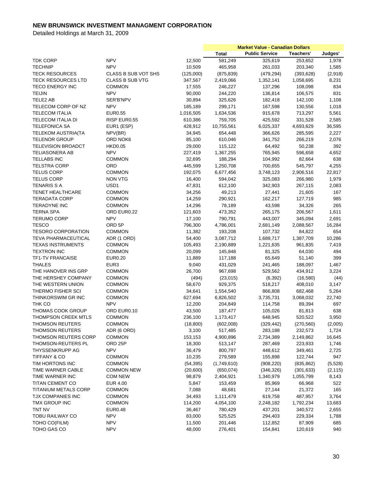|                             |                        |           | <b>Market Value - Canadian Dollars</b> |                       |            |          |
|-----------------------------|------------------------|-----------|----------------------------------------|-----------------------|------------|----------|
|                             |                        |           | <b>Total</b>                           | <b>Public Service</b> | Teachers'  | Judges'  |
| <b>TDK CORP</b>             | <b>NPV</b>             | 12,500    | 581,249                                | 325,619               | 253,652    | 1,978    |
| <b>TECHNIP</b>              | <b>NPV</b>             | 10,509    | 465,958                                | 261,033               | 203,340    | 1,585    |
| <b>TECK RESOURCES</b>       | CLASS B SUB VOT SHS    | (125,000) | (875, 839)                             | (479, 294)            | (393, 628) | (2,918)  |
| <b>TECK RESOURCES LTD</b>   | <b>CLASS B SUB VTG</b> | 347,567   | 2,419,066                              | 1,352,141             | 1,058,695  | 8,231    |
| <b>TECO ENERGY INC</b>      | <b>COMMON</b>          | 17,555    | 246,227                                | 137,296               | 108,098    | 834      |
| <b>TEIJIN</b>               | <b>NPV</b>             | 90,000    | 244,220                                | 136,814               | 106,575    | 831      |
| TELE2 AB                    | SER'B'NPV              | 30,894    | 325,626                                | 182,418               | 142,100    | 1,108    |
| TELECOM CORP OF NZ          | <b>NPV</b>             | 185,189   | 299,171                                | 167,598               | 130,556    | 1,018    |
| <b>TELECOM ITALIA</b>       | <b>EUR0.55</b>         | 1,016,505 | 1,634,536                              | 915,678               | 713,297    | 5,561    |
| TELECOM ITALIA DI           | RISP EUR0.55           | 610,386   | 759,705                                | 425,592               | 331,528    | 2,585    |
|                             |                        |           |                                        |                       |            |          |
| <b>TELEFONICA SA</b>        | EUR1 (ESP)             | 428,912   | 10,755,561                             | 6,025,337             | 4,693,629  | 36,595   |
| <b>TELEKOM AUSTRIA(TA</b>   | NPV(BR)                | 34,945    | 654,448                                | 366,626               | 285,595    | 2,227    |
| <b>TELENOR GROUP</b>        | ORD NOK6               | 85,100    | 610,046                                | 341,752               | 266,219    | 2,076    |
| <b>TELEVISION BROADCT</b>   | <b>HKD0.05</b>         | 29,000    | 115,122                                | 64,492                | 50,238     | 392      |
| <b>TELIASONERA AB</b>       | <b>NPV</b>             | 227,419   | 1,367,255                              | 765,945               | 596,658    | 4,652    |
| <b>TELLABS INC</b>          | <b>COMMON</b>          | 32,695    | 188,294                                | 104,992               | 82,664     | 638      |
| <b>TELSTRA CORP</b>         | <b>ORD</b>             | 445,599   | 1,250,708                              | 700,655               | 545,797    | 4,255    |
| <b>TELUS CORP</b>           | <b>COMMON</b>          | 192,075   | 6,677,456                              | 3,748,123             | 2,906,516  | 22,817   |
| <b>TELUS CORP</b>           | <b>NON VTG</b>         | 16,400    | 594,042                                | 325,083               | 266,980    | 1,979    |
| <b>TENARIS S A</b>          | USD <sub>1</sub>       | 47,831    | 612,100                                | 342,903               | 267,115    | 2,083    |
| <b>TENET HEALTHCARE</b>     | <b>COMMON</b>          | 34,256    | 49,213                                 | 27,441                | 21,605     | 167      |
| <b>TERADATA CORP</b>        | <b>COMMON</b>          | 14,259    | 290,921                                | 162,217               | 127,719    | 985      |
| <b>TERADYNE INC</b>         | <b>COMMON</b>          | 14,296    | 78,189                                 | 43,598                | 34,326     | 265      |
| <b>TERNA SPA</b>            | ORD EUR0.22            | 121,603   | 473,352                                | 265,175               | 206,567    | 1,611    |
| <b>TERUMO CORP</b>          | <b>NPV</b>             | 17,100    | 790,791                                | 443,007               | 345,094    | 2,691    |
| <b>TESCO</b>                | ORD <sub>5P</sub>      | 796,300   | 4,786,001                              | 2,681,149             | 2,088,567  | 16,284   |
| <b>TESORO CORPORATION</b>   | <b>COMMON</b>          | 11,382    | 193,208                                | 107,732               | 84,822     | 654      |
| <b>TEVA PHARMACEUTICAL</b>  | ADR (1 ORD)            | 54,400    | 3,087,712                              | 1,689,717             | 1,387,709  | 10,286   |
| <b>TEXAS INSTRUMENTS</b>    | <b>COMMON</b>          | 105,493   | 2,190,889                              | 1,221,635             | 961,835    | 7,419    |
| <b>TEXTRON INC</b>          | <b>COMMON</b>          | 20,099    | 145,848                                | 81,325                | 64,030     | 494      |
| <b>TF1-TV FRANCAISE</b>     | <b>EUR0.20</b>         | 11,889    | 117,188                                | 65,649                | 51,140     | 399      |
| <b>THALES</b>               | EUR <sub>3</sub>       | 9,040     | 431,029                                | 241,465               | 188,097    | 1,467    |
| THE HANOVER INS GRP         | <b>COMMON</b>          | 26,700    | 967,698                                | 529,562               | 434,912    | 3,224    |
| THE HERSHEY COMPANY         | <b>COMMON</b>          | (494)     | (23, 015)                              | (6, 392)              | (16,580)   | (44)     |
| THE WESTERN UNION           | <b>COMMON</b>          | 58,670    | 929,375                                | 518,217               | 408,010    | 3,147    |
| THERMO FISHER SCI           | <b>COMMON</b>          | 34,641    | 1,554,540                              | 866,808               | 682,468    | 5,264    |
| THINKORSWIM GR INC          | <b>COMMON</b>          |           | 6,826,502                              |                       |            |          |
|                             | <b>NPV</b>             | 627,694   |                                        | 3,735,731             | 3,068,032  | 22,740   |
| THK CO                      |                        | 12,200    | 204,849                                | 114,758               | 89,394     | 697      |
| THOMAS COOK GROUP           | ORD EUR0.10            | 43,500    | 187,477                                | 105,026               | 81,813     | 638      |
| THOMPSON CREEK MTLS         | COMMON                 | 236,100   | 1,173,417                              | 648,945               | 520,522    | 3,950    |
| <b>THOMSON REUTERS</b>      | <b>COMMON</b>          | (18,800)  | (602,008)                              | (329, 442)            | (270, 560) | (2,005)  |
| THOMSON REUTERS             | ADR (6 ORD)            | 3,100     | 517,485                                | 283,188               | 232,573    | 1,724    |
| THOMSON REUTERS CORP        | <b>COMMON</b>          | 153,153   | 4,900,896                              | 2,734,389             | 2,149,862  | 16,645   |
| THOMSON-REUTERS PL          | ORD 25P                | 18,300    | 513,147                                | 287,469               | 223,933    | 1,746    |
| THYSSENKRUPP AG             | <b>NPV</b>             | 36,479    | 800,797                                | 448,612               | 349,461    | 2,725    |
| TIFFANY & CO                | <b>COMMON</b>          | 10,235    | 279,589                                | 155,898               | 122,744    | 947      |
| TIM HORTONS INC             | <b>COMMON</b>          | (54, 395) | (1,749,610)                            | (908, 220)            | (835, 862) | (5,528)  |
| TIME WARNER CABLE           | <b>COMMON NEW</b>      | (20,600)  | (650, 074)                             | (346, 326)            | (301, 633) | (2, 115) |
| TIME WARNER INC             | COM NEW                | 98,879    | 2,404,921                              | 1,340,979             | 1,055,799  | 8,143    |
| TITAN CEMENT CO             | EUR 4.00               | 5,847     | 153,459                                | 85,969                | 66,968     | 522      |
| <b>TITANIUM METALS CORP</b> | <b>COMMON</b>          | 7,088     | 48,681                                 | 27,144                | 21,372     | 165      |
| TJX COMPANIES INC           | <b>COMMON</b>          | 34,493    | 1,111,479                              | 619,758               | 487,957    | 3,764    |
| TMX GROUP INC               | <b>COMMON</b>          | 114,200   | 4,054,100                              | 2,248,182             | 1,792,234  | 13,683   |
| TNT NV                      | EUR0.48                | 36,467    | 780,429                                | 437,201               | 340,572    | 2,655    |
| <b>TOBU RAILWAY CO</b>      | <b>NPV</b>             | 83,000    | 525,525                                | 294,403               | 229,334    | 1,788    |
| TOHO CO(FILM)               | <b>NPV</b>             | 11,500    | 201,446                                | 112,852               | 87,909     | 685      |
| TOHO GAS CO                 | <b>NPV</b>             | 48,000    | 276,401                                | 154,841               | 120,619    | 940      |
|                             |                        |           |                                        |                       |            |          |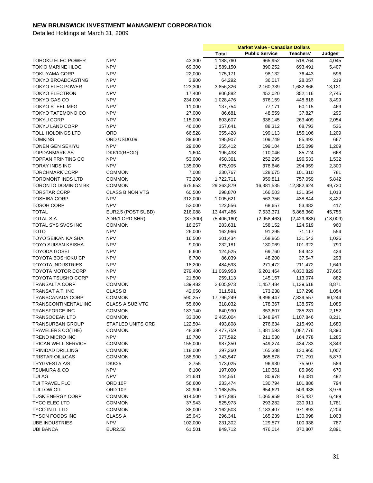|                            |                        |           | <b>Market Value - Canadian Dollars</b> |                       |             |          |
|----------------------------|------------------------|-----------|----------------------------------------|-----------------------|-------------|----------|
|                            |                        |           | <b>Total</b>                           | <b>Public Service</b> | Teachers'   | Judges'  |
| TOHOKU ELEC POWER          | <b>NPV</b>             | 43,300    | 1,188,760                              | 665,952               | 518,764     | 4,045    |
| <b>TOKIO MARINE HLDG</b>   | <b>NPV</b>             | 69,300    | 1,589,150                              | 890,252               | 693,491     | 5,407    |
| <b>TOKUYAMA CORP</b>       | <b>NPV</b>             | 22,000    | 175,171                                | 98,132                | 76,443      | 596      |
| <b>TOKYO BROADCASTING</b>  | <b>NPV</b>             | 3,900     | 64,292                                 | 36,017                | 28,057      | 219      |
| <b>TOKYO ELEC POWER</b>    | <b>NPV</b>             | 123,300   | 3,856,326                              | 2,160,339             | 1,682,866   | 13,121   |
| <b>TOKYO ELECTRON</b>      | <b>NPV</b>             | 17,400    | 806,882                                | 452,020               | 352,116     | 2,745    |
| <b>TOKYO GAS CO</b>        | <b>NPV</b>             | 234,000   | 1,028,476                              | 576,159               | 448,818     | 3,499    |
| <b>TOKYO STEEL MFG</b>     | <b>NPV</b>             | 11,000    | 137,754                                | 77,171                | 60,115      | 469      |
| <b>TOKYO TATEMONO CO</b>   | <b>NPV</b>             | 27,000    | 86,681                                 | 48,559                | 37,827      | 295      |
| <b>TOKYU CORP</b>          | <b>NPV</b>             | 115,000   | 603,607                                | 338,145               | 263,409     | 2,054    |
|                            |                        |           |                                        |                       |             |          |
| <b>TOKYU LAND CORP</b>     | <b>NPV</b>             | 46,000    | 157,641                                | 88,312                | 68,793      | 536      |
| <b>TOLL HOLDINGS LTD</b>   | ORD                    | 66,528    | 355,428                                | 199,113               | 155,106     | 1,209    |
| <b>TOMKINS</b>             | ORD USD0.09            | 89,600    | 195,907                                | 109,749               | 85,492      | 667      |
| TONEN GEN SEKIYU           | <b>NPV</b>             | 29,000    | 355,412                                | 199,104               | 155,099     | 1,209    |
| <b>TOPDANMARK AS</b>       | DKK10(REGD)            | 1,604     | 196,438                                | 110,046               | 85,724      | 668      |
| <b>TOPPAN PRINTING CO</b>  | <b>NPV</b>             | 53,000    | 450,361                                | 252,295               | 196,533     | 1,532    |
| <b>TORAY INDS INC</b>      | <b>NPV</b>             | 135,000   | 675,905                                | 378,646               | 294,959     | 2,300    |
| <b>TORCHMARK CORP</b>      | <b>COMMON</b>          | 7,008     | 230,767                                | 128,675               | 101,310     | 781      |
| <b>TOROMONT INDS LTD</b>   | <b>COMMON</b>          | 73,200    | 1,722,711                              | 959,811               | 757,059     | 5,842    |
| TORONTO DOMINION BK        | <b>COMMON</b>          | 675,653   | 29,363,879                             | 16,381,535            | 12,882,624  | 99,720   |
| <b>TORSTAR CORP</b>        | <b>CLASS B NON VTG</b> | 60,500    | 298,870                                | 166,503               | 131,354     | 1,013    |
| <b>TOSHIBA CORP</b>        | <b>NPV</b>             | 312,000   | 1,005,621                              | 563,356               | 438,844     | 3,422    |
| <b>TOSOH CORP</b>          | <b>NPV</b>             | 52,000    | 122,556                                | 68,657                | 53,482      | 417      |
| <b>TOTAL</b>               | EUR2.5 (POST SUBD)     | 216,088   | 13,447,486                             | 7,533,371             | 5,868,360   | 45,755   |
| <b>TOTAL S A</b>           | ADR(1 ORD SHR)         | (87, 300) | (5,406,160)                            | (2,958,463)           | (2,429,688) | (18,009) |
| TOTAL SYS SVCS INC         | <b>COMMON</b>          | 16,257    | 283,631                                | 158,152               | 124,519     | 960      |
| <b>TOTO</b>                | <b>NPV</b>             | 26,000    | 162,966                                | 91,295                | 71,117      | 554      |
| <b>TOYO SEIKAN KAISHA</b>  | <b>NPV</b>             | 16,500    | 301,434                                | 168,865               | 131,543     | 1,026    |
| <b>TOYO SUISAN KAISHA</b>  | <b>NPV</b>             | 9,000     | 232,181                                | 130,069               | 101,322     | 790      |
| <b>TOYODA GOSEI</b>        | <b>NPV</b>             | 6,600     | 124,525                                | 69,760                | 54,342      | 424      |
| TOYOTA BOSHOKU CP          | <b>NPV</b>             | 6,700     | 86,039                                 | 48,200                | 37,547      | 293      |
| <b>TOYOTA INDUSTRIES</b>   | <b>NPV</b>             | 18,200    | 484,593                                | 271,472               | 211,472     | 1,649    |
| <b>TOYOTA MOTOR CORP</b>   | <b>NPV</b>             |           | 11,069,958                             | 6,201,464             | 4,830,829   | 37,665   |
| <b>TOYOTA TSUSHO CORP</b>  | <b>NPV</b>             | 279,400   |                                        |                       |             | 882      |
|                            |                        | 21,500    | 259,113                                | 145,157               | 113,074     |          |
| <b>TRANSALTA CORP</b>      | <b>COMMON</b>          | 139,482   | 2,605,973                              | 1,457,484             | 1,139,618   | 8,871    |
| TRANSAT A.T. INC           | <b>CLASS B</b>         | 42,050    | 311,591                                | 173,238               | 137,298     | 1,054    |
| TRANSCANADA CORP           | <b>COMMON</b>          | 590,257   | 17,796,249                             | 9,896,447             | 7,839,557   | 60,244   |
| TRANSCONTINENTAL INC       | <b>CLASS A SUB VTG</b> | 55,600    | 318,032                                | 178,367               | 138,579     | 1,085    |
| <b>TRANSFORCE INC</b>      | <b>COMMON</b>          | 183,140   | 640,990                                | 353,607               | 285,231     | 2,152    |
| <b>TRANSOCEAN LTD</b>      | <b>COMMON</b>          | 33,300    | 2,465,004                              | 1,348,947             | 1,107,846   | 8,211    |
| TRANSURBAN GROUP           | STAPLED UNITS ORD      | 122,504   | 493,808                                | 276,634               | 215,493     | 1,680    |
| TRAVELERS CO(THE)          | COMMON                 | 48,380    | 2,477,759                              | 1,381,593             | 1,087,776   | 8,390    |
| TREND MICRO INC            | <b>NPV</b>             | 10,700    | 377,592                                | 211,530               | 164,778     | 1,285    |
| <b>TRICAN WELL SERVICE</b> | <b>COMMON</b>          | 155,000   | 987,350                                | 549,274               | 434,733     | 3,343    |
| <b>TRINIDAD DRILLING</b>   | <b>COMMON</b>          | 118,000   | 297,360                                | 165,388               | 130,965     | 1,007    |
| TRISTAR OIL&GAS            | COMMON                 | 188,900   | 1,743,547                              | 965,878               | 771,791     | 5,879    |
| <b>TRYGVESTA A/S</b>       | DKK <sub>25</sub>      | 2,755     | 173,025                                | 96,930                | 75,507      | 589      |
| <b>TSUMURA &amp; CO</b>    | <b>NPV</b>             | 6,100     | 197,000                                | 110,361               | 85,969      | 670      |
| TUI AG                     | <b>NPV</b>             | 21,631    | 144,551                                | 80,978                | 63,081      | 492      |
| TUI TRAVEL PLC             | ORD 10P                | 56,600    | 233,474                                | 130,794               | 101,886     | 794      |
| <b>TULLOW OIL</b>          | ORD 10P                | 80,900    | 1,168,535                              | 654,621               | 509,938     | 3,976    |
| <b>TUSK ENERGY CORP</b>    | COMMON                 | 914,500   | 1,947,885                              | 1,065,959             | 875,437     | 6,489    |
| <b>TYCO ELEC LTD</b>       | COMMON                 | 37,943    | 525,973                                | 293,282               | 230,911     | 1,781    |
| <b>TYCO INTL LTD</b>       | <b>COMMON</b>          | 88,000    | 2,162,503                              | 1,183,407             | 971,893     | 7,204    |
| <b>TYSON FOODS INC</b>     | <b>CLASS A</b>         | 25,043    | 296,341                                | 165,239               | 130,098     | 1,003    |
| <b>UBE INDUSTRIES</b>      | <b>NPV</b>             | 102,000   | 231,302                                | 129,577               | 100,938     | 787      |
| <b>UBI BANCA</b>           | <b>EUR2.50</b>         |           |                                        | 476,014               |             |          |
|                            |                        | 61,501    | 849,712                                |                       | 370,807     | 2,891    |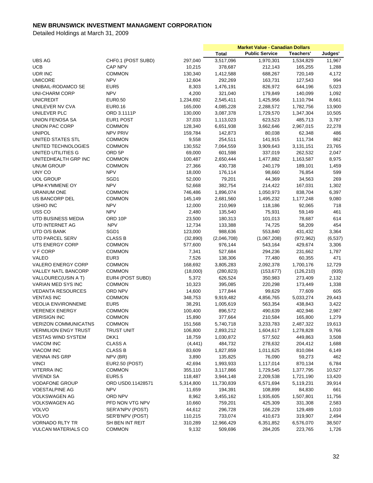|                                                            |                       |           | <b>Market Value - Canadian Dollars</b> |                       |            |          |
|------------------------------------------------------------|-----------------------|-----------|----------------------------------------|-----------------------|------------|----------|
|                                                            |                       |           | <b>Total</b>                           | <b>Public Service</b> | Teachers'  | Judges'  |
| <b>UBS AG</b>                                              | CHF0.1 (POST SUBD)    | 297,040   | 3,517,096                              | 1,970,301             | 1,534,829  | 11,967   |
| <b>UCB</b>                                                 | <b>CAP NPV</b>        | 10,215    | 378,687                                | 212,143               | 165,255    | 1,288    |
| UDR INC                                                    | <b>COMMON</b>         | 130,340   | 1,412,588                              | 688,267               | 720,149    | 4,172    |
| <b>UMICORE</b>                                             | <b>NPV</b>            | 12,604    | 292,269                                | 163,731               | 127,543    | 994      |
| UNIBAIL-RODAMCO SE                                         | EUR <sub>5</sub>      | 8,303     | 1,476,191                              | 826,972               | 644,196    | 5,023    |
| <b>UNI-CHARM CORP</b>                                      | <b>NPV</b>            | 4,200     | 321,040                                | 179,849               | 140,099    | 1,092    |
| <b>UNICREDIT</b>                                           | <b>EUR0.50</b>        | 1,234,692 | 2,545,411                              | 1,425,956             | 1,110,794  | 8,661    |
| UNILEVER NV CVA                                            | <b>EUR0.16</b>        | 165,000   | 4,085,228                              | 2,288,572             | 1,782,756  | 13,900   |
| UNILEVER PLC                                               | ORD 3.1111P           | 130,000   | 3,087,378                              |                       |            |          |
|                                                            |                       |           |                                        | 1,729,570             | 1,347,304  | 10,505   |
| UNION FENOSA SA                                            | EUR1 POST             | 37,033    | 1,113,023                              | 623,523               | 485,713    | 3,787    |
| UNION PAC CORP                                             | <b>COMMON</b>         | 128,340   | 6,651,938                              | 3,662,646             | 2,967,015  | 22,278   |
| <b>UNIPOL</b>                                              | <b>NPV PRIV</b>       | 159,784   | 142,873                                | 80,038                | 62,348     | 486      |
| UNITED STATES STL                                          | <b>COMMON</b>         | 9,558     | 254,511                                | 141,915               | 111,734    | 862      |
| UNITED TECHNOLOGIES                                        | <b>COMMON</b>         | 130,552   | 7,064,559                              | 3,909,643             | 3,131,151  | 23,765   |
| UNITED UTILITIES G                                         | ORD 5P                | 69,000    | 601,598                                | 337,019               | 262,532    | 2,047    |
| UNITEDHEALTH GRP INC                                       | <b>COMMON</b>         | 100,487   | 2,650,444                              | 1,477,882             | 1,163,587  | 8,975    |
| <b>UNUM GROUP</b>                                          | <b>COMMON</b>         | 27,366    | 430,738                                | 240,179               | 189,101    | 1,459    |
| UNY CO                                                     | <b>NPV</b>            | 18,000    | 176,114                                | 98,660                | 76,854     | 599      |
| <b>UOL GROUP</b>                                           | SGD1                  | 52,000    | 79,201                                 | 44,369                | 34,563     | 269      |
| UPM-KYMMENE OY                                             | <b>NPV</b>            | 52,668    | 382,754                                | 214,422               | 167,031    | 1,302    |
| <b>URANIUM ONE</b>                                         | <b>COMMON</b>         | 746,486   | 1,896,074                              | 1,050,973             | 838,704    | 6,397    |
| US BANCORP DEL                                             | <b>COMMON</b>         | 145,149   | 2,681,560                              | 1,495,232             | 1,177,248  | 9,080    |
| <b>USHIO INC</b>                                           | <b>NPV</b>            | 12,000    | 210,969                                | 118,186               | 92,065     | 718      |
| USS <sub>CO</sub>                                          | <b>NPV</b>            | 2,480     | 135,540                                | 75,931                | 59,149     | 461      |
| UTD BUSINESS MEDIA                                         | ORD 10P               | 23,500    | 180,313                                | 101,013               | 78,687     | 614      |
| UTD INTERNET AG                                            | <b>NPV</b>            | 12,734    | 133,388                                | 74,725                | 58,209     | 454      |
| UTD O/S BANK                                               | SGD1                  | 123,000   | 988,636                                | 553,840               | 431,432    | 3,364    |
| UTD PARCEL SERV                                            | <b>CLASS B</b>        | (32, 890) | (2,046,708)                            | (1,067,208)           | (972, 962) | (6, 537) |
| UTS ENERGY CORP                                            | <b>COMMON</b>         | 577,600   | 976,144                                | 543,164               | 429,674    | 3,306    |
| V F CORP                                                   | <b>COMMON</b>         | 7,341     | 527,684                                | 294,236               | 231,662    | 1,787    |
| <b>VALEO</b>                                               | EUR <sub>3</sub>      | 7,526     | 138,306                                | 77,480                | 60,355     | 471      |
| VALERO ENERGY CORP                                         | <b>COMMON</b>         | 168,692   | 3,805,283                              | 2,092,378             | 1,700,176  | 12,729   |
| VALLEY NATL BANCORP                                        | <b>COMMON</b>         | (18,000)  | (280, 823)                             | (153, 677)            | (126, 210) | (935)    |
| VALLOUREC(USIN A T)                                        | EUR4 (POST SUBD)      | 5,372     | 626,524                                | 350,983               | 273,409    | 2,132    |
| VARIAN MED SYS INC                                         | <b>COMMON</b>         | 10,323    | 395,085                                | 220,298               | 173,449    | 1,338    |
| <b>VEDANTA RESOURCES</b>                                   | ORD NPV               | 14,600    | 177,844                                | 99,629                | 77,609     | 605      |
| <b>VENTAS INC</b>                                          | <b>COMMON</b>         | 348,753   | 9,919,482                              | 4,856,765             | 5,033,274  | 29,443   |
| <b>VEOLIA ENVIRONNEME</b>                                  | EUR <sub>5</sub>      | 38,291    | 1,005,619                              | 563,354               | 438,843    | 3,422    |
| <b>VERENEX ENERGY</b>                                      | <b>COMMON</b>         | 100,400   | 896,572                                | 490,639               | 402,946    | 2,987    |
| <b>VERISIGN INC</b>                                        | <b>COMMON</b>         |           |                                        | 210,584               |            | 1,279    |
|                                                            |                       | 15,890    | 377,664                                |                       | 165,800    |          |
| <b>VERIZON COMMUNICATNS</b><br><b>VERMILION ENGY TRUST</b> | <b>COMMON</b>         | 151,568   | 5,740,718                              | 3,233,783             | 2,487,322  | 19,613   |
|                                                            | <b>TRUST UNIT</b>     | 106,800   | 2,893,212                              | 1,604,617             | 1,278,828  | 9,766    |
| <b>VESTAS WIND SYSTEM</b>                                  | DKK1                  | 18,759    | 1,030,872                              | 577,502               | 449,863    | 3,508    |
| VIACOM INC                                                 | <b>CLASS A</b>        | (4, 441)  | 484,732                                | 278,632               | 204,412    | 1,688    |
| <b>VIACOM INC</b>                                          | <b>CLASS B</b>        | 83,609    | 1,827,859                              | 1,011,625             | 810,084    | 6,149    |
| <b>VIENNA INS GRP</b>                                      | NPV (BR)              | 3,890     | 135,825                                | 76,090                | 59,273     | 462      |
| <b>VINCI</b>                                               | <b>EUR2.50 (POST)</b> | 42,694    | 1,993,933                              | 1,117,014             | 870,134    | 6,784    |
| <b>VITERRA INC</b>                                         | <b>COMMON</b>         | 355,110   | 3,117,866                              | 1,729,545             | 1,377,795  | 10,527   |
| <b>VIVENDI SA</b>                                          | <b>EUR5.5</b>         | 118,487   | 3,944,148                              | 2,209,538             | 1,721,190  | 13,420   |
| <b>VODAFONE GROUP</b>                                      | ORD USD0.11428571     | 5,314,800 | 11,730,839                             | 6,571,694             | 5,119,231  | 39,914   |
| <b>VOESTALPINE AG</b>                                      | <b>NPV</b>            | 11,659    | 194,391                                | 108,899               | 84,830     | 661      |
| <b>VOLKSWAGEN AG</b>                                       | ORD NPV               | 8,962     | 3,455,162                              | 1,935,605             | 1,507,801  | 11,756   |
| <b>VOLKSWAGEN AG</b>                                       | PFD NON VTG NPV       | 10,660    | 759,201                                | 425,309               | 331,308    | 2,583    |
| <b>VOLVO</b>                                               | SER'A'NPV (POST)      | 44,612    | 296,728                                | 166,229               | 129,489    | 1,010    |
| <b>VOLVO</b>                                               | SER'B'NPV (POST)      | 110,215   | 733,074                                | 410,673               | 319,907    | 2,494    |
| <b>VORNADO RLTY TR</b>                                     | SH BEN INT REIT       | 310,289   | 12,966,429                             | 6,351,852             | 6,576,070  | 38,507   |
| <b>VULCAN MATERIALS CO</b>                                 | <b>COMMON</b>         | 9,132     | 509,696                                | 284,205               | 223,765    | 1,726    |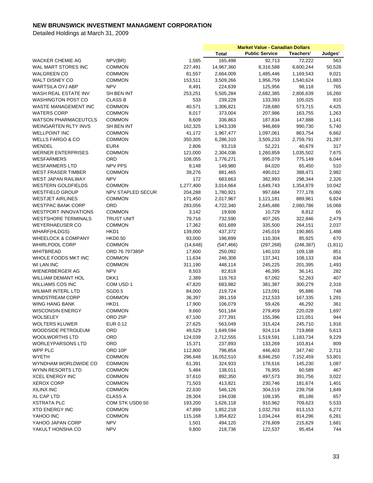|                               |                          |           | <b>Market Value - Canadian Dollars</b> |                       |            |          |
|-------------------------------|--------------------------|-----------|----------------------------------------|-----------------------|------------|----------|
|                               |                          |           | <b>Total</b>                           | <b>Public Service</b> | Teachers'  | Judges'  |
| WACKER CHEMIE AG              | NPV(BR)                  | 1,585     | 165,498                                | 92,713                | 72,222     | 563      |
| WAL MART STORES INC           | <b>COMMON</b>            | 227,491   | 14,967,360                             | 8,316,588             | 6,600,244  | 50,528   |
| <b>WALGREEN CO</b>            | <b>COMMON</b>            | 81,557    | 2,664,009                              | 1,485,446             | 1,169,543  | 9,021    |
| <b>WALT DISNEY CO</b>         | <b>COMMON</b>            | 153,511   | 3,509,266                              | 1,956,759             | 1,540,624  | 11,883   |
| WARTSILA OYJ ABP              | <b>NPV</b>               | 8,491     | 224,839                                | 125,956               | 98,118     | 765      |
| WASH REAL ESTATE INV          | SH BEN INT               | 253,251   | 5,505,284                              | 2,682,385             | 2,806,639  | 16,260   |
| <b>WASHINGTON POST CO</b>     | <b>CLASS B</b>           | 533       | 239,228                                | 133,393               | 105,025    | 810      |
| WASTE MANAGEMENT INC          | <b>COMMON</b>            | 40,571    | 1,306,821                              | 728,680               | 573,715    | 4,425    |
| <b>WATERS CORP</b>            | <b>COMMON</b>            | 8,017     | 373,004                                | 207,986               | 163,755    | 1,263    |
| <b>WATSON PHARMACEUTCLS</b>   | <b>COMMON</b>            | 8,609     | 336,863                                | 187,834               | 147,888    | 1,141    |
| <b>WEINGARTEN RLTY INVS</b>   | SH BEN INT               | 162,325   | 1,943,339                              | 946,869               | 990,730    | 5,740    |
| <b>WELLPOINT INC</b>          | <b>COMMON</b>            | 41,172    | 1,967,477                              | 1,097,061             | 863,754    | 6,662    |
| <b>WELLS FARGO &amp; CO</b>   | <b>COMMON</b>            | 350,305   | 6,286,310                              | 3,505,233             | 2,759,791  | 21,287   |
| WENDEL                        | EUR4                     | 2,806     | 93,218                                 | 52,221                | 40,679     | 317      |
| <b>WERNER ENTERPRISES</b>     | <b>COMMON</b>            | 121,000   | 2,304,036                              | 1,260,859             | 1,035,502  | 7,675    |
| <b>WESFARMERS</b>             | ORD                      | 108,055   | 1,776,271                              | 995,079               | 775,149    | 6,044    |
| <b>WESFARMERS LTD</b>         | NPV PPS                  | 9,148     | 149,980                                | 84,020                | 65,450     | 510      |
| <b>WEST FRASER TIMBER</b>     | <b>COMMON</b>            | 39,276    | 881,465                                | 490,012               | 388,471    | 2,982    |
| WEST JAPAN RAILWAY            | <b>NPV</b>               | 172       | 683,663                                | 382,993               | 298,344    | 2,326    |
|                               | <b>COMMON</b>            | 1,277,400 | 3,014,664                              | 1,649,743             |            | 10,042   |
| <b>WESTERN GOLDFIELDS</b>     |                          |           |                                        |                       | 1,354,879  |          |
| <b>WESTFIELD GROUP</b>        | <b>NPV STAPLED SECUR</b> | 204,288   | 1,780,921                              | 997,684               | 777,178    | 6,060    |
| <b>WESTJET AIRLINES</b>       | <b>COMMON</b>            | 171,450   | 2,017,967                              | 1,121,181             | 889,961    | 6,824    |
| <b>WESTPAC BANK CORP</b>      | ORD                      | 283,056   | 4,722,340                              | 2,645,486             | 2,060,786  | 16,068   |
| <b>WESTPORT INNOVATIONS</b>   | <b>COMMON</b>            | 3,142     | 19,606                                 | 10,729                | 8,812      | 65       |
| <b>WESTSHORE TERMINALS</b>    | <b>TRUST UNIT</b>        | 79,716    | 732,590                                | 407,265               | 322,846    | 2,479    |
| <b>WEYERHAEUSER CO</b>        | <b>COMMON</b>            | 17,362    | 601,689                                | 335,500               | 264,151    | 2,037    |
| WHARF(HLDGS)                  | HKD1                     | 139,000   | 437,372                                | 245,019               | 190,865    | 1,488    |
| <b>WHEELOCK &amp; COMPANY</b> | <b>HKD0.50</b>           | 93,000    | 196,899                                | 110,304               | 85,925     | 670      |
| WHIRLPOOL CORP                | <b>COMMON</b>            | (14, 648) | (547, 466)                             | (297, 268)            | (248, 387) | (1, 811) |
| <b>WHITBREAD</b>              | ORD 76.797385P           | 17,600    | 250,092                                | 140,103               | 109,138    | 851      |
| WHOLE FOODS MKT INC           | <b>COMMON</b>            | 11,634    | 246,308                                | 137,341               | 108,133    | 834      |
| <b>WI LAN INC</b>             | <b>COMMON</b>            | 311,190   | 448,114                                | 245,225               | 201,395    | 1,493    |
| <b>WIENERBERGER AG</b>        | <b>NPV</b>               | 8,503     | 82,818                                 | 46,395                | 36,141     | 282      |
| <b>WILLIAM DEMANT HOL</b>     | DKK1                     | 2,389     | 119,763                                | 67,092                | 52,263     | 407      |
| <b>WILLIAMS COS INC</b>       | COM USD 1                | 47,820    | 683,982                                | 381,387               | 300,279    | 2,316    |
| <b>WILMAR INTERL LTD</b>      | SGD <sub>0.5</sub>       | 84,000    | 219,724                                | 123,091               | 95,886     | 748      |
| <b>WINDSTREAM CORP</b>        | <b>COMMON</b>            | 36,397    | 381,159                                | 212,533               | 167,335    | 1,291    |
| WING HANG BANK                | HKD1                     | 17,900    | 106,079                                | 59,426                | 46,292     | 361      |
| <b>WISCONSIN ENERGY</b>       | <b>COMMON</b>            | 9,660     | 501,184                                | 279,459               | 220,028    | 1,697    |
| WOLSELEY                      | ORD <sub>25P</sub>       | 67,100    | 277,391                                | 155,396               | 121,051    | 944      |
| <b>WOLTERS KLUWER</b>         | EUR 0.12                 | 27,625    | 563,049                                | 315,424               | 245,710    | 1,916    |
| WOODSIDE PETROLEUM            | ORD                      | 49,529    | 1,649,594                              | 924,114               | 719,868    | 5,613    |
| <b>WOOLWORTHS LTD</b>         | ORD                      | 124,039   | 2,712,555                              | 1,519,591             | 1,183,734  | 9,229    |
| <b>WORLEYPARSONS LTD</b>      | ORD                      | 15,371    | 237,893                                | 133,269               | 103,814    | 809      |
| WPP PLC                       | ORD 10P                  | 112,800   | 796,854                                | 446,403               | 347,740    | 2,711    |
| <b>WYETH</b>                  | <b>COMMON</b>            | 296,648   | 16,052,510                             | 8,846,250             | 7,152,459  | 53,801   |
| WYNDHAM WORLDWIDE CO          | <b>COMMON</b>            | 61,391    | 324,933                                | 178,616               | 145,230    | 1,087    |
| WYNN RESORTS LTD              | <b>COMMON</b>            | 5,484     | 138,011                                | 76,955                | 60,589     | 467      |
| <b>XCEL ENERGY INC</b>        | <b>COMMON</b>            | 37,610    | 892,350                                | 497,573               | 391,756    | 3,022    |
|                               |                          |           |                                        |                       |            |          |
| <b>XEROX CORP</b>             | <b>COMMON</b>            | 71,503    | 413,821                                | 230,746               | 181,674    | 1,401    |
| <b>XILINX INC</b>             | <b>COMMON</b>            | 22,630    | 546,126                                | 304,519               | 239,758    | 1,849    |
| <b>XL CAP LTD</b>             | <b>CLASS A</b>           | 28,304    | 194,038                                | 108,195               | 85,186     | 657      |
| <b>XSTRATA PLC</b>            | COM STK USD0.50          | 193,200   | 1,626,118                              | 910,962               | 709,623    | 5,533    |
| <b>XTO ENERGY INC</b>         | <b>COMMON</b>            | 47,899    | 1,852,218                              | 1,032,793             | 813,153    | 6,272    |
| YAHOO INC                     | <b>COMMON</b>            | 115,168   | 1,854,822                              | 1,034,244             | 814,296    | 6,281    |
| YAHOO JAPAN CORP              | <b>NPV</b>               | 1,501     | 494,120                                | 276,809               | 215,629    | 1,681    |
| YAKULT HONSHA CO              | <b>NPV</b>               | 9,800     | 218,736                                | 122,537               | 95,454     | 744      |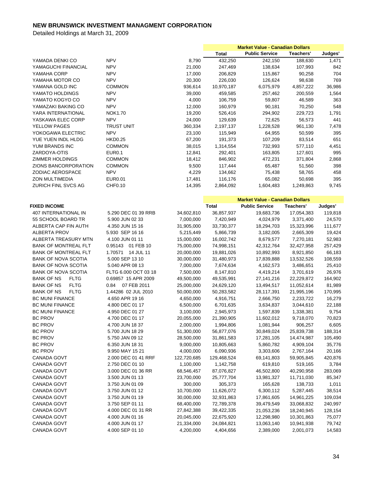|                                  |                                    |             | <b>Market Value - Canadian Dollars</b> |                                        |            |         |
|----------------------------------|------------------------------------|-------------|----------------------------------------|----------------------------------------|------------|---------|
|                                  |                                    |             | <b>Total</b>                           | <b>Public Service</b>                  | Teachers'  | Judges' |
| YAMADA DENKI CO                  | <b>NPV</b>                         | 8,790       | 432,250                                | 242,150                                | 188,630    | 1,471   |
| YAMAGUCHI FINANCIAL              | <b>NPV</b>                         | 21,000      | 247,469                                | 138,634                                | 107,993    | 842     |
| YAMAHA CORP                      | <b>NPV</b>                         | 17,000      | 206,829                                | 115,867                                | 90,258     | 704     |
| YAMAHA MOTOR CO                  | <b>NPV</b>                         | 20,300      | 226,030                                | 126,624                                | 98,638     | 769     |
| YAMANA GOLD INC                  | <b>COMMON</b>                      | 936,614     | 10,970,187                             | 6,075,979                              | 4,857,222  | 36,986  |
| YAMATO HOLDINGS                  | <b>NPV</b>                         | 39,000      | 459,585                                | 257,462                                | 200,559    | 1,564   |
| YAMATO KOGYO CO                  | <b>NPV</b>                         | 4,000       | 106,759                                | 59,807                                 | 46,589     | 363     |
| YAMAZAKI BAKING CO               | <b>NPV</b>                         | 12,000      | 160,979                                | 90,181                                 | 70,250     | 548     |
| YARA INTERNATIONAL               | <b>NOK1.70</b>                     | 19,200      | 526,416                                | 294,902                                | 229,723    | 1,791   |
| YASKAWA ELEC CORP                | <b>NPV</b>                         | 24,000      | 129,639                                | 72,625                                 | 56,573     | 441     |
| <b>YELLOW PAGES</b>              | <b>TRUST UNIT</b>                  | 360,334     | 2,197,137                              | 1,228,528                              | 961,130    | 7,478   |
| YOKOGAWA ELECTRIC                | <b>NPV</b>                         | 23,100      | 115,949                                | 64,955                                 | 50,599     | 395     |
| YUE YUEN INDL HLDG               | <b>HKD0.25</b>                     | 67,200      | 191,373                                | 107,209                                | 83,514     | 651     |
| YUM BRANDS INC                   | <b>COMMON</b>                      | 38,015      | 1,314,554                              | 732,993                                | 577,110    | 4,451   |
| ZARDOYA-OTIS                     | <b>EUR0.1</b>                      | 12,841      | 292,401                                | 163,805                                | 127,601    | 995     |
| ZIMMER HOLDINGS                  | <b>COMMON</b>                      | 18,412      | 846,902                                | 472,231                                | 371,804    | 2,868   |
| ZIONS BANCORPORATION             | <b>COMMON</b>                      | 9,500       | 117,444                                | 65,487                                 | 51,560     | 398     |
| ZODIAC AEROSPACE                 | <b>NPV</b>                         | 4,229       | 134,662                                | 75,438                                 | 58,765     | 458     |
| ZON MULTIMEDIA                   | <b>EUR0.01</b>                     | 17,481      | 116,176                                | 65,082                                 | 50,698     | 395     |
| ZURICH FINL SVCS AG              | CHF0.10                            | 14,395      | 2,864,092                              | 1,604,483                              | 1,249,863  | 9.745   |
|                                  |                                    |             |                                        |                                        |            |         |
|                                  |                                    |             |                                        | <b>Market Value - Canadian Dollars</b> |            |         |
| <b>FIXED INCOME</b>              |                                    |             | <b>Total</b>                           | <b>Public Service</b>                  | Teachers'  | Judges' |
| 407 INTERNATIONAL IN             | 5.290 DEC 01 39 RRB                | 34,602,810  | 36,857,937                             | 19,683,736                             | 17,054,383 | 119,818 |
| 55 SCHOOL BOARD TR               | 5.900 JUN 02 33                    | 7,000,000   | 7,420,949                              | 4,024,979                              | 3,371,400  | 24,570  |
| ALBERTA CAP FIN AUTH             | 4.350 JUN 15 16                    | 31,905,000  | 33,730,377                             | 18,294,703                             | 15,323,996 | 111,677 |
| <b>ALBERTA PROV</b>              | 5.930 SEP 16 16                    | 5,215,449   | 5,866,739                              | 3,182,005                              | 2,665,309  | 19,424  |
| ALBERTA TREASURY MTN             | 4.100 JUN 01 11                    | 15,000,000  | 16,002,742                             | 8,679,577                              | 7,270,181  | 52,983  |
| <b>BANK OF MONTREAL FLT</b>      | 0.95143 01 FEB 10                  | 75,000,000  | 74,998,151                             | 42,312,764                             | 32,427,958 | 257,429 |
| <b>BANK OF MONTREAL FLT</b>      | 1.70571 14 JUL 11                  | 20,000,000  | 19,881,026                             | 10,892,993                             | 8,921,850  | 66,183  |
| <b>BANK OF NOVA SCOTIA</b>       | 5.000 SEP 13 10                    | 30,000,000  | 31,480,973                             | 17,839,888                             | 13,532,526 | 108,559 |
| <b>BANK OF NOVA SCOTIA</b>       | 5.040 APR 08 13                    | 7,000,000   | 7,674,634                              | 4,162,573                              | 3,486,651  | 25,410  |
| <b>BANK OF NOVA SCOTIA</b>       | FLTG 6.000 OCT 03 18               | 7,500,000   | 8,147,810                              | 4,419,214                              | 3,701,619  | 26,976  |
| <b>FLTG</b><br>BANK OF NS        | 0.69857 15 APR 2009                | 49,500,000  | 49,535,991                             | 27, 141, 216                           | 22,229,872 | 164,902 |
| <b>FLTG</b><br>BANK OF NS        | 0.84 07 FEB 2011                   | 25,000,000  | 24,629,120                             | 13,494,517                             | 11,052,614 | 81,989  |
| <b>BANK OF NS</b><br><b>FLTG</b> | 1.44286 02 JUL 2010                | 50,000,000  | 50,283,582                             | 28,117,391                             | 21,995,196 | 170,995 |
| <b>BC MUNI FINANCE</b>           | 4.650 APR 19 16                    | 4,650,000   | 4,916,751                              | 2,666,750                              | 2,233,722  | 16,279  |
| <b>BC MUNI FINANCE</b>           | 4.800 DEC 01 17                    | 6,500,000   | 6,701,635                              | 3,634,837                              | 3,044,610  | 22,188  |
| BC MUNI FINANCE                  | 4.950 DEC 01 27                    | 3,100,000   | 2,945,973                              | 1,597,839                              | 1,338,381  | 9,754   |
| BC PROV                          | 4.700 DEC 01 17                    | 20,055,000  | 21,390,905                             | 11,602,012                             | 9,718,070  | 70,823  |
| BC PROV                          | 4.700 JUN 18 37                    | 2,000,000   | 1,994,806                              | 1,081,944                              | 906,257    | 6,605   |
| <b>BC PROV</b>                   | 5.700 JUN 18 29                    | 51,300,000  | 56,877,076                             | 30,849,024                             | 25,839,738 | 188,314 |
| <b>BC PROV</b>                   | 5.750 JAN 09 12                    | 28,500,000  | 31,861,583                             | 17,281,105                             | 14,474,987 | 105,490 |
| <b>BC PROV</b>                   | 6.350 JUN 18 31                    | 9,000,000   | 10,805,663                             | 5,860,782                              | 4,909,104  | 35,776  |
| <b>BC PROV</b>                   | 9.950 MAY 15 21                    | 4,000,000   | 6,090,936                              | 3,303,606                              | 2,767,164  | 20,166  |
| CANADA GOVT                      | 2.000 DEC 01 41 RRF                | 122,720,685 | 129,468,524                            | 69,141,803                             | 59,905,845 | 420,876 |
| CANADA GOVT                      | 2.750 DEC 01 10                    | 1,100,000   | 1,142,758                              | 619,810                                | 519,165    | 3,784   |
| CANADA GOVT                      | 3.000 DEC 01 36 RR                 | 68,546,457  | 87,076,827                             | 46,502,800                             | 40,290,958 | 283,069 |
|                                  |                                    |             |                                        |                                        |            |         |
| CANADA GOVT<br>CANADA GOVT       | 3.500 JUN 01 13<br>3.750 JUN 01 09 | 23,700,000  | 25,777,704                             | 13,981,327                             | 11,711,030 | 85,347  |
|                                  |                                    | 300,000     | 305,373                                | 165,628                                | 138,733    | 1,011   |
| CANADA GOVT                      | 3.750 JUN 01 12                    | 10,700,000  | 11,626,072                             | 6,300,112                              | 5,287,445  | 38,514  |
| CANADA GOVT                      | 3.750 JUN 01 19                    | 30,000,000  | 32,931,863                             | 17,861,605                             | 14,961,225 | 109,034 |
| CANADA GOVT                      | 3.750 SEP 01 11                    | 68,400,000  | 72,789,378                             | 39,479,549                             | 33,068,832 | 240,997 |
| CANADA GOVT                      | 4.000 DEC 01 31 RR                 | 27,842,388  | 39,422,335                             | 21,053,236                             | 18,240,945 | 128,154 |
| CANADA GOVT                      | 4.000 JUN 01 16                    | 20,045,000  | 22,675,920                             | 12,298,980                             | 10,301,863 | 75,077  |
| CANADA GOVT                      | 4.000 JUN 01 17                    | 21,334,000  | 24,084,821                             | 13,063,140                             | 10,941,938 | 79,742  |
| CANADA GOVT                      | 4.000 SEP 01 10                    | 4,200,000   | 4,404,656                              | 2,389,000                              | 2,001,073  | 14,583  |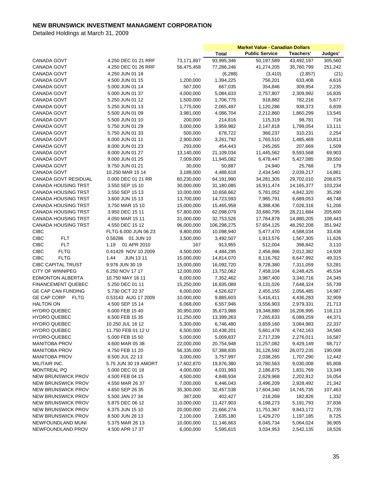|                            |                         |            | <b>Market Value - Canadian Dollars</b> |                       |              |         |
|----------------------------|-------------------------|------------|----------------------------------------|-----------------------|--------------|---------|
|                            |                         |            | <b>Total</b>                           | <b>Public Service</b> | Teachers'    | Judges' |
| CANADA GOVT                | 4.250 DEC 01 21 RRF     | 73,171,897 | 93,995,346                             | 50,197,589            | 43,492,197   | 305,560 |
| <b>CANADA GOVT</b>         | 4.250 DEC 01 26 RRF     | 56,475,458 | 77,286,246                             | 41,274,205            | 35,760,799   | 251,242 |
| <b>CANADA GOVT</b>         | 4.250 JUN 01 18         |            | (6, 288)                               | (3, 410)              | (2,857)      | (21)    |
| CANADA GOVT                | 4.500 JUN 01 15         | 1,200,000  | 1,394,225                              | 756,201               | 633,408      | 4,616   |
| CANADA GOVT                | 5.000 JUN 01 14         | 567,000    | 667,035                                | 354,846               | 309,954      | 2,235   |
| CANADA GOVT                | 5.000 JUN 01 37         | 4,000,000  | 5,084,633                              | 2,757,807             | 2,309,992    | 16,835  |
| <b>CANADA GOVT</b>         | 5.250 JUN 01 12         | 1,500,000  | 1,706,775                              | 918,882               | 782,216      | 5,677   |
| <b>CANADA GOVT</b>         | 5.250 JUN 01 13         | 1,775,000  | 2,065,497                              | 1,120,286             | 938,373      | 6,839   |
| CANADA GOVT                | 5.500 JUN 01 09         | 3,981,000  | 4,086,704                              | 2,212,860             | 1,860,299    | 13,545  |
| CANADA GOVT                | 5.500 JUN 01 10         | 200,000    | 214,816                                | 115,319               | 98,781       | 716     |
| CANADA GOVT                | 5.750 JUN 01 29         | 3,000,000  | 3,959,982                              | 2,147,818             | 1,799,054    | 13,111  |
| CANADA GOVT                | 5.750 JUN 01 33         | 500,000    | 678,722                                | 366,237               | 310,231      | 2,254   |
| <b>CANADA GOVT</b>         | 6.000 JUN 01 11         | 2,900,000  | 3,261,792                              | 1,765,510             | 1,485,469    | 10,813  |
| CANADA GOVT                | 8.000 JUN 01 23         | 293,000    | 454,443                                | 245,265               | 207,669      | 1,509   |
| CANADA GOVT                | 8.000 JUN 01 27         | 13,140,000 | 21,109,034                             | 11,445,562            | 9,593,568    | 69,903  |
| CANADA GOVT                | 9.000 JUN 01 25         | 7,009,000  | 11,945,082                             | 6,478,447             | 5,427,085    | 39,550  |
| CANADA GOVT                | 9.750 JUN 01 21         | 30,000     | 50,887                                 | 24,940                | 25,768       | 179     |
| <b>CANADA GOVT</b>         | 10.250 MAR 15 14        | 3,188,000  | 4,488,618                              | 2,434,540             | 2,039,217    | 14,861  |
| CANADA GOVT RESIDUAL       | 0.000 DEC 01 21 RR      | 60,230,000 | 64,191,990                             | 34,281,305            | 29,702,010   | 208,675 |
| <b>CANADA HOUSING TRST</b> | 3.550 SEP 15 10         | 30,000,000 | 31,180,085                             | 16,911,474            | 14, 165, 377 | 103,234 |
| CANADA HOUSING TRST        | 3.550 SEP 15 13         | 10,000,000 | 10,658,662                             | 5,781,052             | 4,842,320    | 35,290  |
| <b>CANADA HOUSING TRST</b> | 3.600 JUN 15 13         | 13,700,000 | 14,723,593                             | 7,985,791             | 6,689,053    | 48,748  |
| <b>CANADA HOUSING TRST</b> | 3.750 MAR 15 10         | 15,000,000 | 15,465,958                             | 8,388,436             | 7,026,316    | 51,206  |
| <b>CANADA HOUSING TRST</b> | 3.950 DEC 15 11         | 57,800,000 | 62,098,079                             | 33,680,795            | 28,211,684   | 205,600 |
| <b>CANADA HOUSING TRST</b> | 4.050 MAR 15 11         | 31,000,000 | 32,753,526                             | 17,764,878            | 14,880,205   | 108,443 |
| <b>CANADA HOUSING TRST</b> | 4.550 DEC 15 12         | 96,000,000 | 106,298,275                            | 57,654,125            | 48,292,208   | 351,942 |
| <b>CIBC</b>                | FLTG 6.000 JUN 06 23    | 9,800,000  | 10,098,940                             | 5,477,470             | 4,588,034    | 33,436  |
| <b>CIBC</b><br><b>FLT</b>  | 0.58286 01 JUN 10       | 3,500,000  | 3,492,507                              | 1,913,576             | 1,567,305    | 11,626  |
| <b>FLT</b><br><b>CIBC</b>  | 1.19<br>01 APR 2010     | 167        | 913,955                                | 512,004               | 398,842      | 3,110   |
| <b>CIBC</b><br><b>FLTG</b> | 0.41429 NOV 10 2009     | 4,500,000  | 4,484,295                              | 2,456,986             | 2,012,382    | 14,928  |
| <b>CIBC</b><br><b>FLTG</b> | 1.44<br><b>JUN 1311</b> | 15,000,000 | 14,814,070                             | 8,116,762             | 6,647,992    | 49,315  |
| <b>CIBC CAPITAL TRUST</b>  | 9.976 JUN 30 19         | 15,000,000 | 16,092,720                             | 8,728,380             | 7,311,059    | 53,281  |
| <b>CITY OF WINNIPEG</b>    | 6.250 NOV 17 17         | 12,000,000 | 13,752,062                             | 7,458,104             | 6,248,425    | 45,534  |
| <b>EDMONTON ALBERTA</b>    | 10.750 MAY 16 11        | 6,000,000  | 7,352,462                              | 3,987,400             | 3,340,716    | 24,345  |
| <b>FINANCEMENT QUEBEC</b>  | 5.250 DEC 01 11         | 15,250,000 | 16,835,089                             | 9,131,026             | 7,648,324    | 55,739  |
| <b>GE CAP CAN FUNDING</b>  | 5.730 OCT 22 37         | 6,000,000  | 4,526,627                              | 2,455,155             | 2,056,485    | 14,987  |
| GE CAP CORP<br><b>FLTG</b> | 0.53143 AUG 17 2009     | 10,000,000 | 9,885,603                              | 5,416,411             | 4,436,283    | 32,909  |
| <b>HALTON ON</b>           | 4.500 SEP 15 14         | 6,068,000  | 6,557,946                              | 3,556,903             | 2,979,331    | 21,713  |
| <b>HYDRO QUEBEC</b>        | 6.000 FEB 15 40         | 30,950,000 | 35,673,988                             | 19,348,880            | 16,206,995   | 118,113 |
| <b>HYDRO QUEBEC</b>        | 6.500 FEB 15 35         | 11,250,000 | 13,399,263                             | 7,265,633             | 6,089,259    | 44,371  |
| <b>HYDRO QUEBEC</b>        | 10.250 JUL 16 12        | 5,300,000  | 6,746,480                              | 3,659,160             | 3,064,983    | 22,337  |
| <b>HYDRO QUEBEC</b>        | 11.750 FEB 01 12 U      | 6,500,000  | 10,438,201                             | 5,661,478             | 4,742,163    | 34,560  |
| <b>HYDRO-QUEBEC</b>        | 5.000 FEB 15 50         | 5,000,000  | 5,009,837                              | 2,717,239             | 2,276,011    | 16,587  |
| <b>MANITOBA PROV</b>       | 4.600 MAR 05 38         | 22,000,000 | 20,754,948                             | 11,257,082            | 9,429,149    | 68,717  |
| <b>MANITOBA PROV</b>       | 4.750 FEB 11 20         | 56,335,000 | 57,388,835                             | 31,126,592            | 26,072,235   | 190,008 |
| <b>MANITOBA PROV</b>       | 8.500 JUL 22 13         | 3,000,000  | 3,757,997                              | 2,038,265             | 1,707,290    | 12,442  |
| MILITAIR INC.              | 5.75 JUN 30 19 AMORT    | 17,602,870 | 19,876,380                             | 10,780,563            | 9,030,008    | 65,808  |
| <b>MONTREAL PQ</b>         | 5.000 DEC 01 18         | 4,000,000  | 4,031,993                              | 2,186,875             | 1,831,769    | 13,349  |
| NEW BRUNSWICK PROV         | 4.500 FEB 04 15         | 4,500,000  | 4,848,934                              | 2,629,968             | 2,202,912    | 16,054  |
| <b>NEW BRUNSWICK PROV</b>  | 4.550 MAR 26 37         | 7,000,000  | 6,446,043                              | 3,496,209             | 2,928,492    | 21,342  |
| <b>NEW BRUNSWICK PROV</b>  | 4.650 SEP 26 35         | 35,300,000 | 32,457,538                             | 17,604,340            | 14,745,735   | 107,463 |
| NEW BRUNSWICK PROV         | 5.500 JAN 27 34         | 387,000    | 402,427                                | 218,269               | 182,826      | 1,332   |
| <b>NEW BRUNSWICK PROV</b>  | 5.875 DEC 06 12         | 10,000,000 | 11,427,903                             | 6,198,273             | 5,191,793    | 37,836  |
| <b>NEW BRUNSWICK PROV</b>  | 6.375 JUN 15 10         | 20,000,000 | 21,666,274                             | 11,751,367            | 9,843,172    | 71,735  |
| <b>NEW BRUNSWICK PROV</b>  | 8.500 JUN 28 13         | 2,100,000  | 2,635,180                              | 1,429,270             | 1,197,185    | 8,725   |
| NEWFOUNDLAND MUNI          | 5.375 MAR 26 13         | 10,000,000 | 11,146,663                             | 6,045,734             | 5,064,024    | 36,905  |
| NEWFOUNDLAND PROV          | 4.500 APR 17 37         | 6,000,000  | 5,595,615                              | 3,034,953             | 2,542,135    | 18,526  |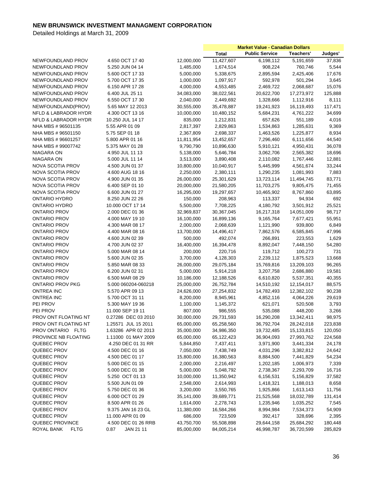|                                            |                                    |                       | <b>Market Value - Canadian Dollars</b> |                       |            |               |
|--------------------------------------------|------------------------------------|-----------------------|----------------------------------------|-----------------------|------------|---------------|
|                                            |                                    |                       | <b>Total</b>                           | <b>Public Service</b> | Teachers'  | Judges'       |
| NEWFOUNDLAND PROV                          | 4.650 OCT 17 40                    | 12,000,000            | 11,427,607                             | 6,198,112             | 5,191,659  | 37,836        |
| NEWFOUNDLAND PROV                          | 5.250 JUN 04 14                    | 1,485,000             | 1,674,514                              | 908,224               | 760,746    | 5,544         |
| NEWFOUNDLAND PROV                          | 5.600 OCT 17 33                    | 5,000,000             | 5,338,675                              | 2,895,594             | 2,425,406  | 17,676        |
| NEWFOUNDLAND PROV                          | 5.700 OCT 17 35                    | 1,000,000             | 1,097,917                              | 592,978               | 501,294    | 3,645         |
| NEWFOUNDLAND PROV                          | 6.150 APR 17 28                    | 4,000,000             | 4,553,485                              | 2,469,722             | 2,068,687  | 15,076        |
| NEWFOUNDLAND PROV                          | 6.400 JUL 25 11                    | 34,083,000            | 38,022,561                             | 20,622,700            | 17,273,972 | 125,888       |
| NEWFOUNDLAND PROV                          | 6.550 OCT 17 30                    | 2,040,000             | 2,449,692                              | 1,328,666             | 1,112,916  | 8,111         |
| NEWFOUNDLAND(PROV)                         | 5.65 MAY 12 2013                   | 30,555,000            | 35,478,887                             | 19,241,923            | 16,119,493 | 117,471       |
| NFLD & LABRADOR HYDR                       | 4.300 OCT 13 16                    | 10,000,000            | 10,480,152                             | 5,684,231             | 4,761,222  | 34,699        |
| NFLD & LABRADOR HYDR                       | 10.250 JUL 14 17                   | 835,000               | 1,212,831                              | 657,626               | 551,189    | 4,016         |
| NHA MBS #96501135                          | 5.55 APR 01 09                     | 2,817,397             | 2,829,863                              | 1,534,863             | 1,285,631  | 9,369         |
| NHA MBS #96501150                          | 5.75 SEP 01 18                     | 2,367,809             | 2,698,337                              | 1,463,526             | 1,225,877  | 8,934         |
| NHA MBS #96601257                          | 5.800 APR 01 16                    | 11,811,954            | 13,452,657                             | 7,296,460             | 6,111,656  | 44,540        |
| NHA MBS # 99007742                         | 5.375 MAY 01 28                    | 9,790,790             | 10,896,630                             | 5,910,121             | 4,950,431  | 36,078        |
| NIAGARA ON                                 | 4.950 JUL 11 13                    | 5,138,000             | 5,646,784                              | 3,062,706             | 2,565,382  | 18,696        |
| NIAGARA ON                                 | 5.000 JUL 11 14                    | 3,513,000             | 3,890,408                              | 2,110,082             | 1,767,446  | 12,881        |
| <b>NOVA SCOTIA PROV</b>                    | 4.500 JUN 01 37                    | 10,800,000            | 10,040,917                             | 5,445,999             | 4,561,674  | 33,244        |
| <b>NOVA SCOTIA PROV</b>                    | 4.600 AUG 18 16                    | 2,250,000             | 2,380,111                              | 1,290,235             | 1,081,993  | 7,883         |
| <b>NOVA SCOTIA PROV</b>                    | 4.900 JUN 01 35                    | 26,000,000            | 25,301,629                             | 13,723,114            | 11,494,745 | 83,771        |
| NOVA SCOTIA PROV                           | 6.400 SEP 01 10                    | 20,000,000            | 21,580,205                             | 11,703,275            | 9,805,475  | 71,455        |
| <b>NOVA SCOTIA PROV</b>                    | 6.600 JUN 01 27                    | 16,295,000            | 19,297,657                             | 10,465,902            | 8,767,860  | 63,895        |
| <b>ONTARIO HYDRO</b>                       | 8.250 JUN 22 26                    | 150,000               | 208,963                                | 113,337               | 94,934     | 692           |
| <b>ONTARIO HYDRO</b>                       | 10.000 OCT 17 14                   | 5,500,000             | 7,708,225                              | 4,180,792             | 3,501,912  | 25,521        |
| <b>ONTARIO PROV</b>                        | 2.000 DEC 01 36                    | 32,969,837            | 30,367,045                             | 16,217,318            | 14,051,009 | 98,717        |
| <b>ONTARIO PROV</b>                        | 4.000 MAY 19 10                    | 16,100,000            | 16,899,136                             | 9,165,764             | 7,677,421  | 55,951        |
| <b>ONTARIO PROV</b>                        | 4.300 MAR 08 17                    | 2,000,000             | 2,068,639                              | 1,121,990             | 939,800    | 6,849         |
| <b>ONTARIO PROV</b>                        | 4.400 MAR 08 16                    |                       |                                        |                       |            |               |
|                                            |                                    | 13,700,000            | 14,496,417                             | 7,862,576             | 6,585,845  | 47,996        |
| <b>ONTARIO PROV</b><br><b>ONTARIO PROV</b> | 4.600 JUN 02 39<br>4.700 JUN 02 37 | 500,000<br>16,400,000 | 492,074<br>16,394,478                  | 266,891<br>8,892,047  | 223,553    | 1,629         |
| <b>ONTARIO PROV</b>                        | 5.000 MAR 08 14                    | 200,000               | 220,716                                | 119,712               | 7,448,150  | 54,280<br>731 |
|                                            |                                    |                       |                                        |                       | 100,273    |               |
| <b>ONTARIO PROV</b>                        | 5.600 JUN 02 35                    | 3,700,000             | 4,128,303                              | 2,239,112             | 1,875,523  | 13,668        |
| <b>ONTARIO PROV</b>                        | 5.850 MAR 08 33                    | 26,000,000            | 29,075,184                             | 15,769,816            | 13,209,103 | 96,265        |
| <b>ONTARIO PROV</b>                        | 6.200 JUN 02 31                    | 5,000,000             | 5,914,218                              | 3,207,758             | 2,686,880  | 19,581        |
| <b>ONTARIO PROV</b>                        | 6.500 MAR 08 29                    | 10,186,000            | 12,188,526                             | 6,610,820             | 5,537,351  | 40,355        |
| <b>ONTARIO PROV PKG</b>                    | 5.000 060204-060218                | 25,000,000            | 26,752,784                             | 14,510,192            | 12,154,017 | 88,575        |
| <b>ONTREA INC</b>                          | 5.570 APR 09 13                    | 24,626,000            | 27,254,832                             | 14,782,493            | 12,382,102 | 90,238        |
| ONTREA INC                                 | 5.700 OCT 31 11                    | 8,200,000             | 8,945,961                              | 4,852,116             | 4,064,226  | 29,619        |
| PEI PROV                                   | 5.300 MAY 1936                     | 1,100,000             | 1,145,372                              | 621,071               | 520,508    | 3,793         |
| PEI PROV                                   | 11.000 SEP 19 11                   | 807,000               | 986,555                                | 535,088               | 448,200    | 3,266         |
| PROV ONT FLOATING NT                       | 0.27286 DEC 03 2010                | 30,000,000            | 29,731,593                             | 16,290,208            | 13,342,411 | 98,975        |
| PROV ONT FLOATING NT                       | 1.25571 JUL 15 2011                | 65,000,000            | 65,258,560                             | 36,792,704            | 28,242,018 | 223,838       |
| PROV ONTARIO FLTG                          | 1.63286 APR 02 2013                | 35,000,000            | 34,986,350                             | 19,732,485            | 15,133,815 | 120,050       |
| PROVINCE NB FLOATING                       | 1.11000 01 MAY 2009                | 65,000,000            | 65,122,423                             | 36,904,093            | 27,993,762 | 224,568       |
| QUEBEC PROV                                | 4.250 DEC 01 31 RR                 | 5,844,850             | 7,437,411                              | 3,971,900             | 3,441,334  | 24,178        |
| QUEBEC PROV                                | 4.500 DEC 01 16                    | 7,050,000             | 7,438,749                              | 4,031,296             | 3,382,812  | 24,642        |
| QUEBEC PROV                                | 4.500 DEC 01 17                    | 15,800,000            | 16,380,563                             | 8,884,500             | 7,441,829  | 54,234        |
| QUEBEC PROV                                | 5.000 DEC 01 15                    | 2,000,000             | 2,216,497                              | 1,202,185             | 1,006,973  | 7,339         |
| QUEBEC PROV                                | 5.000 DEC 01 38                    | 5,000,000             | 5,048,792                              | 2,738,367             | 2,293,709  | 16,716        |
| QUEBEC PROV                                | 5.250 OCT 01 13                    | 10,000,000            | 11,350,942                             | 6,156,531             | 5,156,829  | 37,582        |
| QUEBEC PROV                                | 5.500 JUN 01 09                    | 2,548,000             | 2,614,993                              | 1,418,321             | 1,188,013  | 8,658         |
| QUEBEC PROV                                | 5.750 DEC 01 36                    | 3,200,000             | 3,550,765                              | 1,925,866             | 1,613,143  | 11,756        |
| QUEBEC PROV                                | 6.000 OCT 01 29                    | 35,141,000            | 39,689,771                             | 21,525,568            | 18,032,789 | 131,414       |
| QUEBEC PROV                                | 8.500 APR 01 26                    | 1,614,000             | 2,278,743                              | 1,235,946             | 1,035,252  | 7,545         |
| QUEBEC PROV                                | 9.375 JAN 16 23 GL                 | 11,380,000            | 16,584,266                             | 8,994,984             | 7,534,373  | 54,909        |
| QUEBEC PROV                                | 11.000 APR 01 09                   | 686,000               | 723,509                                | 392,417               | 328,696    | 2,395         |
| QUEBEC PROVINCE                            | 4.500 DEC 01 26 RRB                | 43,750,700            | 55,508,898                             | 29,644,158            | 25,684,292 | 180,448       |
| ROYAL BANK<br><b>FLTG</b>                  | 0.87<br>JAN 21 11                  | 85,000,000            | 84,005,214                             | 46,998,787            | 36,720,599 | 285,829       |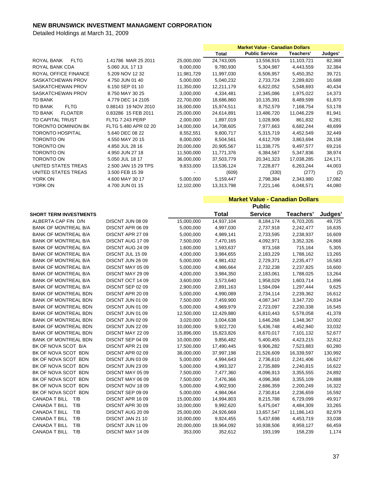Detailed Holdings at March 31, 2009

|                                  |                        |            | <b>Market Value - Canadian Dollars</b> |                       |            |         |
|----------------------------------|------------------------|------------|----------------------------------------|-----------------------|------------|---------|
|                                  |                        |            | Total                                  | <b>Public Service</b> | Teachers'  | Judges' |
| <b>FLTG</b><br>ROYAL BANK        | 1.41786 MAR 25 2011    | 25,000,000 | 24,743,005                             | 13,556,915            | 11,103,721 | 82,368  |
| ROYAL BANK CDA                   | 5.060 JUL 17 13        | 9,000,000  | 9,780,930                              | 5,304,987             | 4,443,559  | 32,384  |
| ROYAL OFFICE FINANCE             | 5.209 NOV 12 32        | 11,981,729 | 11,997,030                             | 6,506,957             | 5,450,352  | 39,721  |
| SASKATCHEWAN PROV                | 4.750 JUN 01 40        | 5,000,000  | 5,040,232                              | 2,733,724             | 2,289,820  | 16,688  |
| SASKATCHEWAN PROV                | 6.150 SEP 01 10        | 11,350,000 | 12,211,179                             | 6,622,052             | 5,548,693  | 40,434  |
| SASKATCHEWAN PROV                | 8.750 MAY 30 25        | 3,000,000  | 4,334,481                              | 2,345,086             | 1,975,022  | 14,373  |
| TD BANK                          | 4.779 DEC 14 2105      | 22,700,000 | 18,686,860                             | 10,135,391            | 8,489,599  | 61,870  |
| <b>TD BANK</b><br><b>FLTG</b>    | 0.88143 19 NOV 2010    | 16,000,000 | 15,974,511                             | 8,752,579             | 7,168,754  | 53,178  |
| <b>TD BANK</b><br><b>FLOATER</b> | 0.83286 15 FEB 2011    | 25,000,000 | 24,614,891                             | 13,486,720            | 11,046,229 | 81,941  |
| <b>TD CAPITAL TRUST</b>          | <b>FLTG 7.243 PERP</b> | 2,000,000  | 1,897,019                              | 1,028,906             | 861,832    | 6,281   |
| <b>TORONTO DOMINION BK</b>       | FLTG 5.480 APR 02 20   | 14,000,000 | 14,708,605                             | 7,977,663             | 6,682,244  | 48,699  |
| <b>TORONTO HOSPITAL</b>          | 5.640 DEC 08 22        | 8,552,551  | 9,800,717                              | 5,315,719             | 4,452,549  | 32,449  |
| <b>TORONTO ON</b>                | 4.550 MAY 20 15        | 8,000,000  | 8,504,561                              | 4,612,709             | 3,863,694  | 28,158  |
| <b>TORONTO ON</b>                | 4.850 JUL 28 16        | 20,000,000 | 20,905,567                             | 11,338,775            | 9,497,577  | 69,216  |
| <b>TORONTO ON</b>                | 4.950 JUN 27 18        | 11,500,000 | 11,771,376                             | 6,384,567             | 5,347,836  | 38,974  |
| <b>TORONTO ON</b>                | 5.050 JUL 18 17        | 36,000,000 | 37,503,779                             | 20,341,323            | 17,038,285 | 124,171 |
| UNITED STATES TREAS              | 2.500 JAN 15 29 TPS    | 9,833,000  | 13,536,124                             | 7,228,877             | 6,263,244  | 44,003  |
| UNITED STATES TREAS              | 3.500 FEB 15 39        |            | (609)                                  | (330)                 | (277)      | (2)     |
| YORK ON                          | 4.600 MAY 30 17        | 5,000,000  | 5,159,447                              | 2,798,384             | 2,343,980  | 17,082  |
| YORK ON                          | 4.700 JUN 01 15        | 12,102,000 | 13,313,798                             | 7,221,146             | 6,048,571  | 44,080  |

**Market Value - Canadian Dollars**

|                               |                  |            |              | <b>Public</b>  |            |         |
|-------------------------------|------------------|------------|--------------|----------------|------------|---------|
| <b>SHORT TERM INVESTMENTS</b> |                  |            | <b>Total</b> | <b>Service</b> | Teachers'  | Judges' |
| ALBERTA CAP FIN D/N           | DISCNT JUN 08 09 | 15,000,000 | 14,937,104   | 8,184,174      | 6,703,205  | 49,725  |
| <b>BANK OF MONTREAL B/A</b>   | DISCNT APR 06 09 | 5,000,000  | 4,997,030    | 2,737,918      | 2,242,477  | 16,635  |
| <b>BANK OF MONTREAL B/A</b>   | DISCNT APR 27 09 | 5,000,000  | 4,989,141    | 2,733,595      | 2,238,937  | 16,609  |
| <b>BANK OF MONTREAL B/A</b>   | DISCNT AUG 1709  | 7,500,000  | 7,470,165    | 4,092,971      | 3,352,326  | 24,868  |
| <b>BANK OF MONTREAL B/A</b>   | DISCNT AUG 24 09 | 1,600,000  | 1,593,637    | 873,168        | 715,164    | 5,305   |
| <b>BANK OF MONTREAL B/A</b>   | DISCNT JUL 15 09 | 4,000,000  | 3,984,655    | 2,183,229      | 1,788,162  | 13,265  |
| <b>BANK OF MONTREAL B/A</b>   | DISCNT JUN 26 09 | 5,000,000  | 4,981,432    | 2,729,371      | 2,235,477  | 16,583  |
| <b>BANK OF MONTREAL B/A</b>   | DISCNT MAY 05 09 | 5,000,000  | 4,986,664    | 2,732,238      | 2,237,825  | 16,600  |
| <b>BANK OF MONTREAL B/A</b>   | DISCNT MAY 29 09 | 4,000,000  | 3,984,350    | 2,183,061      | 1,788,025  | 13,264  |
| <b>BANK OF MONTREAL B/A</b>   | DISCNT OCT 14 09 | 3,600,000  | 3,573,640    | 1,958,029      | 1,603,714  | 11,896  |
| <b>BANK OF MONTREAL B/A</b>   | DISCNT SEP 02 09 | 2,900,000  | 2,891,163    | 1,584,094      | 1,297,444  | 9,625   |
| <b>BANK OF MONTREAL BDN</b>   | DISCNT APR 2009  | 5,000,000  | 4,990,089    | 2,734,114      | 2,239,362  | 16,612  |
| <b>BANK OF MONTREAL BDN</b>   | DISCNT JUN 01 09 | 7,500,000  | 7,459,900    | 4,087,347      | 3,347,720  | 24,834  |
| <b>BANK OF MONTREAL BDN</b>   | DISCNT JUN 01 09 | 5,000,000  | 4,969,979    | 2,723,097      | 2,230,338  | 16,545  |
| <b>BANK OF MONTREAL BDN</b>   | DISCNT JUN 01 09 | 12,500,000 | 12,429,880   | 6,810,443      | 5,578,058  | 41,378  |
| <b>BANK OF MONTREAL BDN</b>   | DISCNT JUN 02 09 | 3,020,000  | 3,004,638    | 1,646,268      | 1,348,367  | 10,002  |
| <b>BANK OF MONTREAL BDN</b>   | DISCNT JUN 22 09 | 10,000,000 | 9,922,720    | 5,436,748      | 4,452,940  | 33,032  |
| <b>BANK OF MONTREAL BDN</b>   | DISCNT MAY 22 09 | 15,896,000 | 15,823,826   | 8,670,017      | 7,101,132  | 52,677  |
| <b>BANK OF MONTREAL BDN</b>   | DISCNT SEP 04 09 | 10,000,000 | 9,856,482    | 5,400,455      | 4,423,215  | 32,812  |
| BK OF NOVA SCOT B/A           | DISCNT APR 21 09 | 17,500,000 | 17,490,445   | 9,906,282      | 7,523,883  | 60,280  |
| BK OF NOVA SCOT BDN           | DISCNT APR 02 09 | 38,000,000 | 37,997,198   | 21,526,609     | 16,339,597 | 130,992 |
| BK OF NOVA SCOT BDN           | DISCNT JUN 03 09 | 5,000,000  | 4,994,643    | 2,736,610      | 2,241,406  | 16,627  |
| BK OF NOVA SCOT BDN           | DISCNT JUN 23 09 | 5,000,000  | 4,993,327    | 2,735,889      | 2,240,815  | 16,622  |
| BK OF NOVA SCOT BDN           | DISCNT MAY 05 09 | 7,500,000  | 7,477,360    | 4,096,913      | 3,355,555  | 24,892  |
| BK OF NOVA SCOT BDN           | DISCNT MAY 06 09 | 7,500,000  | 7,476,366    | 4,096,368      | 3,355,109  | 24,888  |
| BK OF NOVA SCOT BDN           | DISCNT NOV 1809  | 5,000,000  | 4,902,930    | 2,686,359      | 2,200,249  | 16,322  |
| BK OF NOVA SCOT BDN           | DISCNT SEP 09 09 | 5,000,000  | 4,984,064    | 2,730,814      | 2,236,659  | 16,592  |
| CANADA T BILL T/B             | DISCNT APR 1609  | 15,000,000 | 14,994,803   | 8,215,788      | 6,729,099  | 49,917  |
| T/B<br><b>CANADA T BILL</b>   | DISCNT APR 30 09 | 10,000,000 | 9,992,620    | 5,475,047      | 4,484,309  | 33,265  |
| <b>CANADA T BILL</b><br>T/B   | DISCNT AUG 2009  | 25,000,000 | 24,926,669   | 13,657,547     | 11,186,143 | 82,979  |
| <b>CANADA T BILL</b><br>T/B   | DISCNT JAN 21 10 | 10,000,000 | 9,924,455    | 5,437,698      | 4,453,719  | 33,038  |
| <b>CANADA T BILL</b><br>T/B   | DISCNT JUN 11 09 | 20,000,000 | 19,964,092   | 10,938,506     | 8,959,127  | 66,459  |
| T/B<br><b>CANADA T BILL</b>   | DISCNT MAY 14 09 | 353,000    | 352,612      | 193,199        | 158,239    | 1,174   |